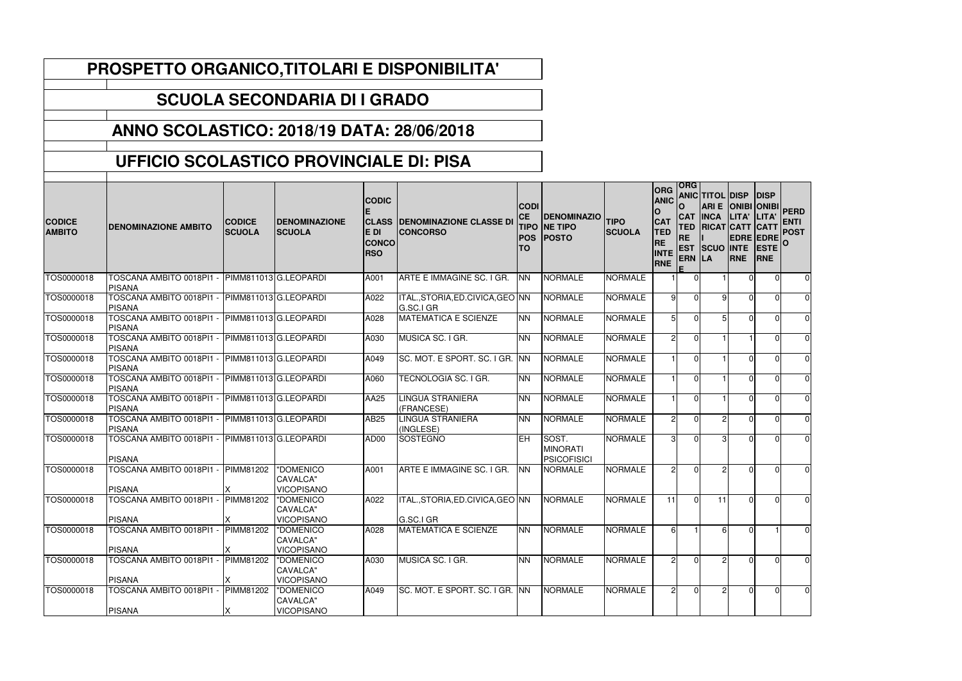| <b>CODICE</b><br><b>AMBITO</b> | <b>DENOMINAZIONE AMBITO</b>                              | <b>CODICE</b><br><b>SCUOLA</b> | <b>DENOMINAZIONE</b><br><b>SCUOLA</b>      | <b>CODIC</b><br>E DI<br><b>CONCO</b><br><b>RSO</b> | <b>CLASS DENOMINAZIONE CLASSE DI</b><br><b>CONCORSO</b> | <b>CODI</b><br><b>CE</b><br><b>TIPO</b><br><b>POS</b><br><b>TO</b> | <b>DENOMINAZIO</b><br><b>NE TIPO</b><br><b>POSTO</b> | <b>TIPO</b><br><b>SCUOLA</b> | <b>ORG</b><br><b>ANIC</b><br>$\mathbf O$<br><b>CAT</b><br><b>TED</b><br><b>RE</b><br><b>INTE</b><br>RNE | <b>ORG</b><br>$\mathbf 0$<br><b>CAT</b><br><b>TED</b><br><b>RE</b><br>ERN LA | <b>ANIC TITOL DISP</b><br>ARI E ONIBI ONIBI<br><b>INCA</b><br><b>RICAT CATT CATT</b><br><b>EST SCUO INTE</b> | LITA'<br>RNE | DISP<br><b>LITA</b><br><b>EDRE EDRE</b><br><b>ESTE</b><br><b>RNE</b> | <b>PERD</b><br><b>ENTI</b><br><b>POST</b> |
|--------------------------------|----------------------------------------------------------|--------------------------------|--------------------------------------------|----------------------------------------------------|---------------------------------------------------------|--------------------------------------------------------------------|------------------------------------------------------|------------------------------|---------------------------------------------------------------------------------------------------------|------------------------------------------------------------------------------|--------------------------------------------------------------------------------------------------------------|--------------|----------------------------------------------------------------------|-------------------------------------------|
| TOS0000018                     | TOSCANA AMBITO 0018PI1 -<br><b>PISANA</b>                |                                | PIMM811013 G.LEOPARDI                      | A001                                               | ARTE E IMMAGINE SC. I GR.                               | <b>NN</b>                                                          | <b>NORMALE</b>                                       | <b>NORMALE</b>               |                                                                                                         | $\Omega$                                                                     |                                                                                                              |              |                                                                      | $\mathbf 0$                               |
| TOS0000018                     | TOSCANA AMBITO 0018PI1 -<br>PISANA                       |                                | PIMM811013 G.LEOPARDI                      | A022                                               | ITAL., STORIA, ED. CIVICA, GEO NN<br>G.SC.I GR          |                                                                    | <b>NORMALE</b>                                       | <b>NORMALE</b>               | 9                                                                                                       | $\Omega$                                                                     | 91                                                                                                           | ΩI           |                                                                      | $\mathbf 0$                               |
| TOS0000018                     | TOSCANA AMBITO 0018PI1 -<br>PISANA                       |                                | PIMM811013 G.LEOPARDI                      | A028                                               | <b>MATEMATICA E SCIENZE</b>                             | <b>NN</b>                                                          | <b>NORMALE</b>                                       | <b>NORMALE</b>               |                                                                                                         | $\Omega$                                                                     |                                                                                                              | $\Omega$     | <sup>0</sup>                                                         | $\mathbf 0$                               |
| TOS0000018                     | TOSCANA AMBITO 0018PI1<br>PISANA                         |                                | PIMM811013 G.LEOPARDI                      | A030                                               | MUSICA SC. I GR.                                        | <b>NN</b>                                                          | <b>NORMALE</b>                                       | <b>NORMALE</b>               |                                                                                                         | $\Omega$                                                                     |                                                                                                              |              |                                                                      | $\mathbf 0$                               |
| TOS0000018                     | TOSCANA AMBITO 0018PI1 -<br><b>PISANA</b>                |                                | PIMM811013 G.LEOPARDI                      | A049                                               | SC. MOT. E SPORT. SC. I GR. INN                         |                                                                    | <b>NORMALE</b>                                       | <b>NORMALE</b>               |                                                                                                         | $\Omega$                                                                     |                                                                                                              | $\Omega$     | ∩                                                                    | $\mathbf 0$                               |
| TOS0000018                     | TOSCANA AMBITO 0018PI1 -<br>PISANA                       |                                | PIMM811013 G.LEOPARDI                      | A060                                               | TECNOLOGIA SC. I GR.                                    | <b>NN</b>                                                          | <b>NORMALE</b>                                       | <b>NORMALE</b>               |                                                                                                         | $\Omega$                                                                     |                                                                                                              | ΩI           |                                                                      | $\mathbf 0$                               |
| TOS0000018                     | <b>TOSCANA AMBITO 0018PI1 -</b><br>PISANA                |                                | PIMM811013 G.LEOPARDI                      | AA25                                               | LINGUA STRANIERA<br>(FRANCESE)                          | <b>NN</b>                                                          | <b>NORMALE</b>                                       | <b>NORMALE</b>               |                                                                                                         | $\Omega$                                                                     |                                                                                                              |              |                                                                      | $\mathbf 0$                               |
| TOS0000018                     | TOSCANA AMBITO 0018PI1 -<br>PISANA                       |                                | PIMM811013 G.LEOPARDI                      | <b>AB25</b>                                        | LINGUA STRANIERA<br>(INGLESE)                           | <b>NN</b>                                                          | <b>NORMALE</b>                                       | <b>NORMALE</b>               | っ                                                                                                       | $\Omega$                                                                     | $\mathcal{D}$                                                                                                | <sup>n</sup> |                                                                      | $\pmb{0}$                                 |
| TOS0000018                     | TOSCANA AMBITO 0018PI1 - PIMM811013 G.LEOPARDI<br>PISANA |                                |                                            | AD00                                               | <b>SOSTEGNO</b>                                         | <b>IEH</b>                                                         | SOST.<br><b>MINORATI</b><br><b>PSICOFISICI</b>       | <b>NORMALE</b>               | ົ                                                                                                       | $\Omega$                                                                     | $\mathcal{B}$                                                                                                | $\cap$       |                                                                      | $\mathbf 0$                               |
| TOS0000018                     | TOSCANA AMBITO 0018PI1 -<br><b>PISANA</b>                | PIMM81202                      | "DOMENICO<br>CAVALCA"<br><b>VICOPISANO</b> | A001                                               | ARTE E IMMAGINE SC. I GR.                               | <b>NN</b>                                                          | <b>NORMALE</b>                                       | <b>NORMALE</b>               |                                                                                                         | $\Omega$                                                                     | $\mathcal{D}$                                                                                                | n.           | U                                                                    | $\mathbf 0$                               |
| TOS0000018                     | TOSCANA AMBITO 0018PI1 -<br><b>PISANA</b>                | PIMM81202                      | "DOMENICO<br>CAVALCA"<br><b>VICOPISANO</b> | A022                                               | ITAL., STORIA, ED. CIVICA, GEO NN<br>G.SC.I GR          |                                                                    | <b>NORMALE</b>                                       | <b>NORMALE</b>               | 11                                                                                                      | $\Omega$                                                                     | 11                                                                                                           | ΩI           | $\Omega$                                                             | $\mathbf 0$                               |
| TOS0000018                     | <b>TOSCANA AMBITO 0018PI1</b>                            | PIMM81202                      | "DOMENICO<br>CAVALCA"                      | A028                                               | <b>MATEMATICA E SCIENZE</b>                             | <b>NN</b>                                                          | <b>NORMALE</b>                                       | <b>NORMALE</b>               |                                                                                                         |                                                                              |                                                                                                              |              |                                                                      | $\overline{0}$                            |
| TOS0000018                     | <b>PISANA</b><br>TOSCANA AMBITO 0018PI1 -                | PIMM81202                      | <b>VICOPISANO</b><br>"DOMENICO             | A030                                               | MUSICA SC. I GR.                                        | <b>NN</b>                                                          | <b>NORMALE</b>                                       | <b>NORMALE</b>               | 2                                                                                                       | $\Omega$                                                                     |                                                                                                              | U.           | 0                                                                    | $\mathbf 0$                               |
|                                | <b>PISANA</b>                                            |                                | CAVALCA"<br><b>VICOPISANO</b>              |                                                    |                                                         |                                                                    |                                                      |                              |                                                                                                         |                                                                              |                                                                                                              |              |                                                                      |                                           |
| TOS0000018                     | TOSCANA AMBITO 0018PI1 -                                 | PIMM81202                      | "DOMENICO<br>CAVALCA"                      | A049                                               | SC. MOT. E SPORT. SC. I GR. INN                         |                                                                    | <b>NORMALE</b>                                       | <b>NORMALE</b>               | 21                                                                                                      | $\overline{0}$                                                               | 21                                                                                                           |              | 0                                                                    | $\mathbf 0$                               |
|                                | <b>PISANA</b>                                            |                                | <b>VICOPISANO</b>                          |                                                    |                                                         |                                                                    |                                                      |                              |                                                                                                         |                                                                              |                                                                                                              |              |                                                                      |                                           |

## **PROSPETTO ORGANICO,TITOLARI E DISPONIBILITA'**

## **SCUOLA SECONDARIA DI I GRADO**

## **ANNO SCOLASTICO: 2018/19 DATA: 28/06/2018**

## **UFFICIO SCOLASTICO PROVINCIALE DI: PISA**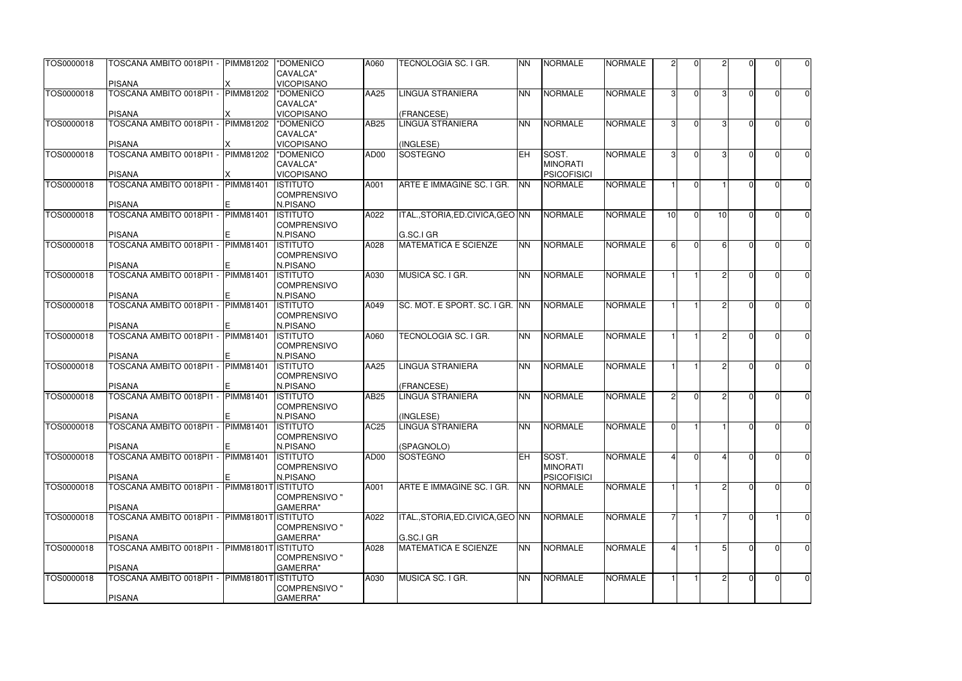| TOS0000018 | TOSCANA AMBITO 0018PI1 - PIMM81202        |                     | "DOMENICO<br>CAVALCA"                               | A060             | TECNOLOGIA SC. I GR.              | <b>NN</b>  | <b>NORMALE</b>           | <b>NORMALE</b> |               |                |               |   | U              | $\overline{0}$ |
|------------|-------------------------------------------|---------------------|-----------------------------------------------------|------------------|-----------------------------------|------------|--------------------------|----------------|---------------|----------------|---------------|---|----------------|----------------|
|            | <b>PISANA</b>                             |                     | <b>VICOPISANO</b>                                   |                  |                                   |            |                          |                |               |                |               |   |                |                |
| TOS0000018 | TOSCANA AMBITO 0018PI1 -                  | <b>PIMM81202</b>    | "DOMENICO<br><b>CAVALCA"</b>                        | AA25             | LINGUA STRANIERA                  | <b>NN</b>  | <b>NORMALE</b>           | <b>NORMALE</b> |               | $\Omega$       | $\mathcal{B}$ |   | 0              | $\overline{0}$ |
|            | <b>PISANA</b>                             |                     | <b>VICOPISANO</b>                                   |                  | (FRANCESE)                        |            |                          |                |               |                |               |   |                |                |
| TOS0000018 | TOSCANA AMBITO 0018PI1 -                  | <b>PIMM81202</b>    | "DOMENICO<br>CAVALCA"                               | <b>AB25</b>      | LINGUA STRANIERA                  | <b>NN</b>  | <b>NORMALE</b>           | <b>NORMALE</b> | 31            | $\Omega$       | 31            |   | $\Omega$       | $\overline{0}$ |
|            | <b>PISANA</b>                             |                     | <b>VICOPISANO</b>                                   |                  | (INGLESE)                         |            |                          |                |               |                |               |   |                |                |
| TOS0000018 | TOSCANA AMBITO 0018PI1 -                  | PIMM81202           | "DOMENICO<br>CAVALCA"                               | AD <sub>00</sub> | <b>SOSTEGNO</b>                   | <b>EH</b>  | SOST.<br><b>MINORATI</b> | <b>NORMALE</b> |               | $\Omega$       |               |   | $\Omega$       | $\overline{0}$ |
|            | <b>PISANA</b>                             |                     | <b>VICOPISANO</b>                                   |                  |                                   |            | <b>PSICOFISICI</b>       |                |               |                |               |   |                |                |
| TOS0000018 | TOSCANA AMBITO 0018PI1 -<br><b>PISANA</b> | PIMM81401           | <b>ISTITUTO</b><br><b>COMPRENSIVO</b><br>N.PISANO   | A001             | ARTE E IMMAGINE SC. I GR.         | <b>INN</b> | <b>NORMALE</b>           | <b>NORMALE</b> |               | $\Omega$       |               |   | U              | $\overline{0}$ |
| TOS0000018 | TOSCANA AMBITO 0018PI1 -                  | <b>PIMM81401</b>    | <b>ISTITUTO</b>                                     | A022             | ITAL., STORIA, ED. CIVICA, GEO NN |            | <b>NORMALE</b>           | <b>NORMALE</b> | 10            | $\Omega$       | 10            |   | $\Omega$       | $\overline{0}$ |
|            | <b>PISANA</b>                             |                     | <b>COMPRENSIVO</b><br>N.PISANO                      |                  | G.SC.I GR                         |            |                          |                |               |                |               |   |                |                |
| TOS0000018 | TOSCANA AMBITO 0018PI1 -                  | PIMM81401           | <b>ISTITUTO</b>                                     | A028             | <b>MATEMATICA E SCIENZE</b>       | <b>NN</b>  | <b>NORMALE</b>           | <b>NORMALE</b> | 6I            | $\Omega$       | $6 \mid$      |   | U              | $\overline{0}$ |
|            | <b>PISANA</b>                             |                     | <b>COMPRENSIVO</b><br>N.PISANO                      |                  |                                   |            |                          |                |               |                |               |   |                |                |
| TOS0000018 | TOSCANA AMBITO 0018PI1 -                  | <b>PIMM81401</b>    | <b>ISTITUTO</b>                                     | A030             | MUSICA SC. I GR.                  | <b>INN</b> | <b>NORMALE</b>           | <b>NORMALE</b> |               |                |               |   | $\Omega$       | $\overline{0}$ |
|            | <b>PISANA</b>                             |                     | <b>COMPRENSIVO</b><br>N.PISANO                      |                  |                                   |            |                          |                |               |                |               |   |                |                |
| TOS0000018 | TOSCANA AMBITO 0018PI1 -                  | <b>PIMM81401</b>    | <b>ISTITUTO</b>                                     | A049             | SC. MOT. E SPORT. SC. I GR. INN   |            | <b>NORMALE</b>           | <b>NORMALE</b> |               |                |               |   | U              | $\overline{0}$ |
|            | <b>PISANA</b>                             |                     | <b>COMPRENSIVO</b><br>N.PISANO                      |                  |                                   |            |                          |                |               |                |               |   |                |                |
| TOS0000018 | TOSCANA AMBITO 0018PI1 -                  | <b>PIMM81401</b>    | <b>ISTITUTO</b>                                     | A060             | <b>TECNOLOGIA SC. I GR.</b>       | <b>INN</b> | <b>NORMALE</b>           | <b>NORMALE</b> |               |                |               |   | O              | $\overline{0}$ |
|            | <b>PISANA</b>                             |                     | <b>COMPRENSIVO</b><br>N.PISANO                      |                  |                                   |            |                          |                |               |                |               |   |                |                |
| TOS0000018 | TOSCANA AMBITO 0018PI1 -                  | <b>PIMM81401</b>    | <b>ISTITUTO</b>                                     | AA25             | <b>LINGUA STRANIERA</b>           | <b>NN</b>  | <b>NORMALE</b>           | <b>NORMALE</b> |               |                | $\mathcal{D}$ |   | O              | $\overline{0}$ |
|            | <b>PISANA</b>                             |                     | <b>COMPRENSIVO</b><br>N.PISANO                      |                  | (FRANCESE)                        |            |                          |                |               |                |               |   |                |                |
| TOS0000018 | TOSCANA AMBITO 0018PI1 -                  | <b>PIMM81401</b>    | <b>ISTITUTO</b>                                     | <b>AB25</b>      | <b>LINGUA STRANIERA</b>           | <b>INN</b> | <b>NORMALE</b>           | <b>NORMALE</b> | $\mathcal{D}$ | $\Omega$       | $\mathcal{D}$ |   | $\Omega$       | $\overline{0}$ |
|            |                                           |                     | <b>COMPRENSIVO</b>                                  |                  |                                   |            |                          |                |               |                |               |   |                |                |
|            | <b>PISANA</b>                             |                     | N.PISANO                                            |                  | (INGLESE)                         |            |                          |                |               |                |               |   |                |                |
| TOS0000018 | TOSCANA AMBITO 0018PI1 -                  | <b>PIMM81401</b>    | <b>ISTITUTO</b><br><b>COMPRENSIVO</b>               | <b>AC25</b>      | <b>LINGUA STRANIERA</b>           | <b>NN</b>  | <b>NORMALE</b>           | <b>NORMALE</b> | ΩI            |                |               |   | $\overline{0}$ | $\overline{0}$ |
|            | <b>PISANA</b>                             |                     | N.PISANO                                            |                  | (SPAGNOLO)                        |            |                          |                |               |                |               |   |                |                |
| TOS0000018 | TOSCANA AMBITO 0018PI1 -                  | <b>PIMM81401</b>    | <b>ISTITUTO</b><br><b>COMPRENSIVO</b>               | AD00             | <b>SOSTEGNO</b>                   | <b>EH</b>  | SOST.<br><b>MINORATI</b> | <b>NORMALE</b> |               | $\overline{0}$ |               |   | $\overline{0}$ | $\overline{0}$ |
|            | <b>PISANA</b><br>TOSCANA AMBITO 0018PI1 - | <b>PIMM81801T</b>   | N.PISANO                                            |                  |                                   | <b>NN</b>  | <b>PSICOFISICI</b>       | <b>NORMALE</b> |               |                |               |   | 0              |                |
| TOS0000018 | <b>PISANA</b>                             |                     | ISTITUTO<br><b>COMPRENSIVO "</b><br><b>GAMERRA"</b> | A001             | ARTE E IMMAGINE SC. I GR.         |            | <b>NORMALE</b>           |                |               |                |               |   |                | $\overline{0}$ |
| TOS0000018 | TOSCANA AMBITO 0018PI1 -                  | PIMM81801T ISTITUTO |                                                     | A022             | ITAL., STORIA, ED. CIVICA, GEO NN |            | <b>NORMALE</b>           | <b>NORMALE</b> |               |                |               |   |                | $\overline{0}$ |
|            | <b>PISANA</b>                             |                     | <b>COMPRENSIVO "</b><br><b>GAMERRA"</b>             |                  | G.SC.I GR                         |            |                          |                |               |                |               |   |                |                |
| TOS0000018 | TOSCANA AMBITO 0018PI1 -                  | PIMM818011          | <b>ISTITUTO</b>                                     | A028             | <b>MATEMATICA E SCIENZE</b>       | <b>NN</b>  | <b>NORMALE</b>           | <b>NORMALE</b> |               |                |               |   | U              | $\overline{0}$ |
|            | <b>PISANA</b>                             |                     | <b>COMPRENSIVO "</b><br><b>GAMERRA"</b>             |                  |                                   |            |                          |                |               |                |               |   |                |                |
| TOS0000018 | TOSCANA AMBITO 0018PI1 -                  | PIMM81801           | <b>ISTITUTO</b>                                     | A030             | MUSICA SC. I GR.                  | <b>NN</b>  | <b>NORMALE</b>           | <b>NORMALE</b> |               |                |               | U | $\overline{0}$ | $\overline{0}$ |
|            | <b>PISANA</b>                             |                     | <b>COMPRENSIVO "</b><br><b>GAMERRA"</b>             |                  |                                   |            |                          |                |               |                |               |   |                |                |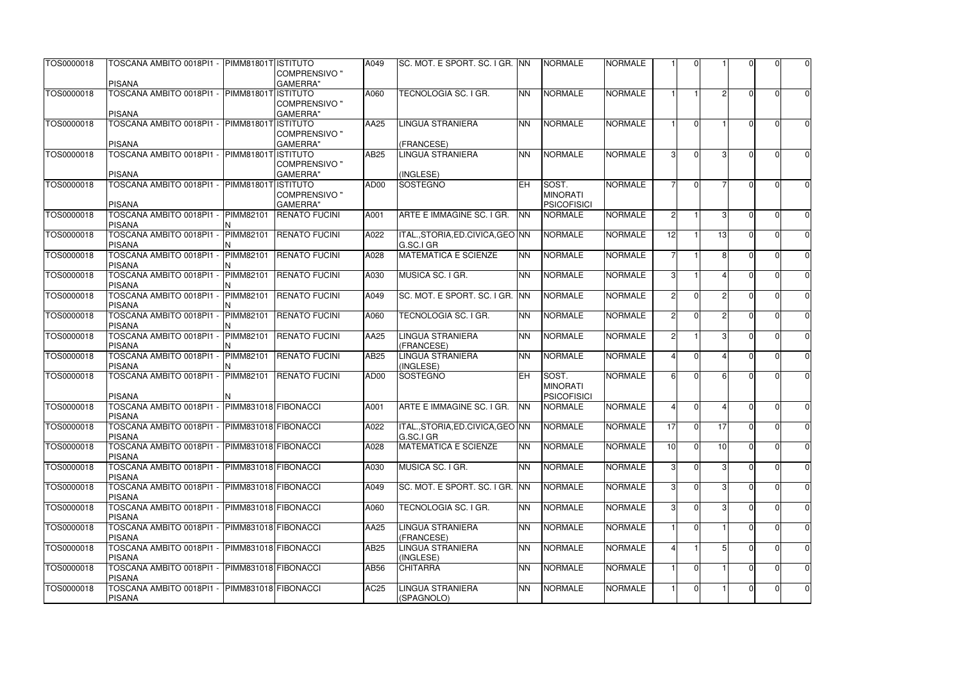| TOS0000018 | TOSCANA AMBITO 0018PI1 - PIMM81801T ISTITUTO                   |                      | <b>COMPRENSIVO "</b>                     | A049        | SC. MOT. E SPORT. SC. I GR. INN                |           | <b>NORMALE</b>                        | <b>NORMALE</b> |                |                |                 |              |          | $\mathbf 0$      |
|------------|----------------------------------------------------------------|----------------------|------------------------------------------|-------------|------------------------------------------------|-----------|---------------------------------------|----------------|----------------|----------------|-----------------|--------------|----------|------------------|
|            | <b>PISANA</b>                                                  |                      | <b>GAMERRA</b> "                         |             |                                                |           |                                       |                |                |                |                 |              |          |                  |
| TOS0000018 | TOSCANA AMBITO 0018PI1 - PIMM81801T                            |                      | <b>ISTITUTO</b><br><b>COMPRENSIVO</b> "  | A060        | <b>TECNOLOGIA SC. I GR.</b>                    | <b>NN</b> | <b>NORMALE</b>                        | <b>NORMALE</b> |                |                | $\overline{2}$  | $\Omega$     | $\Omega$ | $\mathbf 0$      |
| TOS0000018 | <b>PISANA</b><br>TOSCANA AMBITO 0018PI1 - PIMM81801T ISTITUTO  |                      | <b>GAMERRA"</b>                          | AA25        | <b>LINGUA STRANIERA</b>                        | <b>NN</b> | <b>NORMALE</b>                        | <b>NORMALE</b> |                | $\Omega$       |                 | $\Omega$     | ∩        | $\mathbf 0$      |
|            |                                                                |                      | <b>COMPRENSIVO</b> "                     |             |                                                |           |                                       |                |                |                |                 |              |          |                  |
|            | <b>PISANA</b>                                                  |                      | <b>GAMERRA</b> "                         |             | (FRANCESE)                                     |           |                                       |                |                |                |                 |              |          |                  |
| TOS0000018 | TOSCANA AMBITO 0018PI1 - PIMM81801TISTITUTO                    |                      |                                          | AB25        | <b>LINGUA STRANIERA</b>                        | <b>NN</b> | <b>NORMALE</b>                        | <b>NORMALE</b> |                | $\Omega$       | 3 <sup>l</sup>  |              |          | $\mathbf 0$      |
|            | <b>PISANA</b>                                                  |                      | <b>COMPRENSIVO</b> "<br><b>GAMERRA</b> " |             | (INGLESE)                                      |           |                                       |                |                |                |                 |              |          |                  |
| TOS0000018 | TOSCANA AMBITO 0018PI1 -                                       | <b>PIMM81801T</b>    | <b>ISTITUTO</b>                          | AD00        | <b>SOSTEGNO</b>                                | EH        | SOST.                                 | <b>NORMALE</b> |                | $\Omega$       |                 |              |          | $\pmb{0}$        |
|            | <b>PISANA</b>                                                  |                      | <b>COMPRENSIVO "</b><br><b>GAMERRA</b> " |             |                                                |           | <b>MINORATI</b><br><b>PSICOFISICI</b> |                |                |                |                 |              |          |                  |
|            |                                                                | PIMM82101            |                                          |             |                                                |           |                                       | <b>NORMALE</b> | 2              |                |                 | $\Omega$     | $\Omega$ |                  |
| TOS0000018 | TOSCANA AMBITO 0018PI1 -<br><b>PISANA</b>                      |                      | <b>RENATO FUCINI</b>                     | A001        | ARTE E IMMAGINE SC. I GR.                      | <b>NN</b> | <b>NORMALE</b>                        |                |                |                | 3 <sup>l</sup>  |              |          | $\mathbf 0$      |
| TOS0000018 | TOSCANA AMBITO 0018PI1 -<br><b>PISANA</b>                      | PIMM82101            | <b>RENATO FUCINI</b>                     | A022        | ITAL., STORIA, ED. CIVICA, GEO NN<br>G.SC.I GR |           | <b>NORMALE</b>                        | <b>NORMALE</b> | 12             |                | 13              | n.           |          | $\mathbf 0$      |
| TOS0000018 | TOSCANA AMBITO 0018PI1 -                                       | PIMM82101            | <b>RENATO FUCINI</b>                     | A028        | <b>MATEMATICA E SCIENZE</b>                    | <b>NN</b> | <b>NORMALE</b>                        | <b>NORMALE</b> |                |                | 8I              | <sup>n</sup> |          | $\pmb{0}$        |
|            | <b>PISANA</b>                                                  |                      |                                          |             |                                                |           |                                       |                |                |                |                 |              |          |                  |
| TOS0000018 | TOSCANA AMBITO 0018PI1 -<br><b>PISANA</b>                      | PIMM82101            | <b>RENATO FUCINI</b>                     | A030        | MUSICA SC. I GR.                               | <b>NN</b> | <b>NORMALE</b>                        | <b>NORMALE</b> | $\mathcal{B}$  |                | иI              |              |          | $\mathbf 0$      |
| TOS0000018 | TOSCANA AMBITO 0018PI1 -<br><b>PISANA</b>                      | <b>PIMM82101</b>     | <b>RENATO FUCINI</b>                     | A049        | SC. MOT. E SPORT. SC. I GR. INN                |           | <b>NORMALE</b>                        | <b>NORMALE</b> | $\overline{2}$ | $\Omega$       | 21              |              |          | $\mathbf 0$      |
| TOS0000018 | TOSCANA AMBITO 0018PI1 -<br><b>PISANA</b>                      | <b>PIMM82101</b>     | <b>RENATO FUCINI</b>                     | A060        | TECNOLOGIA SC. I GR.                           | <b>NN</b> | <b>NORMALE</b>                        | <b>NORMALE</b> | $\overline{2}$ | $\Omega$       | $\overline{2}$  | <sup>n</sup> |          | $\mathbf 0$      |
| TOS0000018 | TOSCANA AMBITO 0018PI1 -<br><b>PISANA</b>                      | <b>PIMM82101</b>     | <b>RENATO FUCINI</b>                     | AA25        | <b>LINGUA STRANIERA</b><br>(FRANCESE)          | <b>NN</b> | <b>NORMALE</b>                        | <b>NORMALE</b> | $\overline{2}$ |                | 3 <sup>l</sup>  | $\Omega$     | $\Omega$ | $\mathbf 0$      |
| TOS0000018 | TOSCANA AMBITO 0018PI1 -<br><b>PISANA</b>                      | PIMM82101            | <b>RENATO FUCINI</b>                     | AB25        | <b>LINGUA STRANIERA</b><br>(INGLESE)           | <b>NN</b> | <b>NORMALE</b>                        | <b>NORMALE</b> |                | $\Omega$       | 4               | $\Omega$     | $\Omega$ | $\mathbf 0$      |
| TOS0000018 | TOSCANA AMBITO 0018PI1 -                                       | PIMM82101            | <b>RENATO FUCINI</b>                     | AD00        | SOSTEGNO                                       | <b>EH</b> | SOST.                                 | <b>NORMALE</b> |                | $\Omega$       | 6 <sup>1</sup>  | U.           |          | $\mathbf 0$      |
|            | <b>PISANA</b>                                                  |                      |                                          |             |                                                |           | <b>MINORATI</b><br><b>PSICOFISICI</b> |                |                |                |                 |              |          |                  |
| TOS0000018 | TOSCANA AMBITO 0018PI1 -                                       | PIMM831018 FIBONACCI |                                          | A001        | ARTE E IMMAGINE SC. I GR.                      | <b>NN</b> | <b>NORMALE</b>                        | <b>NORMALE</b> |                | $\Omega$       | ΔI              | <sup>n</sup> |          | $\mathbf 0$      |
|            | <b>PISANA</b>                                                  |                      |                                          |             |                                                |           |                                       |                |                |                |                 |              |          |                  |
| TOS0000018 | TOSCANA AMBITO 0018PI1 - PIMM831018 FIBONACCI<br><b>PISANA</b> |                      |                                          | A022        | ITAL., STORIA, ED. CIVICA, GEO NN<br>G.SC.I GR |           | <b>NORMALE</b>                        | <b>NORMALE</b> | 17             | $\Omega$       | 17              | ΩI           | $\Omega$ | $\mathbf 0$      |
| TOS0000018 | TOSCANA AMBITO 0018PI1 -<br><b>PISANA</b>                      | PIMM831018 FIBONACCI |                                          | A028        | <b>MATEMATICA E SCIENZE</b>                    | <b>NN</b> | <b>NORMALE</b>                        | <b>NORMALE</b> | 10             | $\Omega$       | 10 <sup>1</sup> |              | 0        | $\mathbf 0$      |
| TOS0000018 | TOSCANA AMBITO 0018PI1 - PIMM831018 FIBONACCI<br><b>PISANA</b> |                      |                                          | A030        | MUSICA SC. I GR.                               | <b>NN</b> | <b>NORMALE</b>                        | <b>NORMALE</b> | $\mathbf{3}$   | $\Omega$       | 3 <sup>l</sup>  | U.           | $\Omega$ | $\mathbf 0$      |
| TOS0000018 | TOSCANA AMBITO 0018PI1 - PIMM831018 FIBONACCI<br><b>PISANA</b> |                      |                                          | A049        | SC. MOT. E SPORT. SC. I GR. INN                |           | <b>NORMALE</b>                        | <b>NORMALE</b> | $\mathcal{S}$  | $\Omega$       | 3I              |              | $\Omega$ | $\mathbf 0$      |
| TOS0000018 | TOSCANA AMBITO 0018PI1 - PIMM831018 FIBONACCI<br><b>PISANA</b> |                      |                                          | A060        | TECNOLOGIA SC. I GR.                           | <b>NN</b> | <b>NORMALE</b>                        | <b>NORMALE</b> | 31             | $\Omega$       | 3I              |              |          | $\mathbf 0$      |
| TOS0000018 | TOSCANA AMBITO 0018PI1 - PIMM831018 FIBONACCI<br><b>PISANA</b> |                      |                                          | AA25        | <b>LINGUA STRANIERA</b><br>(FRANCESE)          | <b>NN</b> | <b>NORMALE</b>                        | <b>NORMALE</b> |                | $\Omega$       |                 |              |          | $\mathbf 0$      |
| TOS0000018 | TOSCANA AMBITO 0018PI1 -<br><b>PISANA</b>                      | PIMM831018 FIBONACCI |                                          | AB25        | LINGUA STRANIERA<br>(INGLESE)                  | <b>NN</b> | <b>NORMALE</b>                        | <b>NORMALE</b> |                |                |                 |              |          | $\boldsymbol{0}$ |
| TOS0000018 | TOSCANA AMBITO 0018PI1 -                                       | PIMM831018 FIBONACCI |                                          | AB56        | <b>CHITARRA</b>                                | <b>NN</b> | <b>NORMALE</b>                        | <b>NORMALE</b> |                | $\Omega$       |                 | O.           | 0        | $\boldsymbol{0}$ |
| TOS0000018 | <b>PISANA</b><br>TOSCANA AMBITO 0018PI1 - PIMM831018 FIBONACCI |                      |                                          | <b>AC25</b> | <b>LINGUA STRANIERA</b><br>(SPAGNOLO)          | <b>NN</b> | <b>NORMALE</b>                        | <b>NORMALE</b> |                | $\overline{0}$ |                 | $\Omega$     | $\Omega$ | $\mathbf 0$      |
|            | <b>PISANA</b>                                                  |                      |                                          |             |                                                |           |                                       |                |                |                |                 |              |          |                  |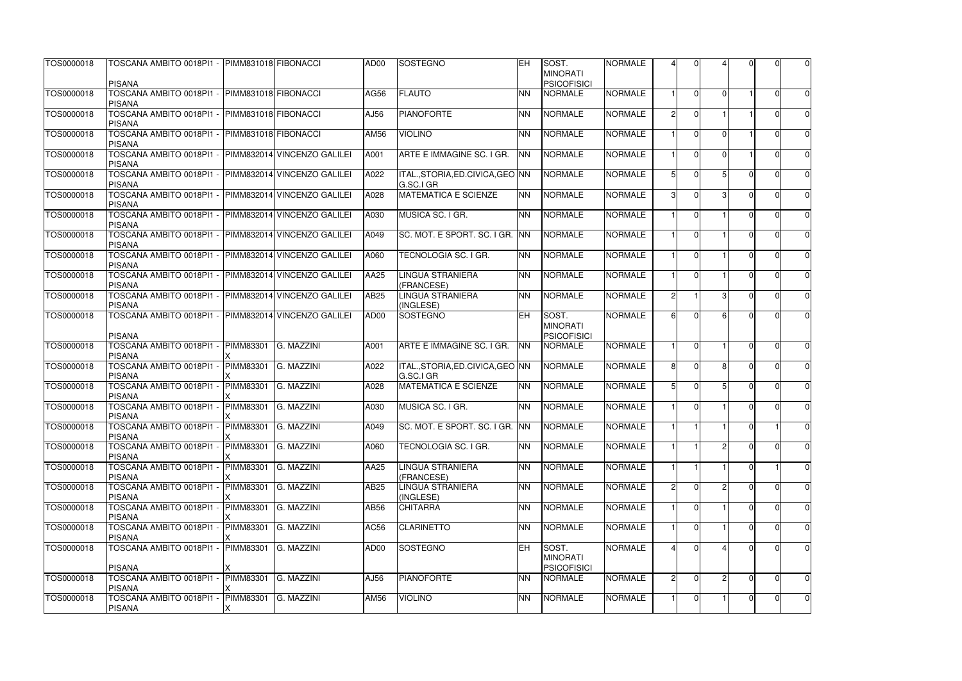| TOS0000018 | TOSCANA AMBITO 0018PI1 - PIMM831018 FIBONACCI<br><b>PISANA</b>        |                      |                             | AD00        | SOSTEGNO                                       | <b>IEH</b> | SOST.<br><b>MINORATI</b><br><b>PSICOFISICI</b> | <b>NORMALE</b> |                |                |          |          | ΩI             | $\overline{0}$ |
|------------|-----------------------------------------------------------------------|----------------------|-----------------------------|-------------|------------------------------------------------|------------|------------------------------------------------|----------------|----------------|----------------|----------|----------|----------------|----------------|
| TOS0000018 | TOSCANA AMBITO 0018PI1 - PIMM831018 FIBONACCI<br><b>PISANA</b>        |                      |                             | <b>AG56</b> | <b>FLAUTO</b>                                  | <b>NN</b>  | <b>NORMALE</b>                                 | <b>NORMALE</b> |                | $\Omega$       | $\Omega$ |          | $\Omega$       | $\overline{0}$ |
| TOS0000018 | TOSCANA AMBITO 0018PI1 - PIMM831018 FIBONACCI<br><b>PISANA</b>        |                      |                             | AJ56        | <b>PIANOFORTE</b>                              | <b>NN</b>  | <b>NORMALE</b>                                 | <b>NORMALE</b> | $\mathcal{D}$  | $\Omega$       |          |          | U              | $\overline{0}$ |
| TOS0000018 | TOSCANA AMBITO 0018PI1 -<br><b>PISANA</b>                             | PIMM831018 FIBONACCI |                             | AM56        | <b>VIOLINO</b>                                 | <b>NN</b>  | <b>NORMALE</b>                                 | <b>NORMALE</b> |                | $\Omega$       | ΩI       |          | 0              | $\overline{0}$ |
| TOS0000018 | TOSCANA AMBITO 0018PI1 -<br><b>PISANA</b>                             |                      | PIMM832014 VINCENZO GALILEI | A001        | ARTE E IMMAGINE SC. I GR.                      | <b>NN</b>  | <b>NORMALE</b>                                 | <b>NORMALE</b> |                | $\Omega$       | $\Omega$ |          |                | $\overline{0}$ |
| TOS0000018 | TOSCANA AMBITO 0018PI1 -<br><b>PISANA</b>                             |                      | PIMM832014 VINCENZO GALILEI | A022        | ITAL., STORIA, ED. CIVICA, GEO NN<br>G.SC.I GR |            | <b>NORMALE</b>                                 | <b>NORMALE</b> | $5 \mid$       | $\Omega$       |          |          | U              | $\overline{0}$ |
| TOS0000018 | TOSCANA AMBITO 0018PI1 -<br><b>PISANA</b>                             |                      | PIMM832014 VINCENZO GALILEI | A028        | <b>MATEMATICA E SCIENZE</b>                    | <b>NN</b>  | <b>NORMALE</b>                                 | <b>NORMALE</b> | 3              | $\Omega$       |          |          | $\Omega$       | $\overline{0}$ |
| TOS0000018 | TOSCANA AMBITO 0018PI1 -<br><b>PISANA</b>                             |                      | PIMM832014 VINCENZO GALILEI | A030        | MUSICA SC. I GR.                               | <b>NN</b>  | <b>NORMALE</b>                                 | <b>NORMALE</b> |                | $\Omega$       |          |          | O              | $\overline{0}$ |
| TOS0000018 | TOSCANA AMBITO 0018PI1 -<br><b>PISANA</b>                             |                      | PIMM832014 VINCENZO GALILEI | A049        | SC. MOT. E SPORT. SC. I GR. INN                |            | <b>NORMALE</b>                                 | <b>NORMALE</b> |                | $\Omega$       |          |          | U              | $\overline{0}$ |
| TOS0000018 | TOSCANA AMBITO 0018PI1 - PIMM832014 VINCENZO GALILEI<br><b>PISANA</b> |                      |                             | A060        | TECNOLOGIA SC. I GR.                           | <b>NN</b>  | <b>NORMALE</b>                                 | <b>NORMALE</b> |                | $\Omega$       |          |          | $\Omega$       | $\overline{0}$ |
| TOS0000018 | TOSCANA AMBITO 0018PI1 -<br><b>PISANA</b>                             |                      | PIMM832014 VINCENZO GALILEI | AA25        | LINGUA STRANIERA<br>(FRANCESE)                 | <b>NN</b>  | <b>NORMALE</b>                                 | <b>NORMALE</b> |                | $\Omega$       |          |          |                | $\overline{0}$ |
| TOS0000018 | TOSCANA AMBITO 0018PI1 - PIMM832014 VINCENZO GALILEI<br><b>PISANA</b> |                      |                             | <b>AB25</b> | LINGUA STRANIERA<br>(INGLESE)                  | <b>NN</b>  | <b>NORMALE</b>                                 | <b>NORMALE</b> | $\overline{2}$ |                |          | ∩        | 0              | $\overline{0}$ |
| TOS0000018 | TOSCANA AMBITO 0018PI1 - PIMM832014 VINCENZO GALILEI<br><b>PISANA</b> |                      |                             | AD00        | <b>SOSTEGNO</b>                                | <b>IEH</b> | SOST.<br><b>MINORATI</b><br><b>PSICOFISICI</b> | <b>NORMALE</b> | ĥ              | $\Omega$       |          |          | U              | $\overline{0}$ |
| TOS0000018 | TOSCANA AMBITO 0018PI1 -<br><b>PISANA</b>                             | <b>PIMM83301</b>     | G. MAZZINI                  | A001        | ARTE E IMMAGINE SC. I GR. NN                   |            | <b>NORMALE</b>                                 | <b>NORMALE</b> |                | $\Omega$       |          |          | $\Omega$       | $\overline{0}$ |
| TOS0000018 | TOSCANA AMBITO 0018PI1 -<br><b>PISANA</b>                             | <b>PIMM83301</b>     | G. MAZZINI                  | A022        | ITAL., STORIA, ED. CIVICA, GEO NN<br>G.SC.I GR |            | <b>NORMALE</b>                                 | <b>NORMALE</b> | 8I             | $\Omega$       | 8l       |          | $\Omega$       | $\overline{0}$ |
| TOS0000018 | TOSCANA AMBITO 0018PI1 -<br><b>PISANA</b>                             | <b>PIMM83301</b>     | G. MAZZINI                  | A028        | <b>MATEMATICA E SCIENZE</b>                    | <b>NN</b>  | <b>NORMALE</b>                                 | <b>NORMALE</b> | 5              | $\Omega$       |          | $\Omega$ | $\Omega$       | $\overline{0}$ |
| TOS0000018 | TOSCANA AMBITO 0018PI1 -<br><b>PISANA</b>                             | PIMM83301            | G. MAZZINI                  | A030        | MUSICA SC. I GR.                               | <b>NN</b>  | <b>NORMALE</b>                                 | <b>NORMALE</b> |                | $\Omega$       |          |          | 0              | 0              |
| TOS0000018 | TOSCANA AMBITO 0018PI1 - PIMM83301<br><b>PISANA</b>                   |                      | G. MAZZINI                  | A049        | SC. MOT. E SPORT. SC. I GR. INN                |            | <b>NORMALE</b>                                 | <b>NORMALE</b> |                |                |          | ΩI       |                | $\overline{0}$ |
| TOS0000018 | TOSCANA AMBITO 0018PI1 -<br><b>PISANA</b>                             | PIMM83301            | G. MAZZINI                  | A060        | TECNOLOGIA SC. I GR.                           | <b>NN</b>  | <b>NORMALE</b>                                 | <b>NORMALE</b> |                |                |          |          | $\Omega$       | $\overline{0}$ |
| TOS0000018 | TOSCANA AMBITO 0018PI1 -<br><b>PISANA</b>                             | PIMM83301            | G. MAZZINI                  | AA25        | <b>LINGUA STRANIERA</b><br>(FRANCESE)          | <b>NN</b>  | <b>NORMALE</b>                                 | <b>NORMALE</b> |                |                |          |          |                | $\overline{0}$ |
| TOS0000018 | TOSCANA AMBITO 0018PI1 -<br><b>PISANA</b>                             | PIMM83301            | G. MAZZINI                  | AB25        | LINGUA STRANIERA<br>(INGLESE)                  | <b>NN</b>  | <b>NORMALE</b>                                 | <b>NORMALE</b> | $\mathcal{D}$  | $\Omega$       |          |          | 0              | $\overline{0}$ |
| TOS0000018 | TOSCANA AMBITO 0018PI1 -<br><b>PISANA</b>                             | <b>PIMM83301</b>     | G. MAZZINI                  | AB56        | <b>CHITARRA</b>                                | <b>NN</b>  | <b>NORMALE</b>                                 | <b>NORMALE</b> |                | $\Omega$       |          |          | $\Omega$       | $\overline{0}$ |
| TOS0000018 | TOSCANA AMBITO 0018PI1 -<br><b>PISANA</b>                             | PIMM83301            | G. MAZZINI                  | AC56        | <b>CLARINETTO</b>                              | <b>NN</b>  | <b>NORMALE</b>                                 | <b>NORMALE</b> |                |                |          |          |                | $\overline{0}$ |
| TOS0000018 | TOSCANA AMBITO 0018PI1 -                                              | <b>PIMM83301</b>     | G. MAZZINI                  | AD00        | SOSTEGNO                                       | <b>IEH</b> | SOST.<br><b>MINORATI</b><br><b>PSICOFISICI</b> | <b>NORMALE</b> |                | $\Omega$       |          |          | U              | $\overline{0}$ |
| TOS0000018 | <b>PISANA</b><br>TOSCANA AMBITO 0018PI1 -                             | PIMM83301            | G. MAZZINI                  | AJ56        | <b>PIANOFORTE</b>                              | <b>NN</b>  | <b>NORMALE</b>                                 | <b>NORMALE</b> | 2              | $\overline{0}$ |          | U        | $\Omega$       | $\overline{0}$ |
| TOS0000018 | <b>PISANA</b><br>TOSCANA AMBITO 0018PI1 -<br><b>PISANA</b>            | PIMM83301<br>X       | G. MAZZINI                  | AM56        | <b>VIOLINO</b>                                 | <b>NN</b>  | <b>NORMALE</b>                                 | <b>NORMALE</b> |                | $\overline{0}$ |          |          | $\overline{0}$ | $\overline{0}$ |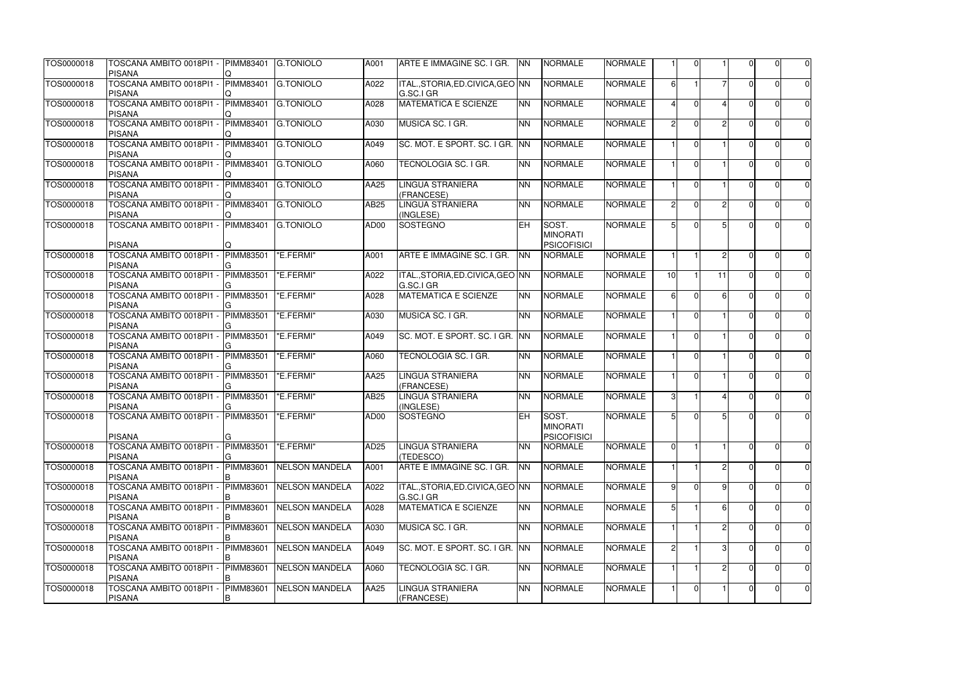| TOS0000018 | TOSCANA AMBITO 0018PI1 -<br><b>PISANA</b>                      | <b>PIMM83401</b>       | <b>G.TONIOLO</b>      | A001             | ARTE E IMMAGINE SC. I GR.                      | <b>NN</b>  | <b>NORMALE</b>                                 | <b>NORMALE</b> |                |                |                |                | O              | $\pmb{0}$   |
|------------|----------------------------------------------------------------|------------------------|-----------------------|------------------|------------------------------------------------|------------|------------------------------------------------|----------------|----------------|----------------|----------------|----------------|----------------|-------------|
| TOS0000018 | TOSCANA AMBITO 0018PI1 -<br><b>PISANA</b>                      | <b>PIMM83401</b>       | <b>G.TONIOLO</b>      | A022             | ITAL., STORIA, ED. CIVICA, GEO NN<br>G.SC.I GR |            | <b>NORMALE</b>                                 | <b>NORMALE</b> | 6              |                |                | ΩI             | $\Omega$       | $\mathbf 0$ |
| TOS0000018 | TOSCANA AMBITO 0018PI1 -<br><b>PISANA</b>                      | PIMM83401              | <b>G.TONIOLO</b>      | A028             | <b>MATEMATICA E SCIENZE</b>                    | <b>NN</b>  | <b>NORMALE</b>                                 | <b>NORMALE</b> |                | $\Omega$       |                | U.             |                | $\mathbf 0$ |
| TOS0000018 | TOSCANA AMBITO 0018PI1 -<br><b>PISANA</b>                      | <b>PIMM83401</b>       | <b>G.TONIOLO</b>      | A030             | MUSICA SC. I GR.                               | <b>NN</b>  | <b>NORMALE</b>                                 | <b>NORMALE</b> | $\mathcal{D}$  | $\Omega$       | $\mathcal{P}$  | U.             |                | $\mathbf 0$ |
| TOS0000018 | TOSCANA AMBITO 0018PI1 -<br><b>PISANA</b>                      | PIMM83401              | <b>G.TONIOLO</b>      | A049             | SC. MOT. E SPORT. SC. I GR. INN                |            | <b>NORMALE</b>                                 | <b>NORMALE</b> |                | $\Omega$       |                | $\cap$         | $\Omega$       | $\mathbf 0$ |
| TOS0000018 | TOSCANA AMBITO 0018PI1 -<br><b>PISANA</b>                      | <b>PIMM83401</b>       | <b>G.TONIOLO</b>      | A060             | TECNOLOGIA SC. I GR.                           | <b>NN</b>  | <b>NORMALE</b>                                 | <b>NORMALE</b> |                | $\Omega$       |                |                |                | $\mathbf 0$ |
| TOS0000018 | TOSCANA AMBITO 0018PI1 -<br><b>PISANA</b>                      | PIMM83401              | <b>G.TONIOLO</b>      | AA25             | <b>LINGUA STRANIERA</b><br>(FRANCESE)          | <b>NN</b>  | <b>NORMALE</b>                                 | <b>NORMALE</b> |                | $\Omega$       |                | n.             |                | $\pmb{0}$   |
| TOS0000018 | TOSCANA AMBITO 0018PI1 -<br><b>PISANA</b>                      | <b>PIMM83401</b>       | <b>G.TONIOLO</b>      | AB25             | LINGUA STRANIERA<br>(INGLESE)                  | <b>NN</b>  | <b>NORMALE</b>                                 | <b>NORMALE</b> | 2              | $\Omega$       | $\overline{2}$ | $\Omega$       | <sup>0</sup>   | $\mathbf 0$ |
| TOS0000018 | TOSCANA AMBITO 0018PI1 -                                       | PIMM83401              | <b>G.TONIOLO</b>      | AD00             | <b>SOSTEGNO</b>                                | <b>EH</b>  | SOST.<br><b>MINORATI</b>                       | <b>NORMALE</b> |                | $\Omega$       | 5 <sup>1</sup> | U              | ∩              | $\mathbf 0$ |
| TOS0000018 | <b>PISANA</b><br>TOSCANA AMBITO 0018PI1 -                      | <b>PIMM83501</b>       | "E.FERMI"             | A001             | ARTE E IMMAGINE SC. I GR.                      | <b>NN</b>  | <b>PSICOFISICI</b><br><b>NORMALE</b>           | <b>NORMALE</b> |                |                | 21             | $\cap$         | ∩              | $\pmb{0}$   |
| TOS0000018 | <b>PISANA</b><br>TOSCANA AMBITO 0018PI1 -                      | <b>PIMM83501</b>       | "E.FERMI"             | A022             | ITAL., STORIA, ED. CIVICA, GEO NN              |            | <b>NORMALE</b>                                 | <b>NORMALE</b> | 10             |                | 11             | $\Omega$       |                | $\mathbf 0$ |
| TOS0000018 | <b>PISANA</b><br>TOSCANA AMBITO 0018PI1 -                      | <b>PIMM83501</b>       | "E.FERMI"             | A028             | G.SC.I GR<br><b>MATEMATICA E SCIENZE</b>       | <b>NN</b>  | <b>NORMALE</b>                                 | <b>NORMALE</b> | 6              | $\Omega$       | 6              |                |                | $\mathbf 0$ |
|            | <b>PISANA</b>                                                  |                        |                       |                  |                                                |            |                                                |                |                |                |                |                |                |             |
| TOS0000018 | TOSCANA AMBITO 0018PI1 -<br><b>PISANA</b>                      | <b>PIMM83501</b>       | "E.FERMI"             | A030             | MUSICA SC. I GR.                               | <b>NN</b>  | <b>NORMALE</b>                                 | <b>NORMALE</b> |                | $\Omega$       |                | n.             |                | $\pmb{0}$   |
| TOS0000018 | TOSCANA AMBITO 0018PI1 -<br><b>PISANA</b>                      | <b>PIMM83501</b>       | "E.FERMI"             | A049             | SC. MOT. E SPORT. SC. I GR. INN                |            | <b>NORMALE</b>                                 | <b>NORMALE</b> |                | $\Omega$       |                | $\Omega$       | $\Omega$       | $\mathbf 0$ |
| TOS0000018 | TOSCANA AMBITO 0018PI1 -<br><b>PISANA</b>                      | <b>PIMM83501</b>       | "E.FERMI"             | A060             | TECNOLOGIA SC. I GR.                           | <b>NN</b>  | <b>NORMALE</b>                                 | <b>NORMALE</b> |                | $\Omega$       |                | ΩI             | $\Omega$       | $\mathbf 0$ |
| TOS0000018 | TOSCANA AMBITO 0018PI1 -<br><b>PISANA</b>                      | <b>PIMM83501</b>       | "E.FERMI"             | AA25             | <b>LINGUA STRANIERA</b><br>(FRANCESE)          | <b>NN</b>  | <b>NORMALE</b>                                 | <b>NORMALE</b> |                | $\Omega$       |                | $\Omega$       | U              | $\pmb{0}$   |
| TOS0000018 | TOSCANA AMBITO 0018PI1 -<br><b>PISANA</b>                      | <b>PIMM83501</b>       | "E.FERMI"             | AB25             | LINGUA STRANIERA<br>(INGLESE)                  | <b>NN</b>  | <b>NORMALE</b>                                 | <b>NORMALE</b> | $\mathcal{B}$  |                | $\Delta$       | $\Omega$       | $\Omega$       | $\mathbf 0$ |
| TOS0000018 | TOSCANA AMBITO 0018PI1 - PIMM83501  "E.FERMI"<br><b>PISANA</b> | G.                     |                       | AD00             | SOSTEGNO                                       | <b>IEH</b> | SOST.<br><b>MINORATI</b><br><b>PSICOFISICI</b> | <b>NORMALE</b> | 5 <sub>l</sub> | $\Omega$       | 5 <sup>1</sup> | $\overline{0}$ | 0I             | $\Omega$    |
| TOS0000018 | TOSCANA AMBITO 0018PI1 -<br><b>PISANA</b>                      | <b>PIMM83501</b>       | "E.FERMI"             | AD <sub>25</sub> | LINGUA STRANIERA<br>(TEDESCO)                  | <b>NN</b>  | <b>NORMALE</b>                                 | <b>NORMALE</b> | $\Omega$       |                |                | $\Omega$       | $\Omega$       | $\mathbf 0$ |
| TOS0000018 | TOSCANA AMBITO 0018PI1 -<br><b>PISANA</b>                      | <b>PIMM83601</b>       | <b>NELSON MANDELA</b> | A001             | ARTE E IMMAGINE SC. I GR.                      | <b>NN</b>  | <b>NORMALE</b>                                 | <b>NORMALE</b> |                |                | $\overline{2}$ | $\Omega$       | $\Omega$       | $\mathbf 0$ |
| TOS0000018 | TOSCANA AMBITO 0018PI1 -<br><b>PISANA</b>                      | <b>PIMM83601</b>       | <b>NELSON MANDELA</b> | A022             | ITAL., STORIA, ED. CIVICA, GEO NN<br>G.SC.I GR |            | <b>NORMALE</b>                                 | <b>NORMALE</b> | <b>q</b>       | $\Omega$       | 9              | $\Omega$       | $\Omega$       | $\mathbf 0$ |
| TOS0000018 | TOSCANA AMBITO 0018PI1 -<br><b>PISANA</b>                      | <b>PIMM83601</b>       | <b>NELSON MANDELA</b> | A028             | <b>MATEMATICA E SCIENZE</b>                    | <b>NN</b>  | <b>NORMALE</b>                                 | <b>NORMALE</b> | 51             |                | 61             | <sup>n</sup>   | <sup>0</sup>   | $\mathbf 0$ |
| TOS0000018 | TOSCANA AMBITO 0018PI1 -<br><b>PISANA</b>                      | <b>PIMM83601</b>       | NELSON MANDELA        | A030             | MUSICA SC. I GR.                               | <b>NN</b>  | <b>NORMALE</b>                                 | <b>NORMALE</b> |                |                | $\overline{2}$ | $\Omega$       |                | $\mathbf 0$ |
| TOS0000018 | TOSCANA AMBITO 0018PI1<br><b>PISANA</b>                        | <b>PIMM83601</b>       | <b>NELSON MANDELA</b> | A049             | SC. MOT. E SPORT. SC. I GR. INN                |            | <b>NORMALE</b>                                 | <b>NORMALE</b> | $\mathcal{P}$  |                | 3              | O.             |                | $\mathbf 0$ |
| TOS0000018 | TOSCANA AMBITO 0018PI1 -<br><b>PISANA</b>                      | <b>PIMM83601</b>       | <b>NELSON MANDELA</b> | A060             | TECNOLOGIA SC. I GR.                           | <b>NN</b>  | <b>NORMALE</b>                                 | <b>NORMALE</b> |                |                | $\overline{2}$ | O.             | <sup>0</sup>   | $\mathbf 0$ |
| TOS0000018 | TOSCANA AMBITO 0018PI1 -<br><b>PISANA</b>                      | <b>PIMM83601</b><br>ΙB | NELSON MANDELA        | AA25             | <b>LINGUA STRANIERA</b><br>(FRANCESE)          | <b>NN</b>  | <b>NORMALE</b>                                 | <b>NORMALE</b> |                | $\overline{0}$ |                | $\Omega$       | $\overline{0}$ | $\mathbf 0$ |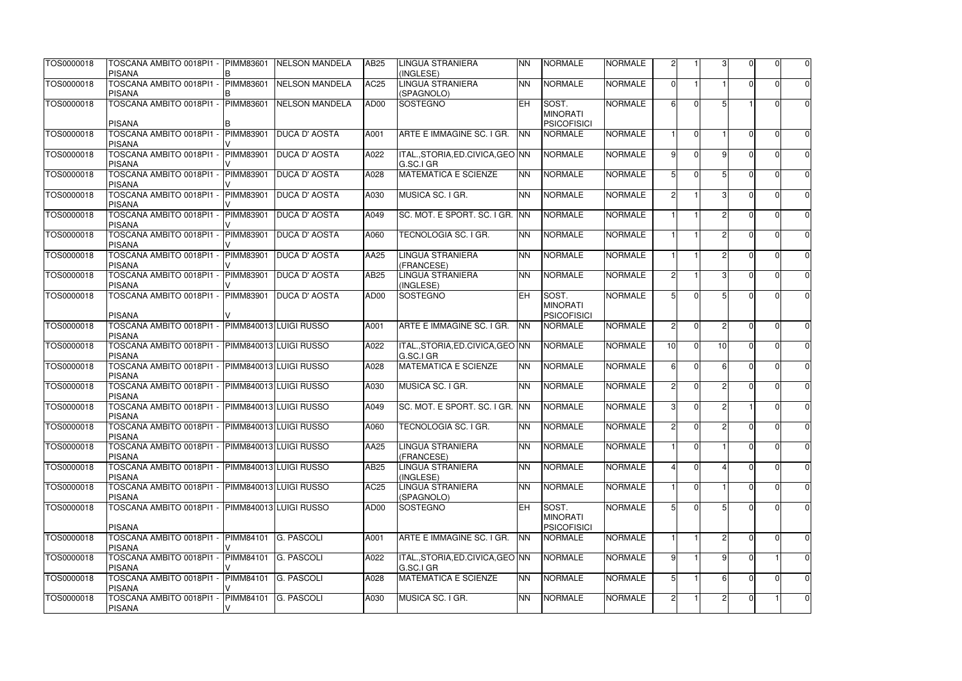| TOS0000018 | TOSCANA AMBITO 0018PI1 -<br><b>PISANA</b>                        | <b>PIMM83601</b> | <b>NELSON MANDELA</b>  | AB25        | <b>LINGUA STRANIERA</b><br>(INGLESE)           | <b>NN</b>  | <b>NORMALE</b>                                 | <b>NORMALE</b> | $\overline{2}$  |                |                 |              | ΩI             | $\overline{0}$ |
|------------|------------------------------------------------------------------|------------------|------------------------|-------------|------------------------------------------------|------------|------------------------------------------------|----------------|-----------------|----------------|-----------------|--------------|----------------|----------------|
| TOS0000018 | TOSCANA AMBITO 0018PI1 -<br><b>PISANA</b>                        | <b>PIMM83601</b> | NELSON MANDELA         | <b>AC25</b> | <b>LINGUA STRANIERA</b><br>(SPAGNOLO)          | <b>NN</b>  | <b>NORMALE</b>                                 | <b>NORMALE</b> | $\Omega$        |                |                 |              | 0              | $\overline{0}$ |
| TOS0000018 | TOSCANA AMBITO 0018PI1 - PIMM83601<br><b>PISANA</b>              |                  | <b>NELSON MANDELA</b>  | AD00        | SOSTEGNO                                       | <b>IEH</b> | SOST.<br><b>MINORATI</b><br><b>PSICOFISICI</b> | <b>NORMALE</b> | $6 \mid$        | $\Omega$       |                 |              | 0              | $\overline{0}$ |
| TOS0000018 | TOSCANA AMBITO 0018PI1 -<br><b>PISANA</b>                        | PIMM83901        | <b>DUCA D' AOSTA</b>   | A001        | ARTE E IMMAGINE SC. I GR.                      | <b>NN</b>  | <b>NORMALE</b>                                 | <b>NORMALE</b> |                 | $\overline{0}$ |                 | <sup>n</sup> | $\Omega$       | $\overline{0}$ |
| TOS0000018 | TOSCANA AMBITO 0018PI1 -<br><b>PISANA</b>                        | PIMM83901        | <b>DUCA D' AOSTA</b>   | A022        | ITAL., STORIA, ED. CIVICA, GEO NN<br>G.SC.I GR |            | <b>NORMALE</b>                                 | <b>NORMALE</b> | $\alpha$        | $\Omega$       | -9              |              | $\Omega$       | $\overline{0}$ |
| TOS0000018 | TOSCANA AMBITO 0018PI1 -<br><b>PISANA</b>                        | PIMM83901        | <b>DUCA D' AOSTA</b>   | A028        | <b>MATEMATICA E SCIENZE</b>                    | <b>NN</b>  | <b>NORMALE</b>                                 | <b>NORMALE</b> |                 | $\Omega$       |                 |              |                | $\overline{0}$ |
| TOS0000018 | TOSCANA AMBITO 0018PI1 -<br><b>PISANA</b>                        | PIMM83901        | <b>DUCA D' AOSTA</b>   | A030        | MUSICA SC. I GR.                               | <b>NN</b>  | <b>NORMALE</b>                                 | <b>NORMALE</b> | $\overline{2}$  |                | 31              |              | 0              | $\overline{0}$ |
| TOS0000018 | TOSCANA AMBITO 0018PI1 -<br><b>PISANA</b>                        | PIMM83901        | <b>DUCA D' AOSTA</b>   | A049        | SC. MOT. E SPORT. SC. I GR. INN                |            | <b>NORMALE</b>                                 | <b>NORMALE</b> |                 |                |                 | ∩            | $\Omega$       | $\overline{0}$ |
| TOS0000018 | TOSCANA AMBITO 0018PI1 -<br><b>PISANA</b>                        | PIMM83901        | <b>DUCA D' AOSTA</b>   | A060        | TECNOLOGIA SC. I GR.                           | <b>NN</b>  | <b>NORMALE</b>                                 | <b>NORMALE</b> |                 |                | っ               |              | O              | $\overline{0}$ |
| TOS0000018 | TOSCANA AMBITO 0018PI1 -<br><b>PISANA</b>                        | <b>PIMM83901</b> | <b>DUCA D' AOSTA</b>   | AA25        | <b>LINGUA STRANIERA</b><br>(FRANCESE)          | <b>NN</b>  | <b>NORMALE</b>                                 | <b>NORMALE</b> |                 |                | $\mathcal{D}$   |              | U              | $\overline{0}$ |
| TOS0000018 | TOSCANA AMBITO 0018PI1 -<br><b>PISANA</b>                        | <b>PIMM83901</b> | <b>DUCA D' AOSTA</b>   | AB25        | <b>LINGUA STRANIERA</b><br>(INGLESE)           | <b>NN</b>  | <b>NORMALE</b>                                 | <b>NORMALE</b> | $\overline{2}$  |                | $\mathcal{B}$   |              | $\Omega$       | $\overline{0}$ |
| TOS0000018 | TOSCANA AMBITO 0018PI1 -<br><b>PISANA</b>                        | <b>PIMM83901</b> | <b>DUCA D' AOSTA</b>   | AD00        | <b>SOSTEGNO</b>                                | <b>EH</b>  | SOST.<br><b>MINORATI</b><br><b>PSICOFISICI</b> | <b>NORMALE</b> |                 | $\Omega$       |                 |              |                | $\overline{0}$ |
| TOS0000018 | TOSCANA AMBITO 0018PI1 -<br><b>PISANA</b>                        |                  | PIMM840013 LUIGI RUSSO | A001        | ARTE E IMMAGINE SC. I GR.                      | <b>NN</b>  | <b>NORMALE</b>                                 | <b>NORMALE</b> | $\overline{2}$  | $\overline{0}$ | 2               |              | O              | $\overline{0}$ |
| TOS0000018 | TOSCANA AMBITO 0018PI1 - PIMM840013 LUIGI RUSSO<br><b>PISANA</b> |                  |                        | A022        | ITAL., STORIA, ED. CIVICA, GEO NN<br>G.SC.I GR |            | <b>NORMALE</b>                                 | <b>NORMALE</b> | 10 <sub>1</sub> | $\overline{0}$ | 10 <sup>1</sup> | $\Omega$     | $\overline{0}$ | $\overline{0}$ |
| TOS0000018 | TOSCANA AMBITO 0018PI1 - PIMM840013 LUIGI RUSSO<br><b>PISANA</b> |                  |                        | A028        | <b>MATEMATICA E SCIENZE</b>                    | <b>NN</b>  | <b>NORMALE</b>                                 | <b>NORMALE</b> | 61              | $\Omega$       | 61              | ∩            | 0              | $\overline{0}$ |
| TOS0000018 | TOSCANA AMBITO 0018PI1 - PIMM840013 LUIGI RUSSO<br><b>PISANA</b> |                  |                        | A030        | MUSICA SC. I GR.                               | <b>NN</b>  | <b>NORMALE</b>                                 | <b>NORMALE</b> | $\mathcal{D}$   | $\Omega$       | $\mathcal{D}$   | ΩI           | $\Omega$       | $\overline{0}$ |
| TOS0000018 | TOSCANA AMBITO 0018PI1 - PIMM840013 LUIGI RUSSO<br><b>PISANA</b> |                  |                        | A049        | SC. MOT. E SPORT. SC. I GR. INN                |            | <b>NORMALE</b>                                 | <b>NORMALE</b> | $\mathbf{3}$    | $\Omega$       |                 |              | $\Omega$       | $\overline{0}$ |
| TOS0000018 | TOSCANA AMBITO 0018PI1 - PIMM840013 LUIGI RUSSO<br><b>PISANA</b> |                  |                        | A060        | TECNOLOGIA SC. I GR.                           | <b>NN</b>  | <b>NORMALE</b>                                 | <b>NORMALE</b> | $\overline{2}$  | $\overline{0}$ |                 |              | $\overline{0}$ | $\overline{0}$ |
| TOS0000018 | TOSCANA AMBITO 0018PI1 -<br><b>PISANA</b>                        |                  | PIMM840013 LUIGI RUSSO | AA25        | <b>LINGUA STRANIERA</b><br>(FRANCESE)          | <b>NN</b>  | <b>NORMALE</b>                                 | <b>NORMALE</b> |                 | $\overline{0}$ |                 |              | 01             | $\overline{0}$ |
| TOS0000018 | TOSCANA AMBITO 0018PI1 -<br><b>PISANA</b>                        |                  | PIMM840013 LUIGI RUSSO | <b>AB25</b> | LINGUA STRANIERA<br>(INGLESE)                  | <b>NN</b>  | <b>NORMALE</b>                                 | <b>NORMALE</b> | $\mathbf{4}$    | $\overline{0}$ |                 |              | $\overline{0}$ | $\overline{0}$ |
| TOS0000018 | TOSCANA AMBITO 0018PI1 -<br><b>PISANA</b>                        |                  | PIMM840013 LUIGI RUSSO | <b>AC25</b> | <b>LINGUA STRANIERA</b><br>(SPAGNOLO)          | <b>NN</b>  | <b>NORMALE</b>                                 | <b>NORMALE</b> |                 | $\Omega$       |                 |              | 0              | $\overline{0}$ |
| TOS0000018 | TOSCANA AMBITO 0018PI1 - PIMM840013 LUIGI RUSSO                  |                  |                        | AD00        | SOSTEGNO                                       | EH         | SOST.<br><b>MINORATI</b>                       | <b>NORMALE</b> |                 | $\Omega$       |                 |              | ΩI             | $\overline{0}$ |
| TOS0000018 | <b>PISANA</b><br>TOSCANA AMBITO 0018PI1 -                        | <b>PIMM84101</b> | <b>G. PASCOLI</b>      | A001        | ARTE E IMMAGINE SC. I GR. INN                  |            | <b>PSICOFISICI</b><br><b>NORMALE</b>           | <b>NORMALE</b> |                 |                |                 |              | $\overline{0}$ | $\overline{0}$ |
| TOS0000018 | <b>PISANA</b><br>TOSCANA AMBITO 0018PI1 -                        | PIMM84101        | <b>G. PASCOLI</b>      | A022        | ITAL.,STORIA,ED.CIVICA,GEO INN                 |            | <b>NORMALE</b>                                 | <b>NORMALE</b> | 9               |                |                 |              |                | $\overline{0}$ |
| TOS0000018 | <b>PISANA</b><br>TOSCANA AMBITO 0018PI1 -                        | PIMM84101        | <b>G. PASCOLI</b>      | A028        | G.SC.I GR<br><b>MATEMATICA E SCIENZE</b>       | <b>NN</b>  | <b>NORMALE</b>                                 | <b>NORMALE</b> | 51              |                | 6               |              | 0              | $\overline{0}$ |
| TOS0000018 | <b>PISANA</b><br>TOSCANA AMBITO 0018PI1 -                        | PIMM84101        | <b>G. PASCOLI</b>      | A030        | MUSICA SC. I GR.                               | <b>NN</b>  | <b>NORMALE</b>                                 | <b>NORMALE</b> | $\overline{2}$  |                |                 | $\Omega$     |                | $\overline{0}$ |
|            | <b>PISANA</b>                                                    | V                |                        |             |                                                |            |                                                |                |                 |                |                 |              |                |                |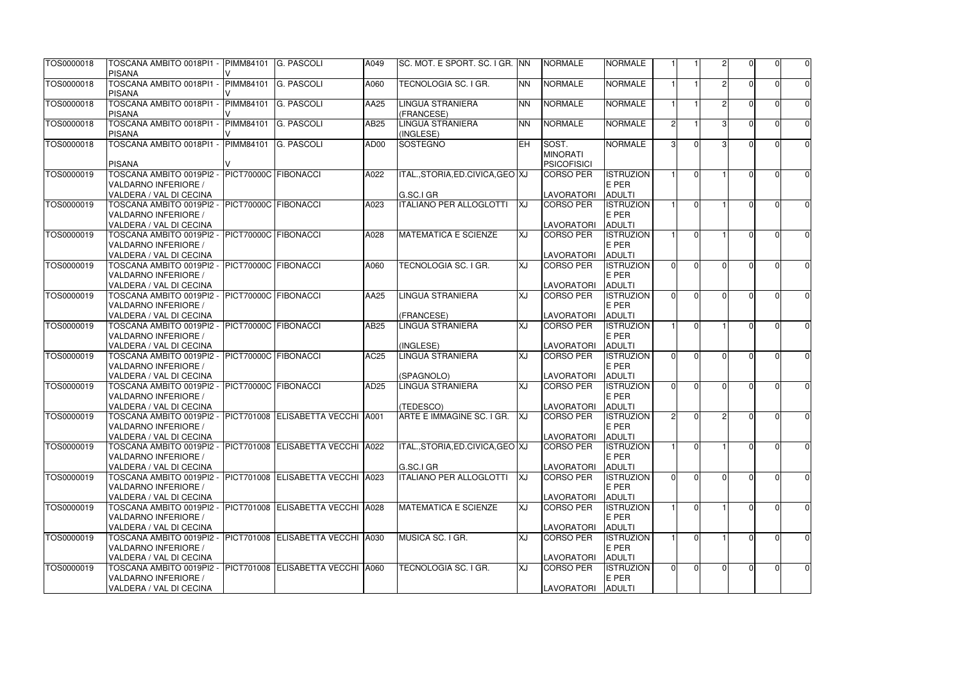| TOS0000018 | TOSCANA AMBITO 0018PI1 -<br>PISANA                                                                            | <b>PIMM84101</b>     | <b>G. PASCOLI</b>                 | A049        | SC. MOT. E SPORT. SC. I GR. INN                |           | <b>NORMALE</b>                                 | <b>NORMALE</b>                             |                |                |                |          | 0              | $\overline{0}$ |
|------------|---------------------------------------------------------------------------------------------------------------|----------------------|-----------------------------------|-------------|------------------------------------------------|-----------|------------------------------------------------|--------------------------------------------|----------------|----------------|----------------|----------|----------------|----------------|
| TOS0000018 | TOSCANA AMBITO 0018PI1 -<br><b>PISANA</b>                                                                     | <b>PIMM84101</b>     | <b>G. PASCOLI</b>                 | A060        | TECNOLOGIA SC. I GR.                           | <b>NN</b> | <b>NORMALE</b>                                 | <b>NORMALE</b>                             |                |                |                |          | $\Omega$       | $\overline{0}$ |
| TOS0000018 | TOSCANA AMBITO 0018PI1 -<br><b>PISANA</b>                                                                     | PIMM84101            | <b>G. PASCOLI</b>                 | AA25        | <b>LINGUA STRANIERA</b><br>(FRANCESE)          | <b>NN</b> | <b>NORMALE</b>                                 | <b>NORMALE</b>                             |                |                |                |          | 0              | $\overline{0}$ |
| TOS0000018 | TOSCANA AMBITO 0018PI1 -<br><b>PISANA</b>                                                                     | PIMM84101            | <b>G. PASCOLI</b>                 | AB25        | <b>LINGUA STRANIERA</b><br>(INGLESE)           | <b>NN</b> | <b>NORMALE</b>                                 | <b>NORMALE</b>                             | 21             |                | з              |          | U              | $\overline{0}$ |
| TOS0000018 | TOSCANA AMBITO 0018PI1 -<br><b>PISANA</b>                                                                     | <b>PIMM84101</b>     | <b>G. PASCOLI</b>                 | AD00        | SOSTEGNO                                       | EH.       | SOST.<br><b>MINORATI</b><br><b>PSICOFISICI</b> | <b>NORMALE</b>                             | $\mathbf{3}$   | $\Omega$       |                |          |                | $\overline{0}$ |
| TOS0000019 | TOSCANA AMBITO 0019PI2 -<br>VALDARNO INFERIORE /<br>VALDERA / VAL DI CECINA                                   | PICT70000C FIBONACCI |                                   | A022        | ITAL., STORIA, ED. CIVICA, GEO XJ<br>G.SC.I GR |           | <b>CORSO PER</b><br>LAVORATORI                 | <b>ISTRUZION</b><br>E PER<br><b>ADULTI</b> |                | $\Omega$       |                |          |                | $\overline{0}$ |
| TOS0000019 | TOSCANA AMBITO 0019PI2 -<br>VALDARNO INFERIORE /<br>VALDERA / VAL DI CECINA                                   | PICT70000C FIBONACCI |                                   | A023        | <b>ITALIANO PER ALLOGLOTTI</b>                 | <b>XJ</b> | <b>CORSO PER</b><br><b>LAVORATORI</b>          | <b>ISTRUZION</b><br>E PER<br><b>ADULTI</b> |                | $\Omega$       |                |          | U              | $\overline{0}$ |
| TOS0000019 | TOSCANA AMBITO 0019PI2 -<br>VALDARNO INFERIORE /<br>VALDERA / VAL DI CECINA                                   | PICT70000C FIBONACCI |                                   | A028        | <b>MATEMATICA E SCIENZE</b>                    | XJ        | CORSO PER<br><b>LAVORATORI</b>                 | <b>ISTRUZION</b><br>E PER<br><b>ADULTI</b> |                | $\Omega$       |                |          | U              | $\overline{0}$ |
| TOS0000019 | TOSCANA AMBITO 0019PI2 -<br>VALDARNO INFERIORE /<br>VALDERA / VAL DI CECINA                                   | PICT70000C FIBONACCI |                                   | A060        | <b>TECNOLOGIA SC. I GR.</b>                    | XJ        | CORSO PER<br><b>LAVORATORI</b>                 | <b>ISTRUZION</b><br>E PER<br><b>ADULTI</b> | $\Omega$       | $\Omega$       | ΩI             |          | U              | $\overline{0}$ |
| TOS0000019 | TOSCANA AMBITO 0019PI2 -<br>VALDARNO INFERIORE /<br>VALDERA / VAL DI CECINA                                   | PICT70000C FIBONACCI |                                   | AA25        | LINGUA STRANIERA<br>(FRANCESE)                 | <u>IX</u> | CORSO PER<br><b>LAVORATORI</b>                 | <b>ISTRUZION</b><br>E PER<br><b>ADULTI</b> | $\Omega$       | $\Omega$       | $\Omega$       |          |                | $\overline{0}$ |
| TOS0000019 | - TOSCANA AMBITO 0019PI2<br>VALDARNO INFERIORE /<br>VALDERA / VAL DI CECINA                                   | PICT70000C FIBONACCI |                                   | AB25        | <b>LINGUA STRANIERA</b><br>(INGLESE)           | XJ        | <b>CORSO PER</b><br><b>LAVORATORI</b>          | <b>ISTRUZION</b><br>E PER<br><b>ADULTI</b> |                | $\Omega$       |                |          | U              | 0              |
| TOS0000019 | TOSCANA AMBITO 0019PI2 -<br>VALDARNO INFERIORE /<br>VALDERA / VAL DI CECINA                                   | PICT70000C FIBONACCI |                                   | <b>AC25</b> | <b>LINGUA STRANIERA</b><br>(SPAGNOLO)          | XJ        | CORSO PER<br><b>LAVORATORI</b>                 | <b>ISTRUZION</b><br>E PER<br><b>ADULTI</b> | $\Omega$       | $\Omega$       | $\Omega$       |          | O              | $\overline{0}$ |
| TOS0000019 | TOSCANA AMBITO 0019PI2 -<br>VALDARNO INFERIORE /<br>VALDERA / VAL DI CECINA                                   | PICT70000C FIBONACCI |                                   | AD25        | LINGUA STRANIERA<br>(TEDESCO)                  | XJ        | CORSO PER<br><b>LAVORATORI</b>                 | <b>ISTRUZION</b><br>E PER<br><b>ADULTI</b> | ΩI             | $\Omega$       | ΩI             |          | U              | $\overline{0}$ |
| TOS0000019 | TOSCANA AMBITO 0019PI2 - PICT701008 ELISABETTA VECCHI A001<br>VALDARNO INFERIORE /<br>VALDERA / VAL DI CECINA |                      |                                   |             | ARTE E IMMAGINE SC. I GR. XJ                   |           | <b>CORSO PER</b><br><b>LAVORATORI</b>          | <b>ISTRUZION</b><br>E PER<br><b>ADULTI</b> | $\overline{2}$ | $\Omega$       | $\overline{2}$ | $\Omega$ | $\overline{0}$ | $\overline{0}$ |
| TOS0000019 | TOSCANA AMBITO 0019PI2 -<br>VALDARNO INFERIORE /<br>VALDERA / VAL DI CECINA                                   |                      | PICT701008 ELISABETTA VECCHI A022 |             | ITAL., STORIA, ED. CIVICA, GEO XJ<br>G.SC.I GR |           | <b>CORSO PER</b><br><b>LAVORATORI</b>          | <b>ISTRUZION</b><br>E PER<br><b>ADULTI</b> |                | $\overline{0}$ |                |          | $\Omega$       | $\overline{0}$ |
| TOS0000019 | TOSCANA AMBITO 0019PI2 -<br>VALDARNO INFERIORE /<br>VALDERA / VAL DI CECINA                                   |                      | PICT701008 ELISABETTA VECCHI A023 |             | <b>ITALIANO PER ALLOGLOTTI</b>                 | <b>XJ</b> | CORSO PER<br><b>LAVORATORI</b>                 | <b>ISTRUZION</b><br>E PER<br><b>ADULTI</b> | $\Omega$       | $\Omega$       | $\Omega$       |          | 0              | $\overline{0}$ |
| TOS0000019 | TOSCANA AMBITO 0019PI2 -<br>VALDARNO INFERIORE /<br>VALDERA / VAL DI CECINA                                   |                      | PICT701008 ELISABETTA VECCHI A028 |             | <b>MATEMATICA E SCIENZE</b>                    | XJ        | CORSO PER<br><b>LAVORATORI</b>                 | <b>ISTRUZION</b><br>E PER<br><b>ADULTI</b> |                | $\Omega$       |                |          | U              | $\overline{0}$ |
| TOS0000019 | TOSCANA AMBITO 0019PI2 -<br>VALDARNO INFERIORE /<br>VALDERA / VAL DI CECINA                                   |                      | PICT701008 ELISABETTA VECCHI A030 |             | MUSICA SC. I GR.                               | XJ        | <b>CORSO PER</b><br><b>LAVORATORI</b>          | <b>ISTRUZION</b><br>E PER<br><b>ADULTI</b> |                | $\Omega$       |                |          | 0              | $\overline{0}$ |
| TOS0000019 | TOSCANA AMBITO 0019PI2 -<br>VALDARNO INFERIORE /<br>VALDERA / VAL DI CECINA                                   |                      | PICT701008 ELISABETTA VECCHI A060 |             | TECNOLOGIA SC. I GR.                           | XJ        | <b>CORSO PER</b><br>LAVORATORI                 | <b>ISTRUZION</b><br>E PER<br><b>ADULTI</b> | $\overline{0}$ | $\overline{0}$ | $\Omega$       |          | ΩI             | $\overline{0}$ |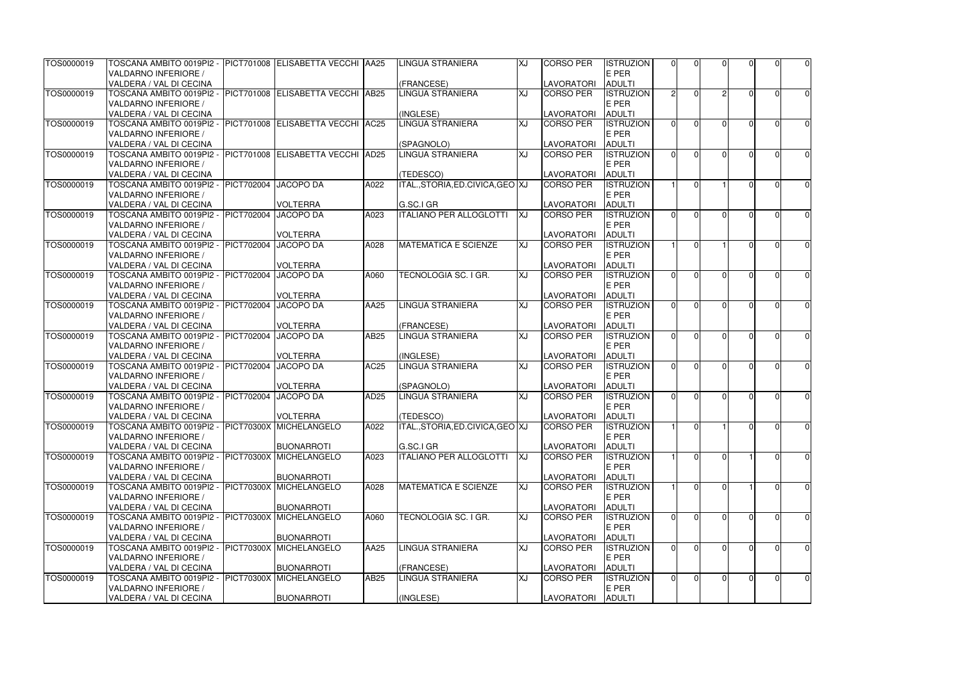| TOS0000019 | TOSCANA AMBITO 0019PI2 -  PICT701008  ELISABETTA VECCHI  AA25                      |                   |                                          |                  | <b>LINGUA STRANIERA</b>        | <b>XJ</b> | <b>CORSO PER</b>        | <b>ISTRUZION</b>                  | $\Omega$       | $\Omega$       | $\Omega$ | U              | $\overline{0}$ |
|------------|------------------------------------------------------------------------------------|-------------------|------------------------------------------|------------------|--------------------------------|-----------|-------------------------|-----------------------------------|----------------|----------------|----------|----------------|----------------|
|            | <b>VALDARNO INFERIORE /</b>                                                        |                   |                                          |                  |                                |           |                         | E PER                             |                |                |          |                |                |
|            | VALDERA / VAL DI CECINA                                                            |                   |                                          |                  | (FRANCESE)                     |           | LAVORATORI              | <b>ADULTI</b>                     |                |                | 2        |                |                |
| TOS0000019 | TOSCANA AMBITO 0019PI2 - PICT701008 ELISABETTA VECCHI AB25<br>VALDARNO INFERIORE / |                   |                                          |                  | <b>LINGUA STRANIERA</b>        | XJ        | <b>CORSO PER</b>        | <b>ISTRUZION</b><br>E PER         | $\overline{2}$ | $\Omega$       |          | 0              | $\overline{0}$ |
|            | VALDERA / VAL DI CECINA                                                            |                   |                                          |                  | (INGLESE)                      |           | LAVORATORI              | <b>ADULTI</b>                     |                |                |          |                |                |
| TOS0000019 | TOSCANA AMBITO 0019PI2 - PICT701008 ELISABETTA VECCHI AC25                         |                   |                                          |                  | <b>LINGUA STRANIERA</b>        | XJ        | <b>CORSO PER</b>        | <b>ISTRUZION</b>                  | $\Omega$       | $\Omega$       | ΩI       | U              | $\overline{0}$ |
|            | <b>VALDARNO INFERIORE /</b>                                                        |                   |                                          |                  |                                |           |                         | E PER                             |                |                |          |                |                |
|            | VALDERA / VAL DI CECINA                                                            |                   |                                          |                  | (SPAGNOLO)                     |           | LAVORATORI              | <b>ADULTI</b>                     |                |                |          |                |                |
| TOS0000019 | TOSCANA AMBITO 0019PI2 - PICT701008 ELISABETTA VECCHI AD25                         |                   |                                          |                  | <b>LINGUA STRANIERA</b>        | XJ        | <b>CORSO PER</b>        | <b>ISTRUZION</b>                  | $\Omega$       | $\Omega$       | $\Omega$ |                | $\overline{0}$ |
|            | VALDARNO INFERIORE /                                                               |                   |                                          |                  |                                |           |                         | E PER                             |                |                |          |                |                |
|            | VALDERA / VAL DI CECINA                                                            |                   |                                          |                  | (TEDESCO)                      |           | <b>LAVORATORI</b>       | <b>ADULTI</b>                     |                |                |          |                |                |
| TOS0000019 | TOSCANA AMBITO 0019PI2 - PICT702004                                                |                   | <b>JACOPO DA</b>                         | A022             | ITAL.,STORIA,ED.CIVICA,GEO XJ  |           | <b>CORSO PER</b>        | <b>ISTRUZION</b>                  |                | $\Omega$       |          | U              | $\overline{0}$ |
|            | <b>VALDARNO INFERIORE /</b>                                                        |                   |                                          |                  |                                |           |                         | E PER                             |                |                |          |                |                |
|            | VALDERA / VAL DI CECINA                                                            |                   | <b>VOLTERRA</b>                          |                  | G.SC.I GR                      |           | <b>LAVORATORI</b>       | <b>ADULTI</b>                     |                |                |          |                |                |
| TOS0000019 | TOSCANA AMBITO 0019PI2 - PICT702004                                                |                   | <b>JACOPO DA</b>                         | A023             | <b>ITALIANO PER ALLOGLOTTI</b> | <b>XJ</b> | <b>CORSO PER</b>        | <b>ISTRUZION</b>                  | $\Omega$       | $\Omega$       | $\Omega$ | O              | $\overline{0}$ |
|            | <b>VALDARNO INFERIORE /</b>                                                        |                   |                                          |                  |                                |           |                         | E PER                             |                |                |          |                |                |
|            | VALDERA / VAL DI CECINA                                                            |                   | <b>VOLTERRA</b>                          |                  |                                |           | <b>LAVORATORI</b>       | <b>ADULTI</b>                     |                |                |          |                |                |
| TOS0000019 | TOSCANA AMBITO 0019PI2 - PICT702004                                                |                   | JACOPO DA                                | A028             | <b>MATEMATICA E SCIENZE</b>    | <b>XJ</b> | <b>CORSO PER</b>        | <b>ISTRUZION</b>                  |                | $\Omega$       |          | U              | $\overline{0}$ |
|            | <b>VALDARNO INFERIORE /</b>                                                        |                   |                                          |                  |                                |           |                         | E PER                             |                |                |          |                |                |
|            | VALDERA / VAL DI CECINA                                                            |                   | <b>VOLTERRA</b>                          |                  |                                |           | <b>LAVORATORI</b>       | <b>ADULTI</b>                     |                |                |          |                |                |
| TOS0000019 | TOSCANA AMBITO 0019PI2 - PICT702004                                                |                   | <b>JACOPO DA</b>                         | A060             | TECNOLOGIA SC. I GR.           | XJ        | <b>CORSO PER</b>        | <b>ISTRUZION</b>                  | $\Omega$       | $\Omega$       | $\Omega$ |                | $\overline{0}$ |
|            | <b>VALDARNO INFERIORE /</b><br>VALDERA / VAL DI CECINA                             |                   | <b>VOLTERRA</b>                          |                  |                                |           | <b>LAVORATORI</b>       | E PER<br><b>ADULTI</b>            |                |                |          |                |                |
| TOS0000019 | TOSCANA AMBITO 0019PI2 - PICT702004                                                |                   | <b>JACOPO DA</b>                         | AA25             | <b>LINGUA STRANIERA</b>        | XJ        | <b>CORSO PER</b>        | <b>ISTRUZION</b>                  | ΩI             | $\Omega$       | $\Omega$ |                |                |
|            | <b>VALDARNO INFERIORE /</b>                                                        |                   |                                          |                  |                                |           |                         | E PER                             |                |                |          |                | $\overline{0}$ |
|            | VALDERA / VAL DI CECINA                                                            |                   | <b>VOLTERRA</b>                          |                  | (FRANCESE)                     |           | <b>LAVORATORI</b>       | <b>ADULTI</b>                     |                |                |          |                |                |
| TOS0000019 | TOSCANA AMBITO 0019PI2 - PICT702004                                                |                   | <b>JACOPO DA</b>                         | AB25             | <b>LINGUA STRANIERA</b>        | <b>XJ</b> | <b>CORSO PER</b>        | <b>ISTRUZION</b>                  | ΩI             | $\Omega$       | $\Omega$ | O              | $\overline{0}$ |
|            | VALDARNO INFERIORE /                                                               |                   |                                          |                  |                                |           |                         | E PER                             |                |                |          |                |                |
|            | VALDERA / VAL DI CECINA                                                            |                   | <b>VOLTERRA</b>                          |                  | (INGLESE)                      |           | <b>LAVORATORI</b>       | <b>ADULTI</b>                     |                |                |          |                |                |
| TOS0000019 | TOSCANA AMBITO 0019PI2 - PICT702004                                                |                   | <b>JACOPO DA</b>                         | <b>AC25</b>      | <b>LINGUA STRANIERA</b>        | ΓX        | <b>CORSO PER</b>        | <b>ISTRUZION</b>                  | $\Omega$       | $\Omega$       | ΩI       | U              | $\overline{0}$ |
|            | VALDARNO INFERIORE /                                                               |                   |                                          |                  |                                |           |                         | E PER                             |                |                |          |                |                |
|            | VALDERA / VAL DI CECINA                                                            |                   | <b>VOLTERRA</b>                          |                  | (SPAGNOLO)                     |           | <b>LAVORATORI</b>       | <b>ADULTI</b>                     |                |                |          |                |                |
| TOS0000019 | TOSCANA AMBITO 0019PI2 - PICT702004                                                |                   | <b>JACOPO DA</b>                         | AD <sub>25</sub> | <b>LINGUA STRANIERA</b>        | XJ        | <b>CORSO PER</b>        | <b>ISTRUZION</b>                  | $\Omega$       | $\Omega$       | $\Omega$ | $\Omega$       | $\overline{0}$ |
|            | VALDARNO INFERIORE /                                                               |                   |                                          |                  |                                |           |                         | E PER                             |                |                |          |                |                |
|            | VALDERA / VAL DI CECINA                                                            |                   | <b>VOLTERRA</b>                          |                  | (TEDESCO)                      |           | LAVORATORI ADULTI       |                                   |                |                |          |                |                |
| TOS0000019 | TOSCANA AMBITO 0019PI2 - PICT70300X MICHELANGELO                                   |                   |                                          | A022             | ITAL.,STORIA,ED.CIVICA,GEO XJ  |           | <b>CORSO PER</b>        | <b>ISTRUZION</b>                  |                | $\overline{0}$ |          | $\Omega$       | $\overline{0}$ |
|            | <b>VALDARNO INFERIORE /</b>                                                        |                   |                                          |                  |                                |           |                         | E PER                             |                |                |          |                |                |
|            | VALDERA / VAL DI CECINA                                                            |                   | <b>BUONARROTI</b>                        |                  | G.SC.I GR                      |           | <b>LAVORATORI</b>       | <b>ADULTI</b>                     |                |                |          |                |                |
| TOS0000019 | TOSCANA AMBITO 0019PI2 - PICT70300X                                                |                   | <b>MICHELANGELO</b>                      | A023             | <b>ITALIANO PER ALLOGLOTTI</b> | <b>XJ</b> | <b>CORSO PER</b>        | <b>ISTRUZION</b>                  |                | $\overline{0}$ | $\Omega$ | $\overline{0}$ | $\overline{0}$ |
|            | <b>VALDARNO INFERIORE /</b>                                                        |                   |                                          |                  |                                |           |                         | E PER                             |                |                |          |                |                |
| TOS0000019 | VALDERA / VAL DI CECINA<br>TOSCANA AMBITO 0019PI2 - PICT70300X                     |                   | <b>BUONARROTI</b><br><b>MICHELANGELO</b> | A028             | <b>MATEMATICA E SCIENZE</b>    | <b>TX</b> | LAVORATORI<br>CORSO PER | <b>ADULTI</b><br><b>ISTRUZION</b> |                | $\Omega$       | $\Omega$ | 0              |                |
|            | VALDARNO INFERIORE /                                                               |                   |                                          |                  |                                |           |                         | E PER                             |                |                |          |                | $\overline{0}$ |
|            | VALDERA / VAL DI CECINA                                                            |                   | <b>BUONARROTI</b>                        |                  |                                |           | <b>LAVORATORI</b>       | <b>ADULTI</b>                     |                |                |          |                |                |
| TOS0000019 | TOSCANA AMBITO 0019PI2 - PICT70300X                                                |                   | MICHELANGELO                             | A060             | TECNOLOGIA SC. I GR.           | XJ        | <b>CORSO PER</b>        | <b>ISTRUZION</b>                  | $\Omega$       | $\Omega$       | $\Omega$ | O              | $\overline{0}$ |
|            | VALDARNO INFERIORE /                                                               |                   |                                          |                  |                                |           |                         | E PER                             |                |                |          |                |                |
|            | VALDERA / VAL DI CECINA                                                            |                   | <b>BUONARROTI</b>                        |                  |                                |           | <b>LAVORATORI</b>       | <b>ADULTI</b>                     |                |                |          |                |                |
| TOS0000019 | TOSCANA AMBITO 0019PI2 -                                                           | <b>PICT70300X</b> | MICHELANGELO                             | AA25             | <b>LINGUA STRANIERA</b>        | XJ        | <b>CORSO PER</b>        | <b>ISTRUZION</b>                  | $\Omega$       | $\Omega$       | $\Omega$ |                | $\overline{0}$ |
|            | <b>VALDARNO INFERIORE /</b>                                                        |                   |                                          |                  |                                |           |                         | E PER                             |                |                |          |                |                |
|            | VALDERA / VAL DI CECINA                                                            |                   | <b>BUONARROTI</b>                        |                  | (FRANCESE)                     |           | <b>LAVORATORI</b>       | <b>ADULTI</b>                     |                |                |          |                |                |
| TOS0000019 | TOSCANA AMBITO 0019PI2 - PICT70300X                                                |                   | <b>MICHELANGELO</b>                      | AB25             | <b>LINGUA STRANIERA</b>        | XJ        | <b>CORSO PER</b>        | <b>ISTRUZION</b>                  | 0I             | $\overline{0}$ | $\Omega$ | $\overline{0}$ | $\overline{0}$ |
|            | VALDARNO INFERIORE /                                                               |                   |                                          |                  |                                |           |                         | E PER                             |                |                |          |                |                |
|            | VALDERA / VAL DI CECINA                                                            |                   | <b>BUONARROTI</b>                        |                  | (INGLESE)                      |           | <b>LAVORATORI</b>       | <b>ADULTI</b>                     |                |                |          |                |                |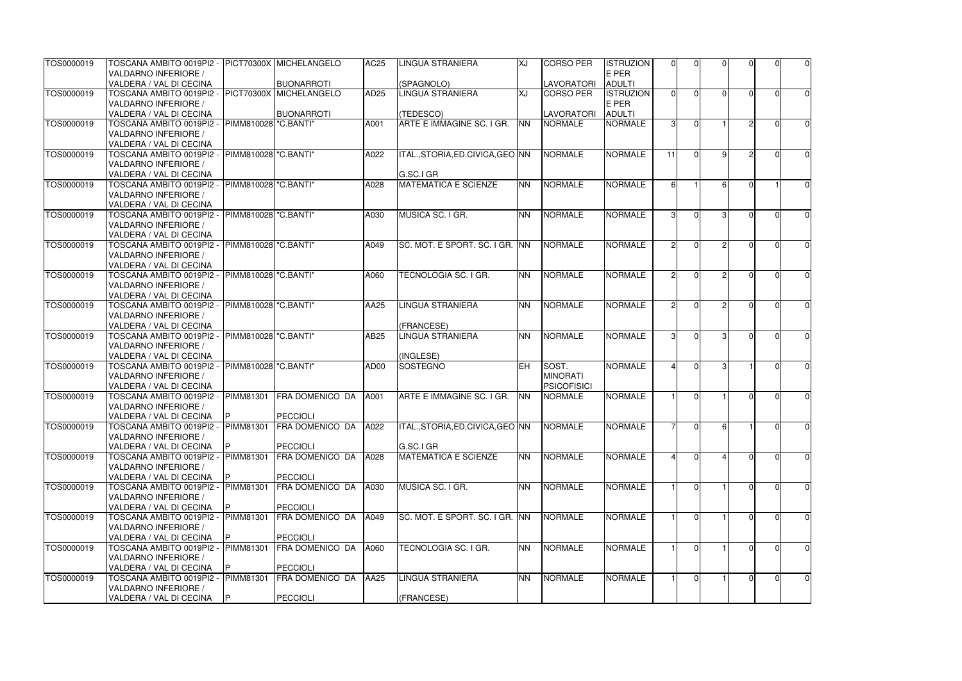| TOS0000019 | TOSCANA AMBITO 0019PI2 - PICT70300X MICHELANGELO |                         |                        | <b>AC25</b>      | <b>LINGUA STRANIERA</b>           | <b>XJ</b> | <b>CORSO PER</b>   | <b>ISTRUZION</b> | $\Omega$           | $\Omega$       | $\Omega$     |          | U              | $\overline{0}$ |
|------------|--------------------------------------------------|-------------------------|------------------------|------------------|-----------------------------------|-----------|--------------------|------------------|--------------------|----------------|--------------|----------|----------------|----------------|
|            | <b>VALDARNO INFERIORE /</b>                      |                         |                        |                  |                                   |           |                    | E PER            |                    |                |              |          |                |                |
|            | VALDERA / VAL DI CECINA                          |                         | BUONARROTI             |                  | (SPAGNOLO)                        |           | <b>LAVORATORI</b>  | <b>ADULTI</b>    |                    |                |              |          |                |                |
| TOS0000019 | TOSCANA AMBITO 0019PI2 - PICT70300X MICHELANGELO |                         |                        | AD <sub>25</sub> | <b>LINGUA STRANIERA</b>           | <b>TX</b> | <b>CORSO PER</b>   | <b>ISTRUZION</b> | $\Omega$           | $\Omega$       | $\Omega$     |          | 0              | $\overline{0}$ |
|            | VALDARNO INFERIORE /                             |                         |                        |                  |                                   |           |                    | E PER            |                    |                |              |          |                |                |
|            | VALDERA / VAL DI CECINA                          |                         | <b>BUONARROTI</b>      |                  | (TEDESCO)                         |           | LAVORATORI         | <b>ADULTI</b>    |                    |                |              |          |                |                |
| TOS0000019 | TOSCANA AMBITO 0019PI2 - PIMM810028 "C.BANTI"    |                         |                        | A001             | ARTE E IMMAGINE SC. I GR.         | <b>NN</b> | <b>NORMALE</b>     | <b>NORMALE</b>   | 31                 | $\Omega$       |              |          | U              | $\overline{0}$ |
|            | <b>VALDARNO INFERIORE /</b>                      |                         |                        |                  |                                   |           |                    |                  |                    |                |              |          |                |                |
|            | VALDERA / VAL DI CECINA                          |                         |                        |                  |                                   |           |                    |                  |                    |                |              |          |                |                |
| TOS0000019 | TOSCANA AMBITO 0019PI2 - PIMM810028 "C.BANTI"    |                         |                        | A022             | ITAL., STORIA, ED. CIVICA, GEO NN |           | <b>NORMALE</b>     | <b>NORMALE</b>   | 11                 | $\Omega$       | ΩI           |          |                | $\overline{0}$ |
|            | VALDARNO INFERIORE /                             |                         |                        |                  |                                   |           |                    |                  |                    |                |              |          |                |                |
|            | VALDERA / VAL DI CECINA                          |                         |                        |                  | G.SC.I GR                         |           |                    |                  |                    |                |              |          |                |                |
| TOS0000019 | TOSCANA AMBITO 0019PI2 -                         | PIMM810028 "C.BANTI"    |                        | A028             | <b>MATEMATICA E SCIENZE</b>       | <b>NN</b> | <b>NORMALE</b>     | <b>NORMALE</b>   | 61                 |                |              |          |                | $\overline{0}$ |
|            | <b>VALDARNO INFERIORE /</b>                      |                         |                        |                  |                                   |           |                    |                  |                    |                |              |          |                |                |
|            | VALDERA / VAL DI CECINA                          |                         |                        |                  |                                   |           |                    |                  |                    |                |              |          |                |                |
| TOS0000019 | TOSCANA AMBITO 0019PI2 - PIMM810028   "C.BANTI"  |                         |                        | A030             | MUSICA SC. I GR.                  | <b>NN</b> | <b>NORMALE</b>     | <b>NORMALE</b>   | 31                 | $\Omega$       | $\mathbf{B}$ |          | O              | $\overline{0}$ |
|            | <b>VALDARNO INFERIORE /</b>                      |                         |                        |                  |                                   |           |                    |                  |                    |                |              |          |                |                |
|            | VALDERA / VAL DI CECINA                          |                         |                        |                  |                                   |           |                    |                  |                    |                |              |          |                |                |
| TOS0000019 | TOSCANA AMBITO 0019PI2 - PIMM810028   "C.BANTI"  |                         |                        | A049             | SC. MOT. E SPORT. SC. I GR. INN   |           | <b>NORMALE</b>     | <b>NORMALE</b>   | $\mathcal{P}$      | $\Omega$       | $\circ$      |          | U              | $\overline{0}$ |
|            | <b>VALDARNO INFERIORE /</b>                      |                         |                        |                  |                                   |           |                    |                  |                    |                |              |          |                |                |
|            | VALDERA / VAL DI CECINA                          |                         |                        |                  |                                   |           |                    |                  |                    |                |              |          |                |                |
| TOS0000019 | TOSCANA AMBITO 0019PI2 - PIMM810028 "C.BANTI"    |                         |                        | A060             | TECNOLOGIA SC. I GR.              | <b>NN</b> | <b>NORMALE</b>     | <b>NORMALE</b>   | $\mathcal{P}$      |                | o            |          |                | $\overline{0}$ |
|            | <b>VALDARNO INFERIORE /</b>                      |                         |                        |                  |                                   |           |                    |                  |                    |                |              |          |                |                |
|            | VALDERA / VAL DI CECINA                          |                         |                        |                  |                                   |           |                    |                  |                    |                |              |          |                |                |
| TOS0000019 | TOSCANA AMBITO 0019PI2 -                         | PIMM810028   "C. BANTI" |                        | AA25             | <b>LINGUA STRANIERA</b>           | <b>NN</b> | <b>NORMALE</b>     | <b>NORMALE</b>   | 21                 | $\Omega$       |              |          | U              | $\overline{0}$ |
|            | <b>VALDARNO INFERIORE /</b>                      |                         |                        |                  |                                   |           |                    |                  |                    |                |              |          |                |                |
|            | VALDERA / VAL DI CECINA                          |                         |                        |                  | (FRANCESE)                        |           |                    |                  |                    |                |              |          |                |                |
| TOS0000019 | TOSCANA AMBITO 0019PI2 - PIMM810028 l''C.BANTI'' |                         |                        | AB25             | <b>LINGUA STRANIERA</b>           | <b>NN</b> | <b>NORMALE</b>     | <b>NORMALE</b>   | 31                 | $\Omega$       |              |          | O              | $\overline{0}$ |
|            | VALDARNO INFERIORE /                             |                         |                        |                  |                                   |           |                    |                  |                    |                |              |          |                |                |
|            | VALDERA / VAL DI CECINA                          |                         |                        |                  | (INGLESE)                         |           |                    |                  |                    |                |              |          |                |                |
| TOS0000019 | TOSCANA AMBITO 0019PI2 -  PIMM810028 "C.BANTI"   |                         |                        | AD00             | SOSTEGNO                          | EH        | <b>SOST.</b>       | <b>NORMALE</b>   |                    | $\Omega$       |              |          | U              | $\overline{0}$ |
|            | <b>VALDARNO INFERIORE /</b>                      |                         |                        |                  |                                   |           | <b>MINORATI</b>    |                  |                    |                |              |          |                |                |
|            | VALDERA / VAL DI CECINA                          |                         |                        |                  |                                   |           | <b>PSICOFISICI</b> |                  |                    |                |              |          |                |                |
| TOS0000019 | TOSCANA AMBITO 0019PI2 - PIMM81301               |                         | FRA DOMENICO DA        | A001             | ARTE E IMMAGINE SC. I GR.         | <b>NN</b> | <b>NORMALE</b>     | <b>NORMALE</b>   |                    | $\Omega$       |              |          | $\Omega$       | 0              |
|            | VALDARNO INFERIORE /                             |                         |                        |                  |                                   |           |                    |                  |                    |                |              |          |                |                |
|            | VALDERA / VAL DI CECINA                          | IP.                     | PECCIOLI               |                  |                                   |           |                    |                  |                    |                |              |          |                |                |
| TOS0000019 | TOSCANA AMBITO 0019PI2 -                         | <b>PIMM81301</b>        | FRA DOMENICO DA        | A022             | ITAL., STORIA, ED. CIVICA, GEO NN |           | <b>NORMALE</b>     | <b>NORMALE</b>   |                    | $\overline{0}$ |              |          | $\Omega$       | $\overline{0}$ |
|            | <b>VALDARNO INFERIORE /</b>                      |                         |                        |                  |                                   |           |                    |                  |                    |                |              |          |                |                |
|            | VALDERA / VAL DI CECINA                          |                         | <b>PECCIOLI</b>        |                  | G.SC.I GR                         |           |                    |                  |                    |                |              |          |                |                |
| TOS0000019 | TOSCANA AMBITO 0019PI2 -                         | <b>PIMM81301</b>        | FRA DOMENICO DA        | A028             | <b>MATEMATICA E SCIENZE</b>       | <b>NN</b> | NORMALE            | <b>NORMALE</b>   | $\mathbf{\Lambda}$ | $\overline{0}$ |              |          | $\overline{0}$ | $\overline{0}$ |
|            | <b>VALDARNO INFERIORE /</b>                      |                         |                        |                  |                                   |           |                    |                  |                    |                |              |          |                |                |
|            | VALDERA / VAL DI CECINA                          |                         | <b>PECCIOLI</b>        |                  |                                   |           |                    |                  |                    |                |              |          |                |                |
| TOS0000019 | TOSCANA AMBITO 0019PI2 -                         | PIMM81301               | FRA DOMENICO DA        | A030             | MUSICA SC. I GR.                  | <b>NN</b> | NORMALE            | <b>NORMALE</b>   |                    | $\Omega$       |              |          | 0              | $\overline{0}$ |
|            | VALDARNO INFERIORE /                             |                         |                        |                  |                                   |           |                    |                  |                    |                |              |          |                |                |
|            | VALDERA / VAL DI CECINA                          |                         | <b>PECCIOLI</b>        |                  |                                   |           |                    |                  |                    |                |              |          |                |                |
| TOS0000019 | TOSCANA AMBITO 0019PI2 - PIMM81301               |                         | <b>FRA DOMENICO DA</b> | A049             | SC. MOT. E SPORT. SC. I GR. INN   |           | NORMALE            | <b>NORMALE</b>   |                    | $\Omega$       |              |          | O              | $\overline{0}$ |
|            | VALDARNO INFERIORE /                             |                         |                        |                  |                                   |           |                    |                  |                    |                |              |          |                |                |
|            | VALDERA / VAL DI CECINA                          |                         | PECCIOLI               |                  |                                   |           |                    |                  |                    |                |              |          |                |                |
| TOS0000019 | TOSCANA AMBITO 0019PI2 -                         | PIMM81301               | FRA DOMENICO DA        | A060             | TECNOLOGIA SC. I GR.              | <b>NN</b> | <b>NORMALE</b>     | <b>NORMALE</b>   |                    | $\Omega$       |              |          |                | $\overline{0}$ |
|            | VALDARNO INFERIORE /                             |                         |                        |                  |                                   |           |                    |                  |                    |                |              |          |                |                |
|            | VALDERA / VAL DI CECINA                          |                         | <b>PECCIOLI</b>        |                  |                                   |           |                    |                  |                    |                |              |          |                |                |
| TOS0000019 | TOSCANA AMBITO 0019PI2 -                         | <b>PIMM81301</b>        | FRA DOMENICO DA        | AA25             | <b>LINGUA STRANIERA</b>           | <b>NN</b> | NORMALE            | <b>NORMALE</b>   |                    | $\overline{0}$ |              | $\Omega$ | $\overline{0}$ | $\overline{0}$ |
|            | VALDARNO INFERIORE /                             |                         |                        |                  |                                   |           |                    |                  |                    |                |              |          |                |                |
|            | VALDERA / VAL DI CECINA                          | IP.                     | <b>PECCIOLI</b>        |                  | (FRANCESE)                        |           |                    |                  |                    |                |              |          |                |                |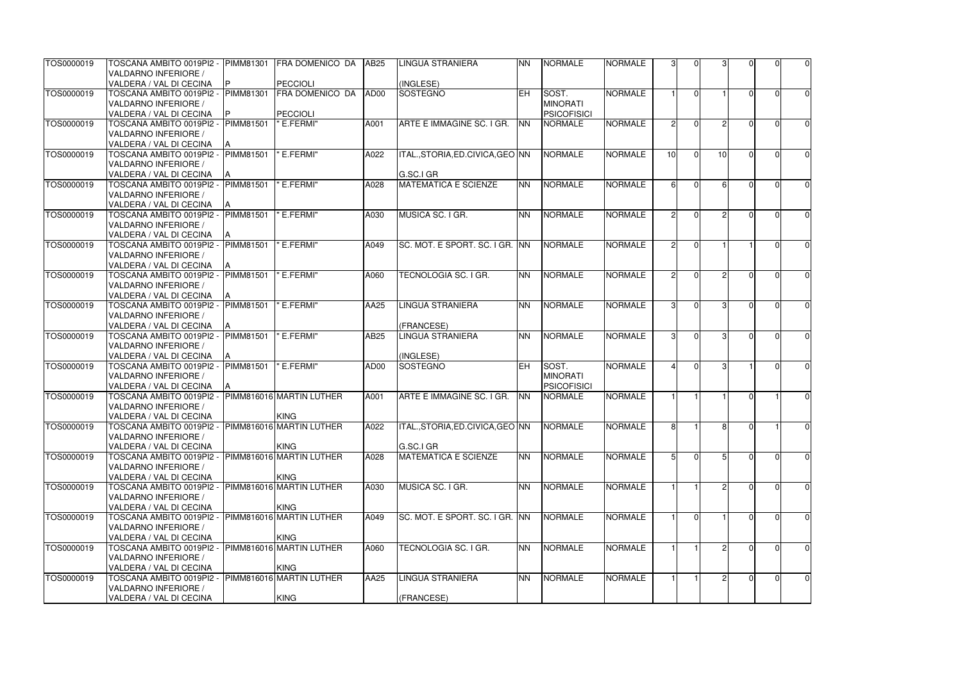| TOS0000019 | TOSCANA AMBITO 0019PI2 -       | <b>PIMM81301</b> | FRA DOMENICO DA          | <b>AB25</b> | <b>LINGUA STRANIERA</b>           | <b>NN</b>  | <b>NORMALE</b>     | <b>NORMALE</b> | 3             | $\Omega$ |    |        | U              | $\overline{0}$ |
|------------|--------------------------------|------------------|--------------------------|-------------|-----------------------------------|------------|--------------------|----------------|---------------|----------|----|--------|----------------|----------------|
|            | VALDARNO INFERIORE /           |                  |                          |             |                                   |            |                    |                |               |          |    |        |                |                |
|            | VALDERA / VAL DI CECINA        | P                | PECCIOLI                 |             | (INGLESE)                         |            |                    |                |               |          |    |        |                |                |
| TOS0000019 | TOSCANA AMBITO 0019PI2 -       | <b>PIMM81301</b> | <b>FRA DOMENICO DA</b>   | AD00        | SOSTEGNO                          | <b>EH</b>  | SOST.              | <b>NORMALE</b> |               | $\Omega$ |    |        | 0              | $\overline{0}$ |
|            | VALDARNO INFERIORE /           |                  |                          |             |                                   |            | <b>MINORATI</b>    |                |               |          |    |        |                |                |
|            | VALDERA / VAL DI CECINA        |                  | PECCIOLI                 |             |                                   |            | <b>PSICOFISICI</b> |                |               |          |    |        |                |                |
| TOS0000019 | TOSCANA AMBITO 0019PI2 -       | <b>PIMM81501</b> | " E.FERMI"               | A001        | ARTE E IMMAGINE SC. I GR.         | <b>NN</b>  | <b>NORMALE</b>     | <b>NORMALE</b> |               | $\Omega$ | o  |        | U              | $\overline{0}$ |
|            | VALDARNO INFERIORE /           |                  |                          |             |                                   |            |                    |                |               |          |    |        |                |                |
|            | VALDERA / VAL DI CECINA        |                  |                          |             |                                   |            |                    |                |               |          |    |        |                |                |
| TOS0000019 | TOSCANA AMBITO 0019PI2 -       | <b>PIMM81501</b> | " E.FERMI"               | A022        | ITAL., STORIA, ED. CIVICA, GEO NN |            | <b>NORMALE</b>     | <b>NORMALE</b> | 10            | $\Omega$ | 10 |        | U              | $\overline{0}$ |
|            | VALDARNO INFERIORE /           |                  |                          |             |                                   |            |                    |                |               |          |    |        |                |                |
|            | VALDERA / VAL DI CECINA        |                  |                          |             | G.SC.I GR                         |            |                    |                |               |          |    |        |                |                |
| TOS0000019 | TOSCANA AMBITO 0019PI2 -       | <b>PIMM81501</b> | 'E.FERMI"                | A028        | <b>MATEMATICA E SCIENZE</b>       | <b>NN</b>  | <b>NORMALE</b>     | <b>NORMALE</b> |               | $\Omega$ |    |        | U              | $\overline{0}$ |
|            | VALDARNO INFERIORE /           |                  |                          |             |                                   |            |                    |                |               |          |    |        |                |                |
|            | VALDERA / VAL DI CECINA        |                  |                          |             |                                   |            |                    |                |               |          |    |        |                |                |
| TOS0000019 | TOSCANA AMBITO 0019PI2 -       | <b>PIMM81501</b> | " E.FERMI"               | A030        | MUSICA SC. I GR.                  | <b>NN</b>  | <b>NORMALE</b>     | <b>NORMALE</b> | 2             | $\Omega$ |    |        | O              | $\overline{0}$ |
|            | VALDARNO INFERIORE /           |                  |                          |             |                                   |            |                    |                |               |          |    |        |                |                |
|            | <b>VALDERA / VAL DI CECINA</b> |                  |                          |             |                                   |            |                    |                |               |          |    |        |                |                |
| TOS0000019 | TOSCANA AMBITO 0019PI2 -       | <b>PIMM81501</b> | " E.FERMI"               | A049        | SC. MOT. E SPORT. SC. I GR. INN   |            | <b>NORMALE</b>     | <b>NORMALE</b> | $\mathcal{D}$ | $\Omega$ |    |        | U              | $\overline{0}$ |
|            | VALDARNO INFERIORE /           |                  |                          |             |                                   |            |                    |                |               |          |    |        |                |                |
|            | VALDERA / VAL DI CECINA        |                  |                          |             |                                   |            |                    |                |               |          |    |        |                |                |
| TOS0000019 | TOSCANA AMBITO 0019PI2 -       | PIMM81501        | " E.FERMI"               | A060        | TECNOLOGIA SC. I GR.              | <b>NN</b>  | <b>NORMALE</b>     | <b>NORMALE</b> |               | $\Omega$ |    |        |                | $\overline{0}$ |
|            | VALDARNO INFERIORE /           |                  |                          |             |                                   |            |                    |                |               |          |    |        |                |                |
|            | VALDERA / VAL DI CECINA        |                  |                          |             |                                   |            |                    |                |               |          |    |        |                |                |
| TOS0000019 | TOSCANA AMBITO 0019PI2 -       | <b>PIMM81501</b> | " E.FERMI"               | AA25        | LINGUA STRANIERA                  | <b>NN</b>  | <b>NORMALE</b>     | <b>NORMALE</b> | 31            | $\Omega$ |    |        | U              | $\overline{0}$ |
|            | VALDARNO INFERIORE /           |                  |                          |             |                                   |            |                    |                |               |          |    |        |                |                |
|            | VALDERA / VAL DI CECINA        |                  |                          |             | (FRANCESE)                        |            |                    |                |               |          |    |        |                |                |
| TOS0000019 | TOSCANA AMBITO 0019PI2 -       | <b>PIMM81501</b> | " E.FERMI"               | <b>AB25</b> | <b>LINGUA STRANIERA</b>           | <b>NN</b>  | <b>NORMALE</b>     | <b>NORMALE</b> |               | $\Omega$ |    |        | O              | $\overline{0}$ |
|            | VALDARNO INFERIORE /           |                  |                          |             |                                   |            |                    |                |               |          |    |        |                |                |
|            | VALDERA / VAL DI CECINA        |                  |                          |             | (INGLESE)                         |            |                    |                |               |          |    |        |                |                |
| TOS0000019 | TOSCANA AMBITO 0019PI2 -       | <b>PIMM81501</b> | " E.FERMI"               | AD00        | SOSTEGNO                          | <b>EH</b>  | <b>SOST.</b>       | <b>NORMALE</b> |               | $\Omega$ | ্য |        | U              | $\overline{0}$ |
|            | VALDARNO INFERIORE /           |                  |                          |             |                                   |            | MINORATI           |                |               |          |    |        |                |                |
|            | VALDERA / VAL DI CECINA        |                  |                          |             |                                   |            | <b>PSICOFISICI</b> |                |               |          |    |        |                |                |
| TOS0000019 | TOSCANA AMBITO 0019PI2 -       |                  | PIMM816016 MARTIN LUTHER | A001        | ARTE E IMMAGINE SC. I GR.         | <b>INN</b> | <b>NORMALE</b>     | <b>NORMALE</b> |               |          |    |        |                | 0              |
|            | VALDARNO INFERIORE /           |                  |                          |             |                                   |            |                    |                |               |          |    |        |                |                |
|            | VALDERA / VAL DI CECINA        |                  | <b>KING</b>              |             |                                   |            |                    |                |               |          |    |        |                |                |
| TOS0000019 | TOSCANA AMBITO 0019PI2 -       |                  | PIMM816016 MARTIN LUTHER | A022        | ITAL., STORIA, ED. CIVICA, GEO NN |            | <b>NORMALE</b>     | <b>NORMALE</b> | 81            |          | 81 | $\cap$ |                | $\overline{0}$ |
|            | VALDARNO INFERIORE /           |                  |                          |             |                                   |            |                    |                |               |          |    |        |                |                |
|            | VALDERA / VAL DI CECINA        |                  | <b>KING</b>              |             | G.SC.I GR                         |            |                    |                |               |          |    |        |                |                |
| TOS0000019 | TOSCANA AMBITO 0019PI2 -       |                  | PIMM816016 MARTIN LUTHER | A028        | <b>MATEMATICA E SCIENZE</b>       | <b>NN</b>  | <b>NORMALE</b>     | <b>NORMALE</b> |               | $\Omega$ |    |        | $\overline{0}$ | $\overline{0}$ |
|            | <b>VALDARNO INFERIORE /</b>    |                  |                          |             |                                   |            |                    |                |               |          |    |        |                |                |
|            | VALDERA / VAL DI CECINA        |                  | <b>KING</b>              |             |                                   |            |                    |                |               |          |    |        |                |                |
| TOS0000019 | TOSCANA AMBITO 0019PI2 -       |                  | PIMM816016 MARTIN LUTHER | A030        | MUSICA SC. I GR.                  | <b>NN</b>  | <b>NORMALE</b>     | <b>NORMALE</b> |               |          |    |        | ΩI             | $\overline{0}$ |
|            | VALDARNO INFERIORE /           |                  |                          |             |                                   |            |                    |                |               |          |    |        |                |                |
|            | VALDERA / VAL DI CECINA        |                  | <b>KING</b>              |             |                                   |            |                    |                |               |          |    |        |                |                |
| TOS0000019 | TOSCANA AMBITO 0019PI2 -       |                  | PIMM816016 MARTIN LUTHER | A049        | SC. MOT. E SPORT. SC. I GR. INN   |            | <b>NORMALE</b>     | <b>NORMALE</b> |               | $\Omega$ |    |        | 0              | $\overline{0}$ |
|            | VALDARNO INFERIORE /           |                  |                          |             |                                   |            |                    |                |               |          |    |        |                |                |
|            | VALDERA / VAL DI CECINA        |                  | <b>KING</b>              |             |                                   |            |                    |                |               |          |    |        |                |                |
| TOS0000019 | TOSCANA AMBITO 0019PI2 -       |                  | PIMM816016 MARTIN LUTHER | A060        | TECNOLOGIA SC. I GR.              | <b>NN</b>  | <b>NORMALE</b>     | <b>NORMALE</b> |               |          |    |        | 0              | $\overline{0}$ |
|            | VALDARNO INFERIORE /           |                  |                          |             |                                   |            |                    |                |               |          |    |        |                |                |
|            | VALDERA / VAL DI CECINA        |                  | <b>KING</b>              |             |                                   |            |                    |                |               |          |    |        |                |                |
| TOS0000019 | TOSCANA AMBITO 0019PI2 -       |                  | PIMM816016 MARTIN LUTHER | AA25        | <b>LINGUA STRANIERA</b>           | <b>NN</b>  | <b>NORMALE</b>     | <b>NORMALE</b> |               |          |    | U      | $\overline{0}$ | $\overline{0}$ |
|            | <b>VALDARNO INFERIORE /</b>    |                  |                          |             |                                   |            |                    |                |               |          |    |        |                |                |
|            | VALDERA / VAL DI CECINA        |                  | <b>KING</b>              |             | (FRANCESE)                        |            |                    |                |               |          |    |        |                |                |
|            |                                |                  |                          |             |                                   |            |                    |                |               |          |    |        |                |                |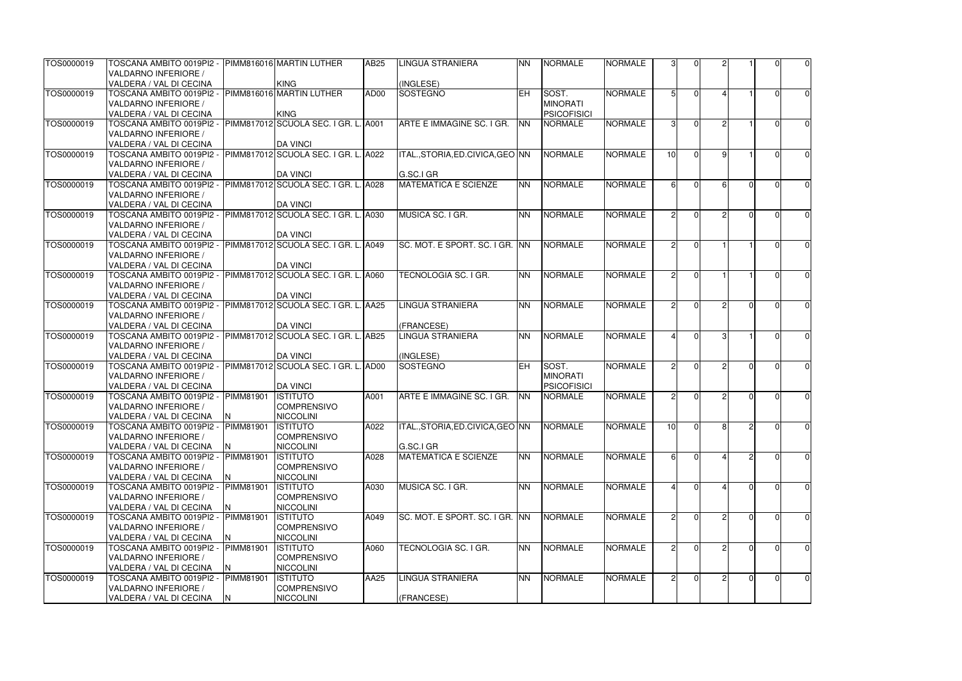| TOS0000019 | TOSCANA AMBITO 0019PI2 -  PIMM816016 MARTIN LUTHER              |                  |                                      | AB25 | <b>LINGUA STRANIERA</b>           | <b>NN</b>  | <b>NORMALE</b>     | <b>NORMALE</b> | 31              | 0              |               |               |                | $\overline{0}$ |
|------------|-----------------------------------------------------------------|------------------|--------------------------------------|------|-----------------------------------|------------|--------------------|----------------|-----------------|----------------|---------------|---------------|----------------|----------------|
|            | <b>VALDARNO INFERIORE /</b>                                     |                  |                                      |      |                                   |            |                    |                |                 |                |               |               |                |                |
|            | VALDERA / VAL DI CECINA                                         |                  | <b>KING</b>                          |      | (INGLESE)                         |            |                    |                |                 |                |               |               |                |                |
| TOS0000019 | TOSCANA AMBITO 0019PI2 - PIMM816016 MARTIN LUTHER               |                  |                                      | AD00 | SOSTEGNO                          | <b>IEH</b> | SOST.              | <b>NORMALE</b> |                 | $\Omega$       |               |               | 0              | $\overline{0}$ |
|            | VALDARNO INFERIORE /                                            |                  |                                      |      |                                   |            | <b>MINORATI</b>    |                |                 |                |               |               |                |                |
|            | VALDERA / VAL DI CECINA                                         |                  | <b>KING</b>                          |      |                                   |            | <b>PSICOFISICI</b> |                |                 |                |               |               |                |                |
| TOS0000019 | TOSCANA AMBITO 0019PI2 - PIMM817012 SCUOLA SEC. I GR. L. A001   |                  |                                      |      | ARTE E IMMAGINE SC. I GR.         | <b>NN</b>  | <b>NORMALE</b>     | <b>NORMALE</b> | 31              | $\Omega$       | ົ             |               | U              | $\overline{0}$ |
|            | VALDARNO INFERIORE /                                            |                  |                                      |      |                                   |            |                    |                |                 |                |               |               |                |                |
|            | VALDERA / VAL DI CECINA                                         |                  | <b>DA VINCI</b>                      |      |                                   |            |                    |                |                 |                |               |               |                |                |
| TOS0000019 | TOSCANA AMBITO 0019PI2 -  PIMM817012 SCUOLA SEC. I GR. L. A022  |                  |                                      |      | ITAL., STORIA, ED. CIVICA, GEO NN |            | <b>NORMALE</b>     | <b>NORMALE</b> | 10 <sup>1</sup> | $\Omega$       | $\Omega$      |               |                | $\overline{0}$ |
|            | VALDARNO INFERIORE /                                            |                  |                                      |      |                                   |            |                    |                |                 |                |               |               |                |                |
|            | VALDERA / VAL DI CECINA                                         |                  | <b>DA VINCI</b>                      |      | G.SC.I GR                         |            |                    |                |                 |                |               |               |                |                |
| TOS0000019 | TOSCANA AMBITO 0019PI2 -                                        |                  | PIMM817012 SCUOLA SEC. I GR. L. A028 |      | <b>MATEMATICA E SCIENZE</b>       | <b>NN</b>  | <b>NORMALE</b>     | <b>NORMALE</b> | 61              | $\Omega$       |               |               |                | $\overline{0}$ |
|            | VALDARNO INFERIORE /                                            |                  |                                      |      |                                   |            |                    |                |                 |                |               |               |                |                |
|            | VALDERA / VAL DI CECINA                                         |                  | <b>DA VINCI</b>                      |      |                                   |            |                    |                |                 |                |               |               |                |                |
| TOS0000019 | TOSCANA AMBITO 0019PI2 - PIMM817012 SCUOLA SEC. I GR. L. A030   |                  |                                      |      | MUSICA SC. I GR.                  | <b>NN</b>  | <b>NORMALE</b>     | <b>NORMALE</b> | $\mathcal{P}$   | $\Omega$       |               |               | O              | 0              |
|            | VALDARNO INFERIORE /                                            |                  |                                      |      |                                   |            |                    |                |                 |                |               |               |                |                |
|            | VALDERA / VAL DI CECINA                                         |                  | <b>DA VINCI</b>                      |      |                                   |            |                    |                |                 |                |               |               |                |                |
| TOS0000019 | TOSCANA AMBITO 0019PI2 - PIMM817012 SCUOLA SEC. I GR. L. A049   |                  |                                      |      | SC. MOT. E SPORT. SC. I GR. INN   |            | <b>NORMALE</b>     | <b>NORMALE</b> | $\mathcal{P}$   | $\Omega$       |               |               | U              | 0              |
|            | VALDARNO INFERIORE /                                            |                  |                                      |      |                                   |            |                    |                |                 |                |               |               |                |                |
|            | VALDERA / VAL DI CECINA                                         |                  | <b>DA VINCI</b>                      |      |                                   |            |                    |                |                 |                |               |               |                |                |
| TOS0000019 | TOSCANA AMBITO 0019PI2 - PIMM817012 SCUOLA SEC. I GR. L. A060   |                  |                                      |      | TECNOLOGIA SC. I GR.              | <b>NN</b>  | <b>NORMALE</b>     | <b>NORMALE</b> | $\mathcal{P}$   |                |               |               |                | $\overline{0}$ |
|            | VALDARNO INFERIORE /                                            |                  |                                      |      |                                   |            |                    |                |                 |                |               |               |                |                |
|            | VALDERA / VAL DI CECINA                                         |                  | <b>DA VINCI</b>                      |      |                                   |            |                    |                |                 |                |               |               |                |                |
| TOS0000019 | TOSCANA AMBITO 0019PI2 -  PIMM817012 SCUOLA SEC. I GR. L. AA25  |                  |                                      |      | <b>LINGUA STRANIERA</b>           | <b>NN</b>  | <b>NORMALE</b>     | <b>NORMALE</b> | 21              | $\Omega$       |               |               |                | $\overline{0}$ |
|            | <b>VALDARNO INFERIORE /</b>                                     |                  |                                      |      |                                   |            |                    |                |                 |                |               |               |                |                |
|            | VALDERA / VAL DI CECINA                                         |                  | <b>DA VINCI</b>                      |      | (FRANCESE)                        |            |                    |                |                 |                |               |               |                |                |
| TOS0000019 | TOSCANA AMBITO 0019PI2 - PIMM817012 SCUOLA SEC. I GR. L. AB25   |                  |                                      |      | <b>LINGUA STRANIERA</b>           | <b>NN</b>  | <b>NORMALE</b>     | <b>NORMALE</b> |                 | $\Omega$       |               |               | O              | $\overline{0}$ |
|            | VALDARNO INFERIORE /                                            |                  |                                      |      |                                   |            |                    |                |                 |                |               |               |                |                |
|            | VALDERA / VAL DI CECINA                                         |                  | <b>DA VINCI</b>                      |      | (INGLESE)                         |            |                    |                |                 |                |               |               |                |                |
| TOS0000019 | TOSCANA AMBITO 0019PI2 -  PIMM817012 SCUOLA SEC. I GR. L. AAD00 |                  |                                      |      | SOSTEGNO                          | <b>IEH</b> | <b>SOST.</b>       | <b>NORMALE</b> | $\mathcal{P}$   | $\Omega$       | $\circ$       |               | U              | $\overline{0}$ |
|            | VALDARNO INFERIORE /                                            |                  |                                      |      |                                   |            | <b>MINORATI</b>    |                |                 |                |               |               |                |                |
|            | VALDERA / VAL DI CECINA                                         |                  | <b>DA VINCI</b>                      |      |                                   |            | <b>PSICOFISICI</b> |                |                 |                |               |               |                |                |
| TOS0000019 | TOSCANA AMBITO 0019PI2 - PIMM81901                              |                  | <b>ISTITUTO</b>                      | A001 | ARTE E IMMAGINE SC. I GR.         | <b>NN</b>  | <b>NORMALE</b>     | <b>NORMALE</b> | $\mathcal{P}$   | $\Omega$       | $\mathcal{D}$ |               | $\Omega$       | $\overline{0}$ |
|            | VALDARNO INFERIORE /                                            |                  | <b>COMPRENSIVO</b>                   |      |                                   |            |                    |                |                 |                |               |               |                |                |
|            | VALDERA / VAL DI CECINA                                         | IN.              | <b>NICCOLINI</b>                     |      |                                   |            |                    |                |                 |                |               |               |                |                |
| TOS0000019 | TOSCANA AMBITO 0019PI2 -                                        | PIMM81901        | <b>ISTITUTO</b>                      | A022 | ITAL.,STORIA,ED.CIVICA,GEO INN    |            | <b>NORMALE</b>     | <b>NORMALE</b> | 10 <sup>1</sup> | $\overline{0}$ | 8I            | $\mathcal{D}$ | $\Omega$       | $\overline{0}$ |
|            | VALDARNO INFERIORE /                                            |                  | <b>COMPRENSIVO</b>                   |      |                                   |            |                    |                |                 |                |               |               |                |                |
|            | VALDERA / VAL DI CECINA                                         |                  | <b>NICCOLINI</b>                     |      | G.SC.I GR                         |            |                    |                |                 |                |               |               |                |                |
| TOS0000019 | TOSCANA AMBITO 0019PI2 -                                        | <b>PIMM81901</b> | <b>ISTITUTO</b>                      | A028 | <b>MATEMATICA E SCIENZE</b>       | <b>NN</b>  | <b>NORMALE</b>     | <b>NORMALE</b> | $6 \mid$        | $\Omega$       |               |               | $\overline{0}$ | $\overline{0}$ |
|            | VALDARNO INFERIORE /                                            |                  | <b>COMPRENSIVO</b>                   |      |                                   |            |                    |                |                 |                |               |               |                |                |
|            | VALDERA / VAL DI CECINA                                         |                  | <b>NICCOLINI</b>                     |      |                                   |            |                    |                |                 |                |               |               |                |                |
| TOS0000019 | TOSCANA AMBITO 0019PI2 - PIMM81901                              |                  | <b>ISTITUTO</b>                      | A030 | MUSICA SC. I GR.                  | <b>NN</b>  | <b>NORMALE</b>     | <b>NORMALE</b> |                 | $\Omega$       |               |               | 0              | $\overline{0}$ |
|            | VALDARNO INFERIORE /                                            |                  | <b>COMPRENSIVO</b>                   |      |                                   |            |                    |                |                 |                |               |               |                |                |
|            | VALDERA / VAL DI CECINA                                         |                  | <b>NICCOLINI</b>                     |      |                                   |            |                    |                |                 |                |               |               |                |                |
| TOS0000019 | TOSCANA AMBITO 0019PI2 - PIMM81901                              |                  | <b>ISTITUTO</b>                      | A049 | SC. MOT. E SPORT. SC. I GR. INN   |            | NORMALE            | <b>NORMALE</b> | $\mathcal{P}$   |                |               |               | O              | $\overline{0}$ |
|            | VALDARNO INFERIORE /                                            |                  | <b>COMPRENSIVO</b>                   |      |                                   |            |                    |                |                 |                |               |               |                |                |
|            | VALDERA / VAL DI CECINA                                         |                  | <b>NICCOLINI</b>                     |      |                                   |            |                    |                |                 |                |               |               |                |                |
| TOS0000019 | TOSCANA AMBITO 0019PI2 -                                        | PIMM81901        | <b>ISTITUTO</b>                      | A060 | TECNOLOGIA SC. I GR.              | <b>NN</b>  | <b>NORMALE</b>     | <b>NORMALE</b> | 21              | 0              |               |               |                | $\overline{0}$ |
|            | VALDARNO INFERIORE /                                            |                  | <b>COMPRENSIVO</b>                   |      |                                   |            |                    |                |                 |                |               |               |                |                |
|            | VALDERA / VAL DI CECINA                                         |                  | <b>NICCOLINI</b>                     |      |                                   |            |                    |                |                 |                |               |               |                |                |
| TOS0000019 | TOSCANA AMBITO 0019PI2 -                                        | <b>PIMM81901</b> | <b>ISTITUTO</b>                      | AA25 | <b>LINGUA STRANIERA</b>           | <b>NN</b>  | NORMALE            | <b>NORMALE</b> | $\overline{2}$  | $\overline{0}$ |               | U             | $\overline{0}$ | $\overline{0}$ |
|            | VALDARNO INFERIORE /                                            |                  | <b>COMPRENSIVO</b>                   |      |                                   |            |                    |                |                 |                |               |               |                |                |
|            | VALDERA / VAL DI CECINA                                         | N                | <b>NICCOLINI</b>                     |      | (FRANCESE)                        |            |                    |                |                 |                |               |               |                |                |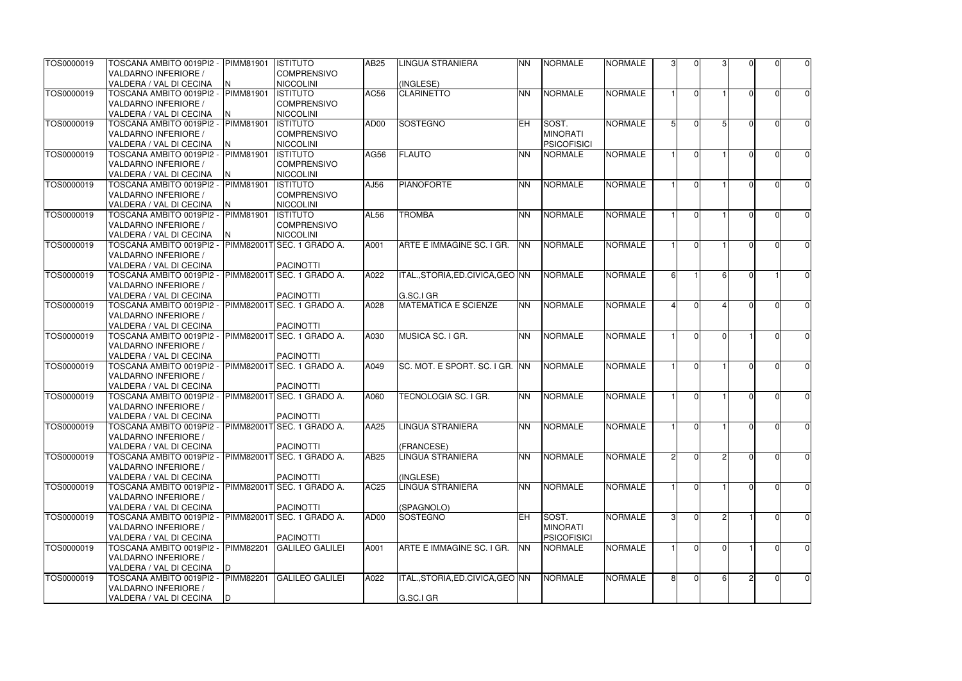| TOS0000019 | TOSCANA AMBITO 0019PI2 -  PIMM81901                  |                  | <b>ISTITUTO</b>                     | AB25             | <b>LINGUA STRANIERA</b>           | <b>NN</b> | <b>NORMALE</b>     | <b>NORMALE</b> | 3              | $\Omega$       |          | ΩI             | $\overline{0}$ |
|------------|------------------------------------------------------|------------------|-------------------------------------|------------------|-----------------------------------|-----------|--------------------|----------------|----------------|----------------|----------|----------------|----------------|
|            | <b>VALDARNO INFERIORE /</b>                          |                  | <b>COMPRENSIVO</b>                  |                  |                                   |           |                    |                |                |                |          |                |                |
|            | VALDERA / VAL DI CECINA                              | N.               | <b>NICCOLINI</b>                    |                  | (INGLESE)                         |           |                    |                |                |                |          |                |                |
| TOS0000019 | TOSCANA AMBITO 0019PI2 -                             | <b>PIMM81901</b> | <b>ISTITUTO</b>                     | AC56             | <b>CLARINETTO</b>                 | <b>NN</b> | NORMALE            | <b>NORMALE</b> |                | $\Omega$       |          | 0              | $\overline{0}$ |
|            | VALDARNO INFERIORE /                                 |                  | <b>COMPRENSIVO</b>                  |                  |                                   |           |                    |                |                |                |          |                |                |
|            | VALDERA / VAL DI CECINA                              |                  | <b>NICCOLINI</b>                    |                  |                                   |           |                    |                |                |                |          |                |                |
| TOS0000019 | TOSCANA AMBITO 0019PI2 - PIMM81901                   |                  | <b>ISTITUTO</b>                     | AD00             | SOSTEGNO                          | EH        | <b>SOST.</b>       | <b>NORMALE</b> | 51             | $\Omega$       |          | $\Omega$       | $\overline{0}$ |
|            | VALDARNO INFERIORE /                                 |                  | <b>COMPRENSIVO</b>                  |                  |                                   |           | <b>MINORATI</b>    |                |                |                |          |                |                |
|            | VALDERA / VAL DI CECINA                              | N                | <b>NICCOLINI</b>                    |                  |                                   |           | <b>PSICOFISICI</b> |                |                |                |          |                |                |
| TOS0000019 | TOSCANA AMBITO 0019PI2 -                             | <b>PIMM81901</b> | <b>ISTITUTO</b>                     | AG56             | <b>FLAUTO</b>                     | <b>NN</b> | <b>NORMALE</b>     | <b>NORMALE</b> |                | $\Omega$       |          | U              | $\overline{0}$ |
|            | VALDARNO INFERIORE /                                 |                  | <b>COMPRENSIVO</b>                  |                  |                                   |           |                    |                |                |                |          |                |                |
|            | VALDERA / VAL DI CECINA                              |                  | <b>NICCOLINI</b>                    |                  |                                   |           |                    |                |                |                |          |                |                |
| TOS0000019 | TOSCANA AMBITO 0019PI2 -                             | PIMM81901        | <b>ISTITUTO</b>                     | AJ56             | PIANOFORTE                        | <b>NN</b> | <b>NORMALE</b>     | <b>NORMALE</b> |                | $\Omega$       |          | U              | $\overline{0}$ |
|            | VALDARNO INFERIORE /                                 |                  | <b>COMPRENSIVO</b>                  |                  |                                   |           |                    |                |                |                |          |                |                |
|            | VALDERA / VAL DI CECINA<br>TOSCANA AMBITO 0019PI2 -  | <b>PIMM81901</b> | <b>NICCOLINI</b><br><b>ISTITUTO</b> |                  | <b>TROMBA</b>                     | <b>NN</b> | <b>NORMALE</b>     | <b>NORMALE</b> |                | $\Omega$       |          | O              |                |
| TOS0000019 | VALDARNO INFERIORE /                                 |                  | <b>COMPRENSIVO</b>                  | <b>AL56</b>      |                                   |           |                    |                |                |                |          |                | $\overline{0}$ |
|            | VALDERA / VAL DI CECINA                              | N                | <b>NICCOLINI</b>                    |                  |                                   |           |                    |                |                |                |          |                |                |
| TOS0000019 | TOSCANA AMBITO 0019PI2 -                             |                  | PIMM82001TSEC. 1 GRADO A.           | A001             | ARTE E IMMAGINE SC. I GR.         | <b>NN</b> | <b>NORMALE</b>     | <b>NORMALE</b> |                | $\Omega$       |          | U              | $\overline{0}$ |
|            | VALDARNO INFERIORE /                                 |                  |                                     |                  |                                   |           |                    |                |                |                |          |                |                |
|            | VALDERA / VAL DI CECINA                              |                  | PACINOTTI                           |                  |                                   |           |                    |                |                |                |          |                |                |
| TOS0000019 | TOSCANA AMBITO 0019PI2 - PIMM82001T SEC. 1 GRADO A.  |                  |                                     | A022             | ITAL., STORIA, ED. CIVICA, GEO NN |           | <b>NORMALE</b>     | <b>NORMALE</b> | 61             |                | ĥ        |                | $\overline{0}$ |
|            | <b>VALDARNO INFERIORE /</b>                          |                  |                                     |                  |                                   |           |                    |                |                |                |          |                |                |
|            | VALDERA / VAL DI CECINA                              |                  | <b>PACINOTTI</b>                    |                  | G.SC.I GR                         |           |                    |                |                |                |          |                |                |
| TOS0000019 | TOSCANA AMBITO 0019PI2 -                             |                  | PIMM82001TSEC. 1 GRADO A.           | A028             | <b>MATEMATICA E SCIENZE</b>       | <b>NN</b> | <b>NORMALE</b>     | <b>NORMALE</b> | 4              | $\Omega$       |          | U              | $\overline{0}$ |
|            | <b>VALDARNO INFERIORE /</b>                          |                  |                                     |                  |                                   |           |                    |                |                |                |          |                |                |
|            | VALDERA / VAL DI CECINA                              |                  | <b>PACINOTTI</b>                    |                  |                                   |           |                    |                |                |                |          |                |                |
| TOS0000019 | TOSCANA AMBITO 0019PI2 - PIMM82001T SEC. 1 GRADO A.  |                  |                                     | A030             | MUSICA SC. I GR.                  | <b>NN</b> | <b>NORMALE</b>     | <b>NORMALE</b> |                | $\Omega$       | $\Omega$ | O              | $\overline{0}$ |
|            | VALDARNO INFERIORE /                                 |                  |                                     |                  |                                   |           |                    |                |                |                |          |                |                |
|            | VALDERA / VAL DI CECINA                              |                  | <b>PACINOTTI</b>                    |                  |                                   |           |                    |                |                |                |          |                |                |
| TOS0000019 | TOSCANA AMBITO 0019PI2 - PIMM82001T SEC. 1 GRADO A.  |                  |                                     | A049             | SC. MOT. E SPORT. SC. I GR. INN   |           | <b>NORMALE</b>     | <b>NORMALE</b> |                | $\Omega$       |          | $\Omega$       | $\overline{0}$ |
|            | <b>VALDARNO INFERIORE /</b>                          |                  |                                     |                  |                                   |           |                    |                |                |                |          |                |                |
|            | VALDERA / VAL DI CECINA                              |                  | PACINOTTI                           |                  |                                   |           |                    |                |                |                |          |                |                |
| TOS0000019 | TOSCANA AMBITO 0019PI2 -                             |                  | PIMM82001T SEC. 1 GRADO A.          | A060             | TECNOLOGIA SC. I GR.              | <b>NN</b> | <b>NORMALE</b>     | <b>NORMALE</b> |                | $\Omega$       |          | $\Omega$       | $\overline{0}$ |
|            | VALDARNO INFERIORE /                                 |                  |                                     |                  |                                   |           |                    |                |                |                |          |                |                |
|            | VALDERA / VAL DI CECINA                              |                  | <b>PACINOTTI</b>                    |                  |                                   |           |                    |                |                |                |          |                |                |
| TOS0000019 | TOSCANA AMBITO 0019PI2 -                             |                  | PIMM82001T SEC. 1 GRADO A.          | AA25             | <b>LINGUA STRANIERA</b>           | <b>NN</b> | <b>NORMALE</b>     | <b>NORMALE</b> |                | $\overline{0}$ |          | $\Omega$       | $\overline{0}$ |
|            | VALDARNO INFERIORE /                                 |                  |                                     |                  |                                   |           |                    |                |                |                |          |                |                |
|            | VALDERA / VAL DI CECINA                              |                  | PACINOTTI                           |                  | (FRANCESE)                        |           |                    |                |                |                | 2        |                |                |
| TOS0000019 | TOSCANA AMBITO 0019PI2 -  PIMM82001T SEC. 1 GRADO A. |                  |                                     | AB25             | <b>LINGUA STRANIERA</b>           | <b>NN</b> | NORMALE            | <b>NORMALE</b> | $\overline{2}$ | $\Omega$       |          | $\overline{0}$ | $\overline{0}$ |
|            | VALDARNO INFERIORE /<br>VALDERA / VAL DI CECINA      |                  | PACINOTTI                           |                  | (INGLESE)                         |           |                    |                |                |                |          |                |                |
| TOS0000019 | TOSCANA AMBITO 0019PI2 -                             |                  | PIMM82001T SEC. 1 GRADO A.          | AC <sub>25</sub> | <b>LINGUA STRANIERA</b>           | <b>NN</b> | <b>NORMALE</b>     | <b>NORMALE</b> |                | $\Omega$       |          | 0              | $\overline{0}$ |
|            | VALDARNO INFERIORE /                                 |                  |                                     |                  |                                   |           |                    |                |                |                |          |                |                |
|            | VALDERA / VAL DI CECINA                              |                  | <b>PACINOTTI</b>                    |                  | (SPAGNOLO)                        |           |                    |                |                |                |          |                |                |
| TOS0000019 | TOSCANA AMBITO 0019PI2 - PIMM82001T SEC. 1 GRADO A.  |                  |                                     | AD00             | SOSTEGNO                          | <b>EH</b> | SOST.              | <b>NORMALE</b> | зI             | $\Omega$       |          | O              | $\overline{0}$ |
|            | VALDARNO INFERIORE /                                 |                  |                                     |                  |                                   |           | <b>MINORATI</b>    |                |                |                |          |                |                |
|            | VALDERA / VAL DI CECINA                              |                  | <b>PACINOTTI</b>                    |                  |                                   |           | <b>PSICOFISICI</b> |                |                |                |          |                |                |
| TOS0000019 | TOSCANA AMBITO 0019PI2 -                             | <b>PIMM82201</b> | <b>GALILEO GALILEI</b>              | A001             | ARTE E IMMAGINE SC. I GR.         | <b>NN</b> | <b>NORMALE</b>     | <b>NORMALE</b> |                | $\Omega$       |          |                | $\overline{0}$ |
|            | VALDARNO INFERIORE /                                 |                  |                                     |                  |                                   |           |                    |                |                |                |          |                |                |
|            | VALDERA / VAL DI CECINA                              |                  |                                     |                  |                                   |           |                    |                |                |                |          |                |                |
| TOS0000019 | TOSCANA AMBITO 0019PI2 -                             | <b>PIMM82201</b> | <b>GALILEO GALILEI</b>              | A022             | ITAL., STORIA, ED. CIVICA, GEO NN |           | <b>NORMALE</b>     | <b>NORMALE</b> | 8 <sup>1</sup> | $\overline{0}$ | 61       | $\overline{0}$ | $\overline{0}$ |
|            | VALDARNO INFERIORE /                                 |                  |                                     |                  |                                   |           |                    |                |                |                |          |                |                |
|            | VALDERA / VAL DI CECINA                              | D                |                                     |                  | G.SC.I GR                         |           |                    |                |                |                |          |                |                |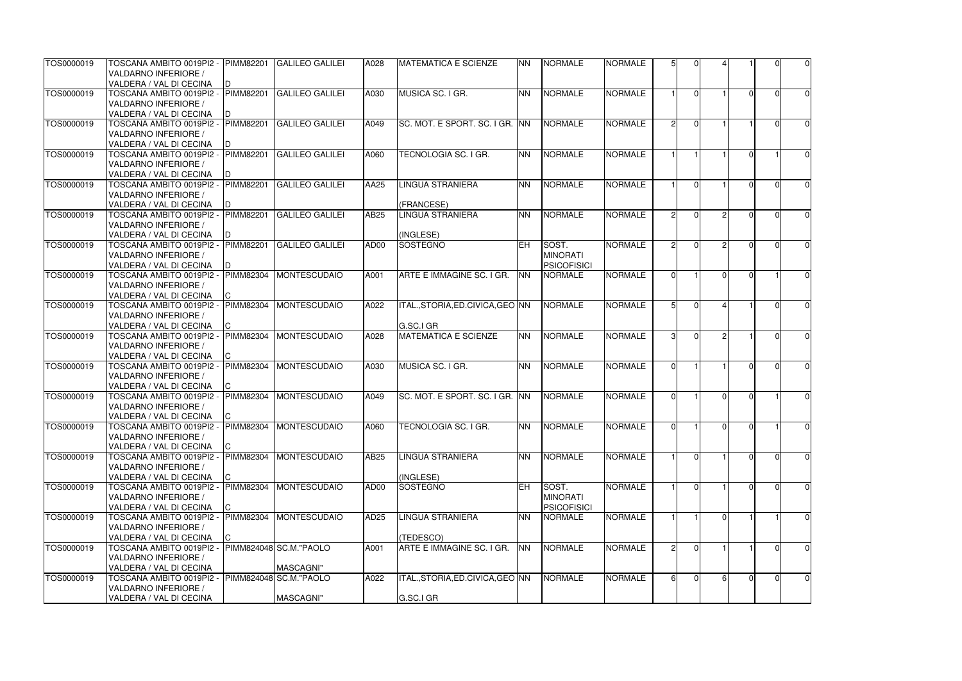| TOS0000019 | TOSCANA AMBITO 0019PI2 -  PIMM82201<br><b>VALDARNO INFERIORE /</b><br>VALDERA / VAL DI CECINA | D.                     | <b>GALILEO GALILEI</b>               | A028             | <b>MATEMATICA E SCIENZE</b>                    | <b>NN</b> | <b>NORMALE</b>                                 | <b>NORMALE</b> | 51            | $\Omega$       |               |          | U              | $\overline{0}$ |
|------------|-----------------------------------------------------------------------------------------------|------------------------|--------------------------------------|------------------|------------------------------------------------|-----------|------------------------------------------------|----------------|---------------|----------------|---------------|----------|----------------|----------------|
| TOS0000019 | TOSCANA AMBITO 0019PI2 -<br>VALDARNO INFERIORE /<br>VALDERA / VAL DI CECINA                   | <b>PIMM82201</b>       | <b>GALILEO GALILEI</b>               | A030             | MUSICA SC. I GR.                               | <b>NN</b> | <b>NORMALE</b>                                 | <b>NORMALE</b> |               | $\Omega$       |               |          | 0              | $\overline{0}$ |
| TOS0000019 | TOSCANA AMBITO 0019PI2 -<br>VALDARNO INFERIORE /<br>VALDERA / VAL DI CECINA                   | <b>PIMM82201</b>       | <b>GALILEO GALILEI</b>               | A049             | SC. MOT. E SPORT. SC. I GR. INN                |           | <b>NORMALE</b>                                 | <b>NORMALE</b> | $\mathcal{P}$ | $\Omega$       |               |          | U              | $\overline{0}$ |
| TOS0000019 | TOSCANA AMBITO 0019PI2 -<br>VALDARNO INFERIORE /<br>VALDERA / VAL DI CECINA                   | <b>PIMM82201</b>       | <b>GALILEO GALILEI</b>               | A060             | TECNOLOGIA SC. I GR.                           | <b>NN</b> | <b>NORMALE</b>                                 | <b>NORMALE</b> |               |                |               |          |                | $\overline{0}$ |
| TOS0000019 | TOSCANA AMBITO 0019PI2 -<br>VALDARNO INFERIORE /<br>VALDERA / VAL DI CECINA                   | <b>PIMM82201</b>       | <b>GALILEO GALILEI</b>               | AA25             | <b>LINGUA STRANIERA</b><br>(FRANCESE)          | <b>NN</b> | <b>NORMALE</b>                                 | <b>NORMALE</b> |               | $\Omega$       |               |          | n              | $\overline{0}$ |
| TOS0000019 | TOSCANA AMBITO 0019PI2 -<br>VALDARNO INFERIORE /<br>VALDERA / VAL DI CECINA                   | <b>PIMM82201</b>       | <b>GALILEO GALILEI</b>               | AB25             | <b>LINGUA STRANIERA</b><br>(INGLESE)           | <b>NN</b> | <b>NORMALE</b>                                 | <b>NORMALE</b> | $\mathcal{P}$ | $\Omega$       | っ             |          | O              | $\overline{0}$ |
| TOS0000019 | TOSCANA AMBITO 0019PI2 -<br>VALDARNO INFERIORE /<br>VALDERA / VAL DI CECINA                   | <b>PIMM82201</b><br>D. | <b>GALILEO GALILEI</b>               | AD00             | SOSTEGNO                                       | EH.       | SOST.<br><b>MINORATI</b><br><b>PSICOFISICI</b> | <b>NORMALE</b> | $\mathcal{P}$ | $\Omega$       | $\mathcal{D}$ |          | U              | $\overline{0}$ |
| TOS0000019 | TOSCANA AMBITO 0019PI2 -<br>VALDARNO INFERIORE /<br>VALDERA / VAL DI CECINA                   | PIMM82304<br>C.        | <b>MONTESCUDAIO</b>                  | A001             | ARTE E IMMAGINE SC. I GR.                      | <b>NN</b> | <b>NORMALE</b>                                 | <b>NORMALE</b> | ΩI            |                | $\Omega$      |          |                | $\overline{0}$ |
| TOS0000019 | TOSCANA AMBITO 0019PI2 -<br><b>VALDARNO INFERIORE /</b><br>VALDERA / VAL DI CECINA            | PIMM82304              | <b>MONTESCUDAIO</b>                  | A022             | ITAL.,STORIA,ED.CIVICA,GEO INN<br>G.SC.I GR    |           | <b>NORMALE</b>                                 | <b>NORMALE</b> |               | $\Omega$       |               |          |                | $\overline{0}$ |
| TOS0000019 | TOSCANA AMBITO 0019PI2 -<br>VALDARNO INFERIORE /<br>VALDERA / VAL DI CECINA                   | <b>PIMM82304</b>       | <b>MONTESCUDAIO</b>                  | A028             | <b>MATEMATICA E SCIENZE</b>                    | <b>NN</b> | <b>NORMALE</b>                                 | <b>NORMALE</b> | 31            | $\Omega$       |               |          | O              | $\overline{0}$ |
| TOS0000019 | TOSCANA AMBITO 0019PI2 - PIMM82304<br><b>VALDARNO INFERIORE /</b><br>VALDERA / VAL DI CECINA  |                        | <b>MONTESCUDAIO</b>                  | A030             | MUSICA SC. I GR.                               | <b>NN</b> | <b>NORMALE</b>                                 | <b>NORMALE</b> | ΩL            |                |               |          | U              | $\overline{0}$ |
| TOS0000019 | TOSCANA AMBITO 0019PI2 -<br>VALDARNO INFERIORE /<br>VALDERA / VAL DI CECINA                   | <b>PIMM82304</b><br> C | <b>MONTESCUDAIO</b>                  | A049             | SC. MOT. E SPORT. SC. I GR. INN                |           | <b>NORMALE</b>                                 | <b>NORMALE</b> | ΩI            |                | $\Omega$      |          |                | 0              |
| TOS0000019 | TOSCANA AMBITO 0019PI2 -<br>VALDARNO INFERIORE /<br>VALDERA / VAL DI CECINA                   | PIMM82304<br>C.        | <b>MONTESCUDAIO</b>                  | A060             | TECNOLOGIA SC. I GR.                           | <b>NN</b> | <b>NORMALE</b>                                 | <b>NORMALE</b> | $\Omega$      |                | ΩI            | $\Omega$ |                | $\overline{0}$ |
| TOS0000019 | TOSCANA AMBITO 0019PI2 -<br>VALDARNO INFERIORE /<br>VALDERA / VAL DI CECINA                   | <b>PIMM82304</b>       | <b>MONTESCUDAIO</b>                  | <b>AB25</b>      | <b>LINGUA STRANIERA</b><br>(INGLESE)           | <b>NN</b> | <b>NORMALE</b>                                 | <b>NORMALE</b> |               | $\Omega$       |               |          | $\overline{0}$ | $\overline{0}$ |
| TOS0000019 | TOSCANA AMBITO 0019PI2 -<br>VALDARNO INFERIORE /<br>VALDERA / VAL DI CECINA                   | PIMM82304              | <b>MONTESCUDAIO</b>                  | AD00             | SOSTEGNO                                       | EH        | SOST.<br><b>MINORATI</b><br><b>PSICOFISICI</b> | <b>NORMALE</b> |               | $\Omega$       |               |          | 0              | $\overline{0}$ |
| TOS0000019 | TOSCANA AMBITO 0019PI2 -<br>VALDARNO INFERIORE /<br>VALDERA / VAL DI CECINA                   | <b>PIMM82304</b>       | <b>MONTESCUDAIO</b>                  | AD <sub>25</sub> | <b>LINGUA STRANIERA</b><br>(TEDESCO)           | <b>NN</b> | <b>NORMALE</b>                                 | <b>NORMALE</b> |               |                |               |          |                | $\overline{0}$ |
| TOS0000019 | TOSCANA AMBITO 0019PI2 -<br>VALDARNO INFERIORE /<br>VALDERA / VAL DI CECINA                   |                        | PIMM824048 SC.M."PAOLO<br>MASCAGNI"  | A001             | ARTE E IMMAGINE SC. I GR.                      | <b>NN</b> | <b>NORMALE</b>                                 | <b>NORMALE</b> | 21            | $\Omega$       |               |          |                | $\overline{0}$ |
| TOS0000019 | TOSCANA AMBITO 0019PI2 -<br>VALDARNO INFERIORE /<br>VALDERA / VAL DI CECINA                   |                        | PIMM824048 SC.M. "PAOLO<br>MASCAGNI" | A022             | ITAL., STORIA, ED. CIVICA, GEO NN<br>G.SC.I GR |           | <b>NORMALE</b>                                 | <b>NORMALE</b> | 61            | $\overline{0}$ | 61            |          | $\overline{0}$ | $\overline{0}$ |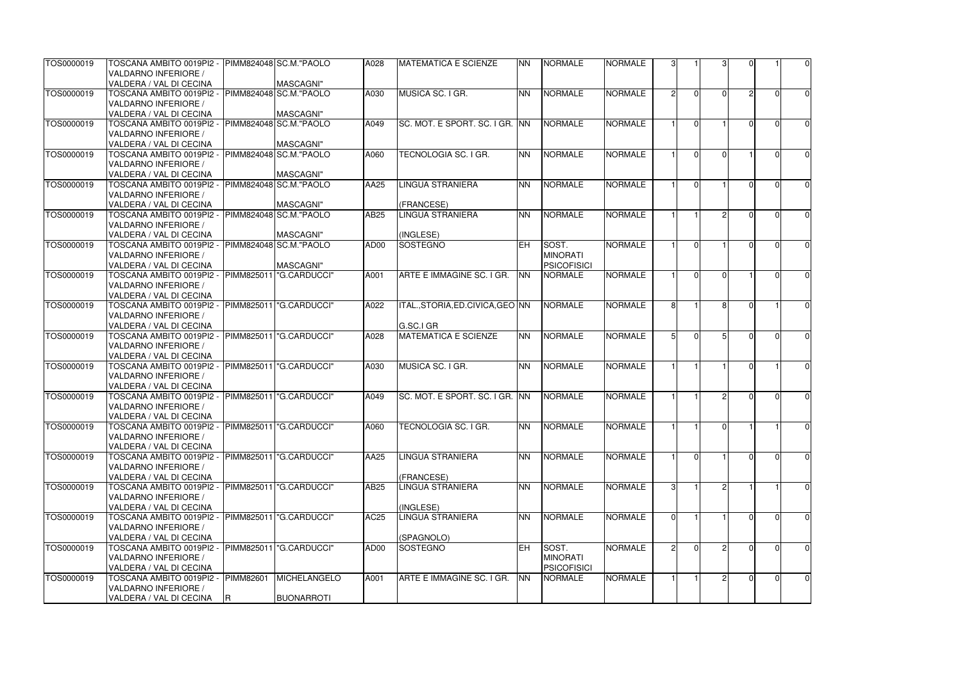| TOS0000019 | TOSCANA AMBITO 0019PI2 -<br>VALDARNO INFERIORE / |             | PIMM824048 SC.M."PAOLO    | A028             | <b>MATEMATICA E SCIENZE</b>     | <b>NN</b>  | <b>NORMALE</b>     | <b>NORMALE</b> | 31            |                |          |                | $\overline{0}$ |
|------------|--------------------------------------------------|-------------|---------------------------|------------------|---------------------------------|------------|--------------------|----------------|---------------|----------------|----------|----------------|----------------|
|            | VALDERA / VAL DI CECINA                          |             | MASCAGNI"                 |                  |                                 |            |                    |                |               |                |          |                |                |
| TOS0000019 | TOSCANA AMBITO 0019PI2 -                         |             | PIMM824048 SC.M. "PAOLO   | A030             | MUSICA SC. I GR.                | <b>NN</b>  | NORMALE            | <b>NORMALE</b> | $\mathcal{P}$ | $\overline{0}$ | $\Omega$ | $\overline{0}$ | $\overline{0}$ |
|            | VALDARNO INFERIORE /<br>VALDERA / VAL DI CECINA  |             | MASCAGNI"                 |                  |                                 |            |                    |                |               |                |          |                |                |
| TOS0000019 | TOSCANA AMBITO 0019PI2 -                         |             | PIMM824048 SC.M. "PAOLO   | A049             | SC. MOT. E SPORT. SC. I GR. INN |            | <b>NORMALE</b>     | <b>NORMALE</b> |               | $\Omega$       |          | $\Omega$       | $\overline{0}$ |
|            | VALDARNO INFERIORE /                             |             |                           |                  |                                 |            |                    |                |               |                |          |                |                |
|            | VALDERA / VAL DI CECINA                          |             | MASCAGNI"                 |                  |                                 |            |                    |                |               |                |          |                |                |
| TOS0000019 | TOSCANA AMBITO 0019PI2 -                         |             | PIMM824048 SC.M. "PAOLO   | A060             | TECNOLOGIA SC. I GR.            | <b>NN</b>  | NORMALE            | <b>NORMALE</b> |               | $\Omega$       | ΩI       | $\Omega$       | $\overline{0}$ |
|            | VALDARNO INFERIORE /                             |             |                           |                  |                                 |            |                    |                |               |                |          |                |                |
|            | VALDERA / VAL DI CECINA                          |             | MASCAGNI"                 |                  |                                 |            |                    |                |               |                |          |                |                |
| TOS0000019 | TOSCANA AMBITO 0019PI2 -                         |             | PIMM824048 SC.M. "PAOLO   | AA25             | <b>LINGUA STRANIERA</b>         | <b>NN</b>  | <b>NORMALE</b>     | <b>NORMALE</b> |               | $\Omega$       |          |                |                |
|            |                                                  |             |                           |                  |                                 |            |                    |                |               |                |          |                | $\overline{0}$ |
|            | VALDARNO INFERIORE /                             |             |                           |                  |                                 |            |                    |                |               |                |          |                |                |
|            | VALDERA / VAL DI CECINA                          |             | MASCAGNI"                 |                  | (FRANCESE)                      |            |                    |                |               |                |          |                |                |
| TOS0000019 | TOSCANA AMBITO 0019PI2 -                         |             | PIMM824048 SC.M. "PAOLO   | AB25             | <b>LINGUA STRANIERA</b>         | <b>NN</b>  | <b>NORMALE</b>     | <b>NORMALE</b> |               |                |          | U              | $\overline{0}$ |
|            | VALDARNO INFERIORE /                             |             |                           |                  |                                 |            |                    |                |               |                |          |                |                |
|            | VALDERA / VAL DI CECINA                          |             | MASCAGNI"                 |                  | (INGLESE)                       |            |                    |                |               |                |          |                |                |
| TOS0000019 | TOSCANA AMBITO 0019PI2 -                         |             | PIMM824048 SC.M."PAOLO    | AD00             | SOSTEGNO                        | <b>EH</b>  | SOST.              | <b>NORMALE</b> |               | $\Omega$       |          | U              | $\overline{0}$ |
|            | VALDARNO INFERIORE /                             |             |                           |                  |                                 |            | <b>MINORATI</b>    |                |               |                |          |                |                |
|            | VALDERA / VAL DI CECINA                          |             | MASCAGNI"                 |                  |                                 |            | <b>PSICOFISICI</b> |                |               |                |          |                |                |
| TOS0000019 | TOSCANA AMBITO 0019PI2 -                         |             | PIMM825011   "G.CARDUCCI" | A001             | ARTE E IMMAGINE SC. I GR.       | <b>INN</b> | <b>NORMALE</b>     | <b>NORMALE</b> |               | $\Omega$       | ΩI       | U              | $\overline{0}$ |
|            | VALDARNO INFERIORE /                             |             |                           |                  |                                 |            |                    |                |               |                |          |                |                |
|            | VALDERA / VAL DI CECINA                          |             |                           |                  |                                 |            |                    |                |               |                |          |                |                |
| TOS0000019 | TOSCANA AMBITO 0019PI2 -                         |             | PIMM825011   "G.CARDUCCI" | A022             | ITAL.,STORIA,ED.CIVICA,GEO INN  |            | <b>NORMALE</b>     | <b>NORMALE</b> |               |                |          |                | $\overline{0}$ |
|            | VALDARNO INFERIORE /                             |             |                           |                  |                                 |            |                    |                |               |                |          |                |                |
|            | VALDERA / VAL DI CECINA                          |             |                           |                  | G.SC.I GR                       |            |                    |                |               |                |          |                |                |
| TOS0000019 | TOSCANA AMBITO 0019PI2 -                         |             | PIMM825011   "G.CARDUCCI" | A028             | <b>MATEMATICA E SCIENZE</b>     | <b>NN</b>  | <b>NORMALE</b>     | <b>NORMALE</b> | $5 \mid$      | $\Omega$       |          | U              | $\overline{0}$ |
|            | VALDARNO INFERIORE /                             |             |                           |                  |                                 |            |                    |                |               |                |          |                |                |
|            | VALDERA / VAL DI CECINA                          |             |                           |                  |                                 |            |                    |                |               |                |          |                |                |
| TOS0000019 | TOSCANA AMBITO 0019PI2 -                         |             | PIMM825011   "G.CARDUCCI" | A030             | MUSICA SC. I GR.                | <b>NN</b>  | NORMALE            | <b>NORMALE</b> |               |                |          |                | $\overline{0}$ |
|            | VALDARNO INFERIORE /                             |             |                           |                  |                                 |            |                    |                |               |                |          |                |                |
|            | VALDERA / VAL DI CECINA                          |             |                           |                  |                                 |            |                    |                |               |                |          |                |                |
| TOS0000019 | TOSCANA AMBITO 0019PI2 -                         |             | PIMM825011 G.CARDUCCI"    | A049             | SC. MOT. E SPORT. SC. I GR. INN |            | <b>NORMALE</b>     | <b>NORMALE</b> |               |                |          | U              | $\overline{0}$ |
|            | VALDARNO INFERIORE /                             |             |                           |                  |                                 |            |                    |                |               |                |          |                |                |
|            | VALDERA / VAL DI CECINA                          |             |                           |                  |                                 |            |                    |                |               |                |          |                |                |
| TOS0000019 | TOSCANA AMBITO 0019PI2 -                         |             | PIMM825011  "G.CARDUCCI"  | A060             | TECNOLOGIA SC. I GR.            | <b>NN</b>  | <b>NORMALE</b>     | <b>NORMALE</b> |               |                | $\Omega$ |                | $\overline{0}$ |
|            | VALDARNO INFERIORE /                             |             |                           |                  |                                 |            |                    |                |               |                |          |                |                |
|            | VALDERA / VAL DI CECINA                          |             |                           |                  |                                 |            |                    |                |               |                |          |                |                |
| TOS0000019 | TOSCANA AMBITO 0019PI2 -                         |             | PIMM825011  "G.CARDUCCI"  | AA25             | <b>LINGUA STRANIERA</b>         | <b>NN</b>  | <b>NORMALE</b>     | <b>NORMALE</b> |               | $\Omega$       |          | 0              | $\overline{0}$ |
|            |                                                  |             |                           |                  |                                 |            |                    |                |               |                |          |                |                |
|            | VALDARNO INFERIORE /                             |             |                           |                  |                                 |            |                    |                |               |                |          |                |                |
|            | VALDERA / VAL DI CECINA                          |             |                           |                  | (FRANCESE)                      |            |                    |                |               |                |          |                |                |
| TOS0000019 | TOSCANA AMBITO 0019PI2 -                         |             | PIMM825011  "G.CARDUCCI"  | AB25             | LINGUA STRANIERA                | <b>NN</b>  | <b>NORMALE</b>     | <b>NORMALE</b> | 31            |                |          |                | $\overline{0}$ |
|            | VALDARNO INFERIORE /                             |             |                           |                  |                                 |            |                    |                |               |                |          |                |                |
|            | VALDERA / VAL DI CECINA                          |             |                           |                  | (INGLESE)                       |            |                    |                |               |                |          |                |                |
| TOS0000019 | TOSCANA AMBITO 0019PI2 -                         |             | PIMM825011  "G.CARDUCCI"  | <b>AC25</b>      | LINGUA STRANIERA                | <b>NN</b>  | <b>NORMALE</b>     | <b>NORMALE</b> | ΩI            |                |          | 0              | $\overline{0}$ |
|            | VALDARNO INFERIORE /                             |             |                           |                  |                                 |            |                    |                |               |                |          |                |                |
|            | VALDERA / VAL DI CECINA                          |             |                           |                  | (SPAGNOLO)                      |            |                    |                |               |                |          |                |                |
| TOS0000019 | TOSCANA AMBITO 0019PI2 -                         |             | PIMM825011   "G.CARDUCCI" | AD <sub>00</sub> | SOSTEGNO                        | EH.        | SOST.              | <b>NORMALE</b> |               |                |          |                | $\overline{0}$ |
|            | VALDARNO INFERIORE /                             |             |                           |                  |                                 |            | <b>MINORATI</b>    |                |               |                |          |                |                |
|            | VALDERA / VAL DI CECINA                          |             |                           |                  |                                 |            | <b>PSICOFISICI</b> |                |               |                |          |                |                |
| TOS0000019 | TOSCANA AMBITO 0019PI2 -                         | PIMM82601   | <b>MICHELANGELO</b>       | A001             | ARTE E IMMAGINE SC. I GR.       | <b>NN</b>  | <b>NORMALE</b>     | <b>NORMALE</b> |               |                |          | $\Omega$       | $\overline{0}$ |
|            | VALDARNO INFERIORE /                             |             |                           |                  |                                 |            |                    |                |               |                |          |                |                |
|            | VALDERA / VAL DI CECINA                          | $\mathsf R$ | <b>BUONARROTI</b>         |                  |                                 |            |                    |                |               |                |          |                |                |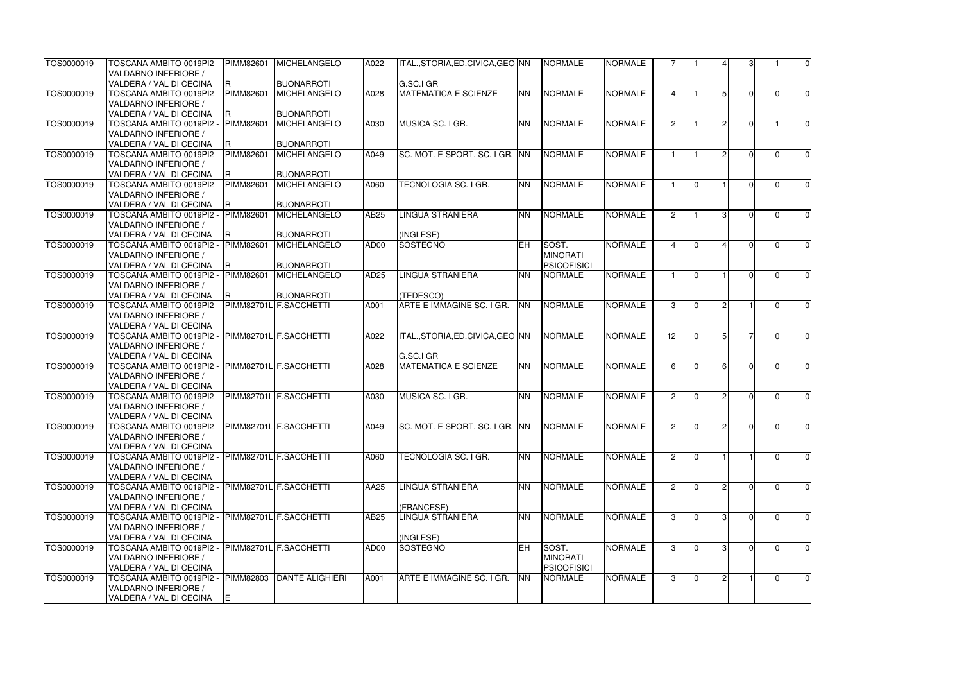| TOS0000019 | TOSCANA AMBITO 0019PI2 -<br>VALDARNO INFERIORE /    | <b>PIMM82601</b>       | MICHELANGELO                                | A022             | ITAL., STORIA, ED. CIVICA, GEO INN     |           | <b>NORMALE</b>     | <b>NORMALE</b> |               |                |               |    |          | $\overline{0}$ |
|------------|-----------------------------------------------------|------------------------|---------------------------------------------|------------------|----------------------------------------|-----------|--------------------|----------------|---------------|----------------|---------------|----|----------|----------------|
|            | VALDERA / VAL DI CECINA                             |                        | <b>BUONARROTI</b>                           |                  | G.SC.I GR                              |           |                    |                |               |                |               |    |          |                |
| TOS0000019 | TOSCANA AMBITO 0019PI2 -                            | R.<br><b>PIMM82601</b> | <b>MICHELANGELO</b>                         | A028             | <b>MATEMATICA E SCIENZE</b>            | <b>NN</b> | NORMALE            | <b>NORMALE</b> |               |                |               |    | $\Omega$ | $\overline{0}$ |
|            | VALDARNO INFERIORE /                                |                        |                                             |                  |                                        |           |                    |                |               |                |               |    |          |                |
|            | VALDERA / VAL DI CECINA                             |                        | <b>BUONARROTI</b>                           |                  |                                        |           |                    |                |               |                |               |    |          |                |
| TOS0000019 | TOSCANA AMBITO 0019PI2 -                            | <b>PIMM82601</b>       | <b>MICHELANGELO</b>                         | A030             | MUSICA SC. I GR.                       | NN        | NORMALE            | <b>NORMALE</b> | 21            |                | $\mathcal{D}$ |    |          | $\overline{0}$ |
|            | VALDARNO INFERIORE /                                |                        |                                             |                  |                                        |           |                    |                |               |                |               |    |          |                |
|            | VALDERA / VAL DI CECINA                             | R                      | <b>BUONARROTI</b>                           |                  |                                        |           |                    |                |               |                |               |    |          |                |
| TOS0000019 | TOSCANA AMBITO 0019PI2 -                            | PIMM82601              | <b>MICHELANGELO</b>                         | A049             | ISC. MOT. E SPORT. SC. I GR. INN       |           | <b>NORMALE</b>     | <b>NORMALE</b> |               |                |               |    | $\Omega$ | $\overline{0}$ |
|            | VALDARNO INFERIORE /                                |                        |                                             |                  |                                        |           |                    |                |               |                |               |    |          |                |
|            | VALDERA / VAL DI CECINA                             |                        | <b>BUONARROTI</b>                           |                  |                                        |           |                    |                |               |                |               |    |          |                |
| TOS0000019 | - TOSCANA AMBITO 0019PI2                            | PIMM82601              | <b>MICHELANGELO</b>                         | A060             | TECNOLOGIA SC. I GR.                   | <b>NN</b> | <b>NORMALE</b>     | <b>NORMALE</b> |               | $\Omega$       |               |    |          | $\overline{0}$ |
|            | VALDARNO INFERIORE /                                |                        |                                             |                  |                                        |           |                    |                |               |                |               |    |          |                |
|            | VALDERA / VAL DI CECINA                             |                        | <b>BUONARROTI</b>                           |                  |                                        |           |                    |                |               |                |               |    |          |                |
| TOS0000019 | TOSCANA AMBITO 0019PI2 -                            | PIMM82601              | <b>MICHELANGELO</b>                         | AB25             | <b>LINGUA STRANIERA</b>                | <b>NN</b> | <b>NORMALE</b>     | <b>NORMALE</b> | 2             |                |               |    | U        | $\overline{0}$ |
|            | VALDARNO INFERIORE /                                |                        |                                             |                  |                                        |           |                    |                |               |                |               |    |          |                |
|            | VALDERA / VAL DI CECINA                             | R                      | <b>BUONARROTI</b>                           |                  | (INGLESE)                              |           |                    |                |               |                |               |    |          |                |
| TOS0000019 | TOSCANA AMBITO 0019PI2 -                            | PIMM82601              | <b>MICHELANGELO</b>                         | AD00             | SOSTEGNO                               | <b>EH</b> | SOST.              | <b>NORMALE</b> |               | $\Omega$       |               |    | U        | $\overline{0}$ |
|            | VALDARNO INFERIORE /                                |                        |                                             |                  |                                        |           | <b>MINORATI</b>    |                |               |                |               |    |          |                |
|            | VALDERA / VAL DI CECINA                             | R.                     | <b>BUONARROTI</b>                           |                  |                                        |           | <b>PSICOFISICI</b> |                |               |                |               |    |          |                |
| TOS0000019 | TOSCANA AMBITO 0019PI2 -                            | PIMM82601              | MICHELANGELO                                | AD <sub>25</sub> | <b>LINGUA STRANIERA</b>                | <b>NN</b> | NORMALE            | <b>NORMALE</b> |               | $\Omega$       |               |    | $\cap$   | $\overline{0}$ |
|            | VALDARNO INFERIORE /                                |                        |                                             |                  |                                        |           |                    |                |               |                |               |    |          |                |
|            | VALDERA / VAL DI CECINA<br>TOSCANA AMBITO 0019PI2 - |                        | <b>BUONARROTI</b><br>PIMM82701L F.SACCHETTI | A001             | (TEDESCO)<br>ARTE E IMMAGINE SC. I GR. | <b>NN</b> | <b>NORMALE</b>     | <b>NORMALE</b> |               |                |               |    |          |                |
| TOS0000019 | VALDARNO INFERIORE /                                |                        |                                             |                  |                                        |           |                    |                |               |                |               |    |          | $\overline{0}$ |
|            | VALDERA / VAL DI CECINA                             |                        |                                             |                  |                                        |           |                    |                |               |                |               |    |          |                |
| TOS0000019 | TOSCANA AMBITO 0019PI2 -                            |                        | PIMM82701L F.SACCHETTI                      | A022             | ITAL., STORIA, ED. CIVICA, GEO NN      |           | <b>NORMALE</b>     | <b>NORMALE</b> | 12            | $\Omega$       |               |    | U        | $\overline{0}$ |
|            | VALDARNO INFERIORE /                                |                        |                                             |                  |                                        |           |                    |                |               |                |               |    |          |                |
|            | VALDERA / VAL DI CECINA                             |                        |                                             |                  | G.SC.I GR                              |           |                    |                |               |                |               |    |          |                |
| TOS0000019 | TOSCANA AMBITO 0019PI2 -                            |                        | PIMM82701L F.SACCHETTI                      | A028             | <b>MATEMATICA E SCIENZE</b>            | <b>NN</b> | NORMALE            | <b>NORMALE</b> | 61            | $\Omega$       | $6 \mid$      |    | U        | $\overline{0}$ |
|            | VALDARNO INFERIORE /                                |                        |                                             |                  |                                        |           |                    |                |               |                |               |    |          |                |
|            | VALDERA / VAL DI CECINA                             |                        |                                             |                  |                                        |           |                    |                |               |                |               |    |          |                |
| TOS0000019 | TOSCANA AMBITO 0019PI2 -                            |                        | PIMM82701L F.SACCHETTI                      | A030             | MUSICA SC. I GR.                       | <b>NN</b> | <b>NORMALE</b>     | <b>NORMALE</b> | $\mathcal{P}$ | $\Omega$       | $\mathcal{D}$ |    | U        | $\overline{0}$ |
|            | VALDARNO INFERIORE /                                |                        |                                             |                  |                                        |           |                    |                |               |                |               |    |          |                |
|            | VALDERA / VAL DI CECINA                             |                        |                                             |                  |                                        |           |                    |                |               |                |               |    |          |                |
| TOS0000019 | TOSCANA AMBITO 0019PI2 -                            |                        | PIMM82701L F.SACCHETTI                      | A049             | SC. MOT. E SPORT. SC. I GR. INN        |           | <b>NORMALE</b>     | <b>NORMALE</b> | 21            | $\overline{0}$ |               | ΩI | $\Omega$ | $\overline{0}$ |
|            | VALDARNO INFERIORE /                                |                        |                                             |                  |                                        |           |                    |                |               |                |               |    |          |                |
|            | VALDERA / VAL DI CECINA                             |                        |                                             |                  |                                        |           |                    |                |               |                |               |    |          |                |
| TOS0000019 | TOSCANA AMBITO 0019PI2 -                            |                        | PIMM82701L F.SACCHETTI                      | A060             | TECNOLOGIA SC. I GR.                   | <b>NN</b> | <b>NORMALE</b>     | <b>NORMALE</b> |               | $\overline{0}$ |               |    | 0        | $\overline{0}$ |
|            | VALDARNO INFERIORE /                                |                        |                                             |                  |                                        |           |                    |                |               |                |               |    |          |                |
|            | VALDERA / VAL DI CECINA                             |                        |                                             |                  |                                        |           |                    |                |               |                |               |    |          |                |
| TOS0000019 | TOSCANA AMBITO 0019PI2 -                            |                        | PIMM82701L F.SACCHETTI                      | AA25             | <b>LINGUA STRANIERA</b>                | <b>NN</b> | NORMALE            | <b>NORMALE</b> |               | $\Omega$       |               |    | 0        | $\overline{0}$ |
|            | VALDARNO INFERIORE /<br>VALDERA / VAL DI CECINA     |                        |                                             |                  | (FRANCESE)                             |           |                    |                |               |                |               |    |          |                |
| TOS0000019 | TOSCANA AMBITO 0019PI2 -                            |                        | PIMM82701L F.SACCHETTI                      | AB25             | <b>LINGUA STRANIERA</b>                | <b>NN</b> | NORMALE            | <b>NORMALE</b> | 31            |                |               |    | O        | $\overline{0}$ |
|            | VALDARNO INFERIORE /                                |                        |                                             |                  |                                        |           |                    |                |               |                |               |    |          |                |
|            | VALDERA / VAL DI CECINA                             |                        |                                             |                  | (INGLESE)                              |           |                    |                |               |                |               |    |          |                |
| TOS0000019 | TOSCANA AMBITO 0019PI2 -                            |                        | PIMM82701L F.SACCHETTI                      | AD00             | SOSTEGNO                               | EH.       | SOST.              | <b>NORMALE</b> |               |                |               |    |          | $\overline{0}$ |
|            | VALDARNO INFERIORE /                                |                        |                                             |                  |                                        |           | <b>MINORATI</b>    |                |               |                |               |    |          |                |
|            | VALDERA / VAL DI CECINA                             |                        |                                             |                  |                                        |           | <b>PSICOFISICI</b> |                |               |                |               |    |          |                |
| TOS0000019 | TOSCANA AMBITO 0019PI2 -                            | PIMM82803              | <b>DANTE ALIGHIERI</b>                      | A001             | ARTE E IMMAGINE SC. I GR.              | <b>NN</b> | <b>NORMALE</b>     | <b>NORMALE</b> | 31            | $\overline{0}$ |               |    | ΩI       | $\overline{0}$ |
|            | VALDARNO INFERIORE /                                |                        |                                             |                  |                                        |           |                    |                |               |                |               |    |          |                |
|            | VALDERA / VAL DI CECINA                             | E                      |                                             |                  |                                        |           |                    |                |               |                |               |    |          |                |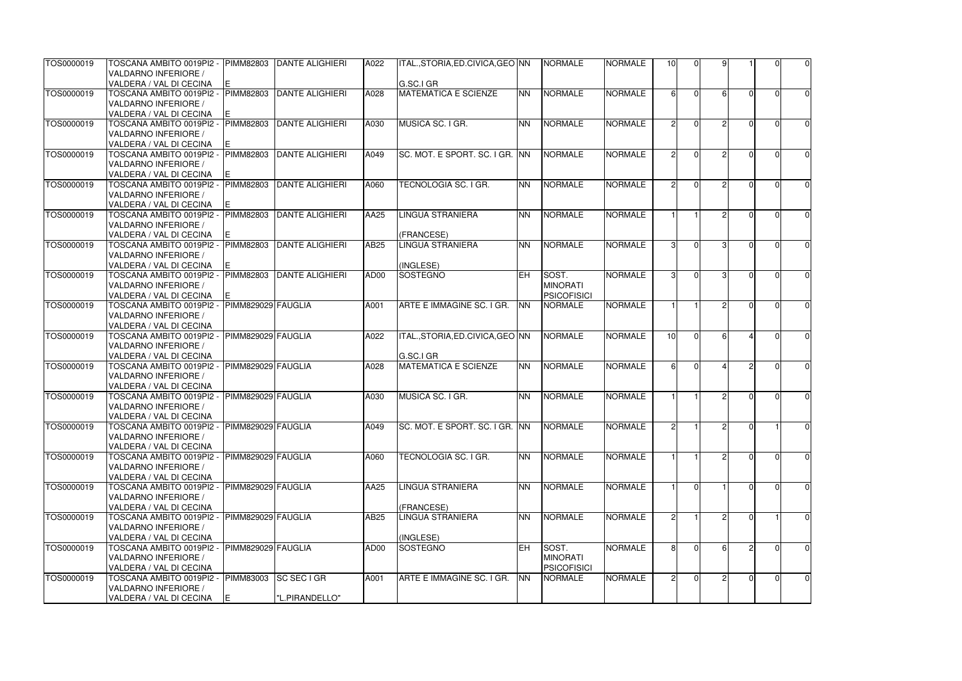| TOS0000019 | TOSCANA AMBITO 0019PI2 -<br>VALDARNO INFERIORE /    | PIMM82803              | <b>IDANTE ALIGHIERI</b> | A022 | ITAL., STORIA, ED. CIVICA, GEO INN |            | <b>NORMALE</b>     | <b>NORMALE</b> | 10 <sub>l</sub> | $\overline{0}$ |               |        |          | $\overline{0}$ |
|------------|-----------------------------------------------------|------------------------|-------------------------|------|------------------------------------|------------|--------------------|----------------|-----------------|----------------|---------------|--------|----------|----------------|
|            |                                                     |                        |                         |      | G.SC.I GR                          |            |                    |                |                 |                |               |        |          |                |
| TOS0000019 | VALDERA / VAL DI CECINA<br>TOSCANA AMBITO 0019PI2 - | IΕ<br><b>PIMM82803</b> | <b>DANTE ALIGHIERI</b>  | A028 | <b>MATEMATICA E SCIENZE</b>        | <b>NN</b>  | <b>NORMALE</b>     | <b>NORMALE</b> |                 | $\Omega$       | $6 \mid$      |        | 0        | $\overline{0}$ |
|            | VALDARNO INFERIORE /                                |                        |                         |      |                                    |            |                    |                |                 |                |               |        |          |                |
|            | VALDERA / VAL DI CECINA                             | E.                     |                         |      |                                    |            |                    |                |                 |                |               |        |          |                |
| TOS0000019 | TOSCANA AMBITO 0019PI2 -                            | <b>PIMM82803</b>       | <b>DANTE ALIGHIERI</b>  | A030 | MUSICA SC. I GR.                   | <b>NN</b>  | <b>NORMALE</b>     | <b>NORMALE</b> | $\mathcal{D}$   | $\Omega$       | $\mathcal{D}$ |        | O        | $\overline{0}$ |
|            | VALDARNO INFERIORE /                                |                        |                         |      |                                    |            |                    |                |                 |                |               |        |          |                |
|            | VALDERA / VAL DI CECINA                             | IE.                    |                         |      |                                    |            |                    |                |                 |                |               |        |          |                |
| TOS0000019 | TOSCANA AMBITO 0019PI2 -                            | <b>PIMM82803</b>       | <b>DANTE ALIGHIERI</b>  | A049 | SC. MOT. E SPORT. SC. I GR. INN    |            | <b>NORMALE</b>     | <b>NORMALE</b> |                 | $\Omega$       |               |        |          | $\overline{0}$ |
|            | VALDARNO INFERIORE /                                |                        |                         |      |                                    |            |                    |                |                 |                |               |        |          |                |
|            | VALDERA / VAL DI CECINA                             |                        |                         |      |                                    |            |                    |                |                 |                |               |        |          |                |
| TOS0000019 | TOSCANA AMBITO 0019PI2 -                            | PIMM82803              | DANTE ALIGHIERI         | A060 | TECNOLOGIA SC. I GR.               | <b>NN</b>  | <b>NORMALE</b>     | <b>NORMALE</b> |                 | $\Omega$       |               |        |          | $\overline{0}$ |
|            | VALDARNO INFERIORE /                                |                        |                         |      |                                    |            |                    |                |                 |                |               |        |          |                |
|            | VALDERA / VAL DI CECINA                             | E.                     |                         |      |                                    |            |                    |                |                 |                |               |        |          |                |
| TOS0000019 | TOSCANA AMBITO 0019PI2 -                            | <b>PIMM82803</b>       | <b>DANTE ALIGHIERI</b>  | AA25 | LINGUA STRANIERA                   | <b>INN</b> | <b>NORMALE</b>     | <b>NORMALE</b> |                 |                |               |        | O        | $\overline{0}$ |
|            | VALDARNO INFERIORE /                                |                        |                         |      |                                    |            |                    |                |                 |                |               |        |          |                |
|            | VALDERA / VAL DI CECINA                             | IE.                    |                         |      | (FRANCESE)                         |            |                    |                |                 |                |               |        |          |                |
| TOS0000019 | TOSCANA AMBITO 0019PI2 -                            | PIMM82803              | DANTE ALIGHIERI         | AB25 | <b>LINGUA STRANIERA</b>            | <b>NN</b>  | <b>NORMALE</b>     | <b>NORMALE</b> | $\mathcal{B}$   | $\Omega$       | $\mathcal{R}$ |        | U        | $\overline{0}$ |
|            | VALDARNO INFERIORE /                                |                        |                         |      |                                    |            |                    |                |                 |                |               |        |          |                |
|            | VALDERA / VAL DI CECINA                             |                        |                         |      | (INGLESE)                          |            |                    |                |                 |                |               |        |          |                |
| TOS0000019 | TOSCANA AMBITO 0019PI2 -                            | PIMM82803              | <b>DANTE ALIGHIERI</b>  | AD00 | <b>SOSTEGNO</b>                    | <b>IEH</b> | SOST.              | <b>NORMALE</b> | $\mathbf{3}$    | $\Omega$       | $\mathbf{R}$  |        | $\Omega$ | $\overline{0}$ |
|            | VALDARNO INFERIORE /                                |                        |                         |      |                                    |            | <b>MINORATI</b>    |                |                 |                |               |        |          |                |
|            | VALDERA / VAL DI CECINA                             |                        |                         |      |                                    |            | <b>PSICOFISICI</b> |                |                 |                |               |        |          |                |
| TOS0000019 | TOSCANA AMBITO 0019PI2 -                            | PIMM829029 FAUGLIA     |                         | A001 | ARTE E IMMAGINE SC. I GR.          | <b>NN</b>  | <b>NORMALE</b>     | <b>NORMALE</b> |                 |                |               |        |          | $\overline{0}$ |
|            | VALDARNO INFERIORE /                                |                        |                         |      |                                    |            |                    |                |                 |                |               |        |          |                |
|            | VALDERA / VAL DI CECINA                             |                        |                         |      |                                    |            |                    |                |                 |                |               |        |          |                |
| TOS0000019 | TOSCANA AMBITO 0019PI2 -                            | PIMM829029 FAUGLIA     |                         | A022 | ITAL., STORIA, ED. CIVICA, GEO NN  |            | <b>NORMALE</b>     | <b>NORMALE</b> | 10              | $\Omega$       |               |        | 0        | $\overline{0}$ |
|            | VALDARNO INFERIORE /                                |                        |                         |      |                                    |            |                    |                |                 |                |               |        |          |                |
|            | VALDERA / VAL DI CECINA                             |                        |                         |      | G.SC.I GR                          |            |                    |                |                 |                |               |        |          |                |
| TOS0000019 | TOSCANA AMBITO 0019PI2 -                            | PIMM829029 FAUGLIA     |                         | A028 | <b>MATEMATICA E SCIENZE</b>        | <b>NN</b>  | <b>NORMALE</b>     | <b>NORMALE</b> | 61              | $\Omega$       |               |        | O        | 0              |
|            | VALDARNO INFERIORE /                                |                        |                         |      |                                    |            |                    |                |                 |                |               |        |          |                |
|            | VALDERA / VAL DI CECINA                             |                        |                         |      |                                    |            |                    |                |                 |                |               |        |          |                |
| TOS0000019 | TOSCANA AMBITO 0019PI2 -                            | PIMM829029 FAUGLIA     |                         | A030 | MUSICA SC. I GR.                   | <b>NN</b>  | <b>NORMALE</b>     | <b>NORMALE</b> |                 |                |               |        | $\Omega$ | $\overline{0}$ |
|            | VALDARNO INFERIORE /                                |                        |                         |      |                                    |            |                    |                |                 |                |               |        |          |                |
|            | VALDERA / VAL DI CECINA                             |                        |                         |      |                                    |            |                    |                |                 |                |               |        |          |                |
| TOS0000019 | TOSCANA AMBITO 0019PI2 -                            | PIMM829029 FAUGLIA     |                         | A049 | SC. MOT. E SPORT. SC. I GR. INN    |            | <b>NORMALE</b>     | <b>NORMALE</b> | 21              |                |               | $\cap$ |          | $\overline{0}$ |
|            | VALDARNO INFERIORE /                                |                        |                         |      |                                    |            |                    |                |                 |                |               |        |          |                |
|            | VALDERA / VAL DI CECINA                             |                        |                         |      |                                    |            |                    |                |                 |                |               |        |          |                |
| TOS0000019 | TOSCANA AMBITO 0019PI2 -                            | PIMM829029 FAUGLIA     |                         | A060 | TECNOLOGIA SC. I GR.               | <b>NN</b>  | <b>NORMALE</b>     | <b>NORMALE</b> |                 |                |               |        | $\Omega$ | $\overline{0}$ |
|            | VALDARNO INFERIORE /                                |                        |                         |      |                                    |            |                    |                |                 |                |               |        |          |                |
|            | VALDERA / VAL DI CECINA                             |                        |                         |      |                                    |            |                    |                |                 |                |               |        |          |                |
| TOS0000019 | TOSCANA AMBITO 0019PI2 -                            | PIMM829029 FAUGLIA     |                         | AA25 | LINGUA STRANIERA                   | <b>NN</b>  | <b>NORMALE</b>     | <b>NORMALE</b> |                 | $\Omega$       |               |        | $\Omega$ | $\overline{0}$ |
|            | VALDARNO INFERIORE /                                |                        |                         |      |                                    |            |                    |                |                 |                |               |        |          |                |
|            | VALDERA / VAL DI CECINA                             |                        |                         |      | (FRANCESE)                         |            |                    |                |                 |                |               |        |          |                |
| TOS0000019 | TOSCANA AMBITO 0019PI2 -                            | PIMM829029 FAUGLIA     |                         | AB25 | LINGUA STRANIERA                   | <b>NN</b>  | <b>NORMALE</b>     | <b>NORMALE</b> |                 |                |               |        |          | $\overline{0}$ |
|            | VALDARNO INFERIORE /                                |                        |                         |      |                                    |            |                    |                |                 |                |               |        |          |                |
|            | VALDERA / VAL DI CECINA                             |                        |                         |      | (INGLESE)                          |            |                    |                |                 |                |               |        |          |                |
| TOS0000019 | TOSCANA AMBITO 0019PI2 -                            | PIMM829029 FAUGLIA     |                         | AD00 | <b>SOSTEGNO</b>                    | <b>EH</b>  | SOST.              | <b>NORMALE</b> |                 | $\Omega$       |               |        |          | $\overline{0}$ |
|            | VALDARNO INFERIORE /                                |                        |                         |      |                                    |            | <b>MINORATI</b>    |                |                 |                |               |        |          |                |
|            | VALDERA / VAL DI CECINA                             |                        |                         |      |                                    |            | <b>PSICOFISICI</b> |                |                 |                |               |        |          |                |
| TOS0000019 | TOSCANA AMBITO 0019PI2 -                            | PIMM83003              | <b>SC SEC I GR</b>      | A001 | ARTE E IMMAGINE SC. I GR.          | <b>NN</b>  | <b>NORMALE</b>     | <b>NORMALE</b> | $\overline{2}$  | $\overline{0}$ |               |        | 01       | $\overline{0}$ |
|            | <b>VALDARNO INFERIORE /</b>                         |                        |                         |      |                                    |            |                    |                |                 |                |               |        |          |                |
|            | VALDERA / VAL DI CECINA                             | IE.                    | "L.PIRANDELLO"          |      |                                    |            |                    |                |                 |                |               |        |          |                |
|            |                                                     |                        |                         |      |                                    |            |                    |                |                 |                |               |        |          |                |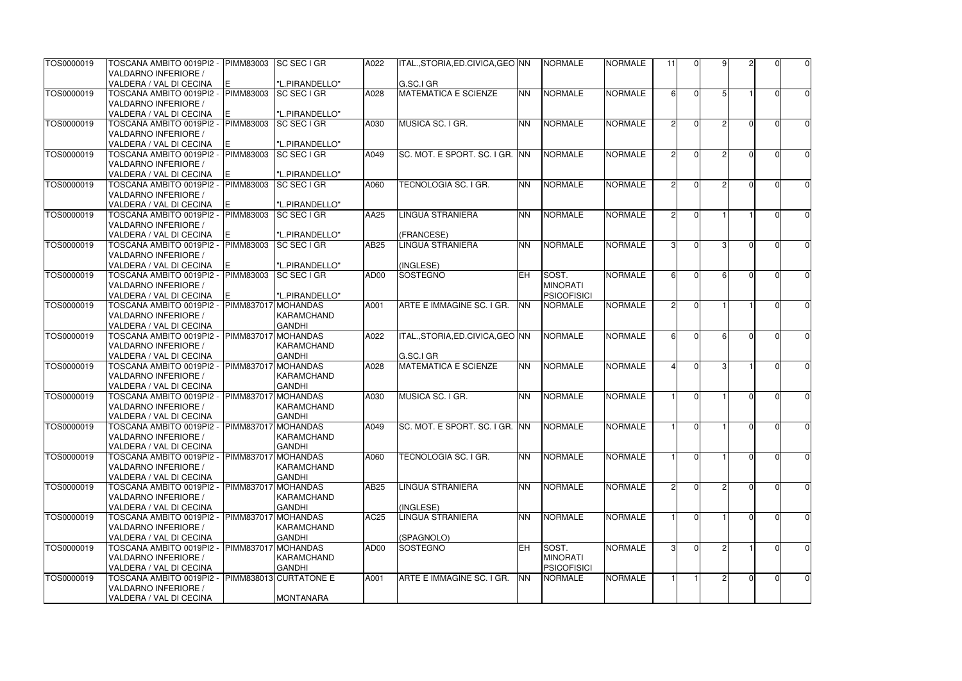| TOS0000019 | TOSCANA AMBITO 0019PI2 -<br>VALDARNO INFERIORE /    | PIMM83003  | <b>SC SEC I GR</b>               | A022              | ITAL.,STORIA,ED.CIVICA,GEO INN    |           | <b>NORMALE</b>     | <b>NORMALE</b> | 11            | $\Omega$       | $\mathsf{Q}$  |   | U              | $\overline{0}$ |
|------------|-----------------------------------------------------|------------|----------------------------------|-------------------|-----------------------------------|-----------|--------------------|----------------|---------------|----------------|---------------|---|----------------|----------------|
|            | VALDERA / VAL DI CECINA                             | E.         | "L.PIRANDELLO"                   |                   | G.SC.I GR                         |           |                    |                |               |                |               |   |                |                |
| TOS0000019 | TOSCANA AMBITO 0019PI2 -                            | PIMM83003  | <b>SC SEC I GR</b>               | A028              | <b>MATEMATICA E SCIENZE</b>       | <b>NN</b> | <b>NORMALE</b>     | <b>NORMALE</b> | 61            | $\Omega$       |               |   | 0              | $\overline{0}$ |
|            | VALDARNO INFERIORE /                                |            |                                  |                   |                                   |           |                    |                |               |                |               |   |                |                |
|            | VALDERA / VAL DI CECINA                             | E.         | "L.PIRANDELLO"                   |                   |                                   |           |                    |                |               |                |               |   |                |                |
| TOS0000019 | TOSCANA AMBITO 0019PI2 -                            | PIMM83003  | <b>SC SEC I GR</b>               | A030              | MUSICA SC. I GR.                  | <b>NN</b> | NORMALE            | <b>NORMALE</b> | $\mathcal{D}$ | $\Omega$       | o             |   | U              | $\overline{0}$ |
|            | VALDARNO INFERIORE /                                |            |                                  |                   |                                   |           |                    |                |               |                |               |   |                |                |
|            | VALDERA / VAL DI CECINA                             | E          | "L.PIRANDELLO"                   |                   |                                   |           |                    |                |               |                |               |   |                |                |
| TOS0000019 | TOSCANA AMBITO 0019PI2 -                            | PIMM83003  | <b>SC SEC I GR</b>               | A049              | SC. MOT. E SPORT. SC. I GR. INN   |           | <b>NORMALE</b>     | <b>NORMALE</b> |               | $\Omega$       |               |   |                | $\overline{0}$ |
|            | VALDARNO INFERIORE /                                |            |                                  |                   |                                   |           |                    |                |               |                |               |   |                |                |
|            | VALDERA / VAL DI CECINA                             |            | "L.PIRANDELLO"                   |                   |                                   |           |                    |                |               |                |               |   |                |                |
| TOS0000019 | - TOSCANA AMBITO 0019PI2                            | PIMM83003  | <b>SC SEC I GR</b>               | A060              | TECNOLOGIA SC. I GR.              | <b>NN</b> | <b>NORMALE</b>     | <b>NORMALE</b> | $\mathcal{D}$ | $\Omega$       |               |   | U              | $\overline{0}$ |
|            | VALDARNO INFERIORE /                                |            |                                  |                   |                                   |           |                    |                |               |                |               |   |                |                |
|            | VALDERA / VAL DI CECINA                             | E.         | "L.PIRANDELLO"                   |                   |                                   |           |                    |                |               |                |               |   |                |                |
| TOS0000019 | TOSCANA AMBITO 0019PI2 -                            | PIMM83003  | <b>SC SEC I GR</b>               | AA25              | <b>LINGUA STRANIERA</b>           | <b>NN</b> | <b>NORMALE</b>     | <b>NORMALE</b> | $\mathcal{P}$ | $\Omega$       |               |   | U              | $\overline{0}$ |
|            | VALDARNO INFERIORE /                                |            |                                  |                   |                                   |           |                    |                |               |                |               |   |                |                |
|            | VALDERA / VAL DI CECINA                             | E.         | "L.PIRANDELLO"                   |                   | (FRANCESE)                        |           |                    |                |               |                |               |   |                |                |
| TOS0000019 | TOSCANA AMBITO 0019PI2 -                            | PIMM83003  | <b>SC SEC I GR</b>               | AB25              | LINGUA STRANIERA                  | <b>NN</b> | <b>NORMALE</b>     | <b>NORMALE</b> | 31            | $\Omega$       | $\mathcal{R}$ |   | U              | $\overline{0}$ |
|            | VALDARNO INFERIORE /                                |            |                                  |                   |                                   |           |                    |                |               |                |               |   |                |                |
|            | VALDERA / VAL DI CECINA                             | Е          | "L.PIRANDELLO"                   |                   | (INGLESE)                         |           |                    |                |               |                |               |   |                |                |
| TOS0000019 | TOSCANA AMBITO 0019PI2 -                            | PIMM83003  | <b>SC SEC I GR</b>               | AD00              | SOSTEGNO                          | leh.      | SOST.              | <b>NORMALE</b> |               | $\Omega$       |               |   |                | $\overline{0}$ |
|            | VALDARNO INFERIORE /                                |            |                                  |                   |                                   |           | <b>MINORATI</b>    |                |               |                |               |   |                |                |
|            | VALDERA / VAL DI CECINA                             | E.         | "L.PIRANDELLO"                   |                   |                                   |           | <b>PSICOFISICI</b> |                |               |                |               |   |                |                |
| TOS0000019 | - TOSCANA AMBITO 0019PI2                            | PIMM837017 | <b>MOHANDAS</b>                  | A001              | ARTE E IMMAGINE SC. I GR.         | <b>NN</b> | <b>NORMALE</b>     | <b>NORMALE</b> | $\mathcal{P}$ | $\Omega$       |               |   |                | $\overline{0}$ |
|            | VALDARNO INFERIORE /                                |            | <b>KARAMCHAND</b>                |                   |                                   |           |                    |                |               |                |               |   |                |                |
|            | VALDERA / VAL DI CECINA                             |            | <b>GANDHI</b>                    |                   |                                   |           |                    |                |               |                |               |   |                |                |
| TOS0000019 | TOSCANA AMBITO 0019PI2 -                            | PIMM837017 | <b>MOHANDAS</b>                  | A022              | ITAL., STORIA, ED. CIVICA, GEO NN |           | <b>NORMALE</b>     | <b>NORMALE</b> | 61            | $\Omega$       |               |   | O              | $\overline{0}$ |
|            | VALDARNO INFERIORE /                                |            | <b>KARAMCHAND</b>                |                   |                                   |           |                    |                |               |                |               |   |                |                |
|            | VALDERA / VAL DI CECINA                             |            | <b>GANDHI</b>                    |                   | G.SC.I GR                         |           |                    |                |               |                |               |   |                |                |
| TOS0000019 | TOSCANA AMBITO 0019PI2 -                            | PIMM837017 | <b>MOHANDAS</b>                  | A028              | <b>MATEMATICA E SCIENZE</b>       | <b>NN</b> | NORMALE            | <b>NORMALE</b> |               | $\Omega$       | 3             |   | U              | $\overline{0}$ |
|            | VALDARNO INFERIORE /                                |            | KARAMCHAND                       |                   |                                   |           |                    |                |               |                |               |   |                |                |
|            | VALDERA / VAL DI CECINA                             |            | <b>GANDHI</b>                    |                   |                                   |           |                    |                |               |                |               |   |                |                |
| TOS0000019 | TOSCANA AMBITO 0019PI2 -                            | PIMM837017 | <b>MOHANDAS</b>                  | A030              | MUSICA SC. I GR.                  | <b>NN</b> | <b>NORMALE</b>     | <b>NORMALE</b> |               | $\Omega$       |               |   | $\Omega$       | $\overline{0}$ |
|            | VALDARNO INFERIORE /                                |            | KARAMCHAND                       |                   |                                   |           |                    |                |               |                |               |   |                |                |
|            | VALDERA / VAL DI CECINA                             |            | <b>GANDHI</b>                    |                   |                                   |           |                    |                |               |                |               |   |                |                |
| TOS0000019 | TOSCANA AMBITO 0019PI2 -                            |            | PIMM837017 MOHANDAS              | A049              | SC. MOT. E SPORT. SC. I GR. INN   |           | <b>NORMALE</b>     | <b>NORMALE</b> |               | $\overline{0}$ |               |   | $\Omega$       | $\overline{0}$ |
|            | VALDARNO INFERIORE /                                |            | KARAMCHAND                       |                   |                                   |           |                    |                |               |                |               |   |                |                |
|            | VALDERA / VAL DI CECINA                             |            | <b>GANDHI</b>                    |                   |                                   |           |                    |                |               |                |               |   |                |                |
| TOS0000019 | TOSCANA AMBITO 0019PI2 -                            | PIMM837017 | <b>MOHANDAS</b>                  | A060              | TECNOLOGIA SC. I GR.              | <b>NN</b> | NORMALE            | <b>NORMALE</b> |               | $\overline{0}$ |               |   | $\overline{0}$ | $\overline{0}$ |
|            | VALDARNO INFERIORE /                                |            | <b>KARAMCHAND</b>                |                   |                                   |           |                    |                |               |                |               |   |                |                |
|            | VALDERA / VAL DI CECINA                             |            | <b>GANDHI</b>                    |                   |                                   |           |                    |                |               |                |               |   |                |                |
| TOS0000019 | TOSCANA AMBITO 0019PI2 -                            | PIMM837017 | <b>MOHANDAS</b>                  | $\overline{AB}25$ | <b>LINGUA STRANIERA</b>           | <b>NN</b> | NORMALE            | <b>NORMALE</b> | $\mathcal{D}$ | $\Omega$       |               |   | 0              | $\overline{0}$ |
|            | VALDARNO INFERIORE /                                |            | KARAMCHAND                       |                   |                                   |           |                    |                |               |                |               |   |                |                |
| TOS0000019 | VALDERA / VAL DI CECINA<br>TOSCANA AMBITO 0019PI2 - | PIMM837017 | <b>GANDHI</b><br><b>MOHANDAS</b> | AC25              | (INGLESE)<br>LINGUA STRANIERA     | <b>NN</b> | NORMALE            | <b>NORMALE</b> |               | $\Omega$       |               |   | O              |                |
|            | VALDARNO INFERIORE /                                |            | KARAMCHAND                       |                   |                                   |           |                    |                |               |                |               |   |                | $\overline{0}$ |
|            | VALDERA / VAL DI CECINA                             |            | <b>GANDHI</b>                    |                   | (SPAGNOLO)                        |           |                    |                |               |                |               |   |                |                |
| TOS0000019 | TOSCANA AMBITO 0019PI2 -                            | PIMM837017 | <b>MOHANDAS</b>                  | AD00              | SOSTEGNO                          | leh.      | SOST.              | <b>NORMALE</b> | 31            | $\Omega$       |               |   |                | $\overline{0}$ |
|            | VALDARNO INFERIORE /                                |            | KARAMCHAND                       |                   |                                   |           | <b>MINORATI</b>    |                |               |                |               |   |                |                |
|            | VALDERA / VAL DI CECINA                             |            | <b>GANDHI</b>                    |                   |                                   |           | <b>PSICOFISICI</b> |                |               |                |               |   |                |                |
| TOS0000019 | TOSCANA AMBITO 0019PI2 -                            |            | PIMM838013 CURTATONE E           | A001              | ARTE E IMMAGINE SC. I GR.         | <b>NN</b> | <b>NORMALE</b>     | <b>NORMALE</b> |               |                |               | U | $\overline{0}$ | $\overline{0}$ |
|            | VALDARNO INFERIORE /                                |            |                                  |                   |                                   |           |                    |                |               |                |               |   |                |                |
|            | VALDERA / VAL DI CECINA                             |            | <b>MONTANARA</b>                 |                   |                                   |           |                    |                |               |                |               |   |                |                |